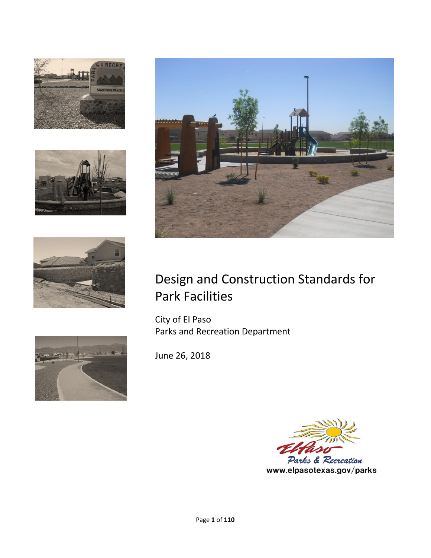







### Design and Construction Standards for Park Facilities

City of El Paso Parks and Recreation Department



June 26, 2018

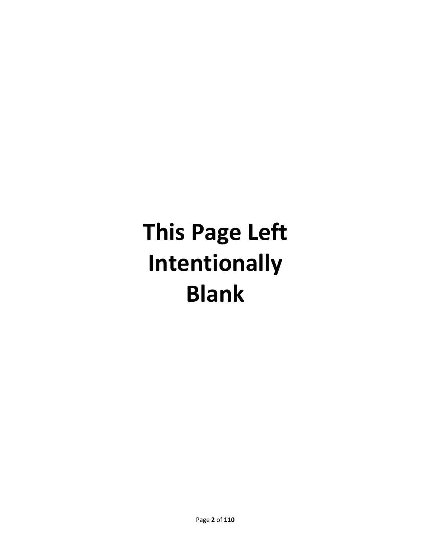# **This Page Left Intentionally Blank**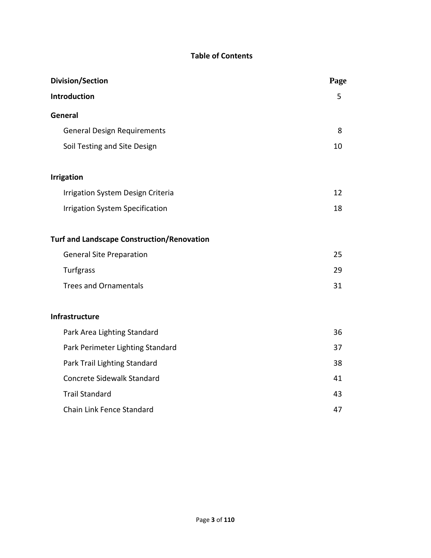#### **Table of Contents**

| <b>Division/Section</b>                           | Page |
|---------------------------------------------------|------|
| Introduction                                      | 5    |
| General                                           |      |
| <b>General Design Requirements</b>                | 8    |
| Soil Testing and Site Design                      | 10   |
|                                                   |      |
| <b>Irrigation</b>                                 |      |
| Irrigation System Design Criteria                 | 12   |
| <b>Irrigation System Specification</b>            | 18   |
| <b>Turf and Landscape Construction/Renovation</b> |      |
| <b>General Site Preparation</b>                   | 25   |
| Turfgrass                                         | 29   |
| <b>Trees and Ornamentals</b>                      | 31   |
| <b>Infrastructure</b>                             |      |
| Park Area Lighting Standard                       | 36   |
| Park Perimeter Lighting Standard                  | 37   |
| Park Trail Lighting Standard                      | 38   |
| <b>Concrete Sidewalk Standard</b>                 | 41   |
| <b>Trail Standard</b>                             | 43   |
| Chain Link Fence Standard                         | 47   |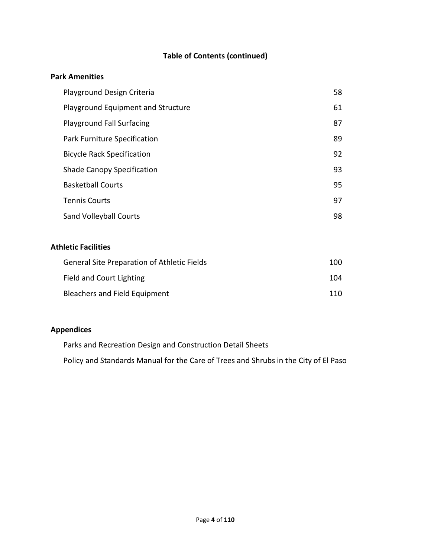#### **Table of Contents (continued)**

#### **Park Amenities**

| Playground Design Criteria         | 58 |
|------------------------------------|----|
| Playground Equipment and Structure | 61 |
| <b>Playground Fall Surfacing</b>   | 87 |
| Park Furniture Specification       | 89 |
| <b>Bicycle Rack Specification</b>  | 92 |
| <b>Shade Canopy Specification</b>  | 93 |
| <b>Basketball Courts</b>           | 95 |
| <b>Tennis Courts</b>               | 97 |
| Sand Volleyball Courts             | 98 |

#### **Athletic Facilities**

| <b>General Site Preparation of Athletic Fields</b> | 100 |
|----------------------------------------------------|-----|
| Field and Court Lighting                           | 104 |
| Bleachers and Field Equipment                      | 110 |

#### **Appendices**

Parks and Recreation Design and Construction Detail Sheets Policy and Standards Manual for the Care of Trees and Shrubs in the City of El Paso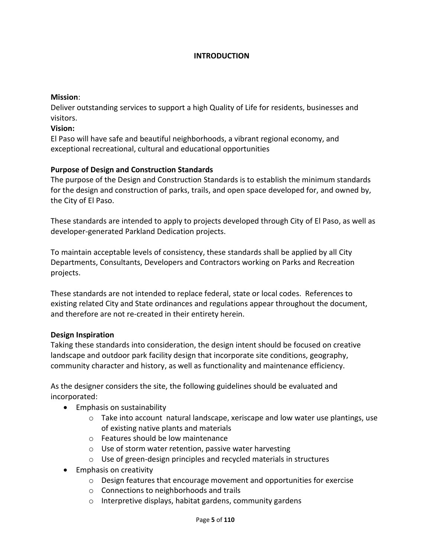#### **INTRODUCTION**

#### **Mission**:

Deliver outstanding services to support a high Quality of Life for residents, businesses and visitors.

#### **Vision:**

El Paso will have safe and beautiful neighborhoods, a vibrant regional economy, and exceptional recreational, cultural and educational opportunities

#### **Purpose of Design and Construction Standards**

The purpose of the Design and Construction Standards is to establish the minimum standards for the design and construction of parks, trails, and open space developed for, and owned by, the City of El Paso.

These standards are intended to apply to projects developed through City of El Paso, as well as developer-generated Parkland Dedication projects.

To maintain acceptable levels of consistency, these standards shall be applied by all City Departments, Consultants, Developers and Contractors working on Parks and Recreation projects.

These standards are not intended to replace federal, state or local codes. References to existing related City and State ordinances and regulations appear throughout the document, and therefore are not re-created in their entirety herein.

#### **Design Inspiration**

Taking these standards into consideration, the design intent should be focused on creative landscape and outdoor park facility design that incorporate site conditions, geography, community character and history, as well as functionality and maintenance efficiency.

As the designer considers the site, the following guidelines should be evaluated and incorporated:

- **Emphasis on sustainability** 
	- o Take into account natural landscape, xeriscape and low water use plantings, use of existing native plants and materials
	- o Features should be low maintenance
	- o Use of storm water retention, passive water harvesting
	- o Use of green-design principles and recycled materials in structures
- Emphasis on creativity
	- o Design features that encourage movement and opportunities for exercise
	- o Connections to neighborhoods and trails
	- o Interpretive displays, habitat gardens, community gardens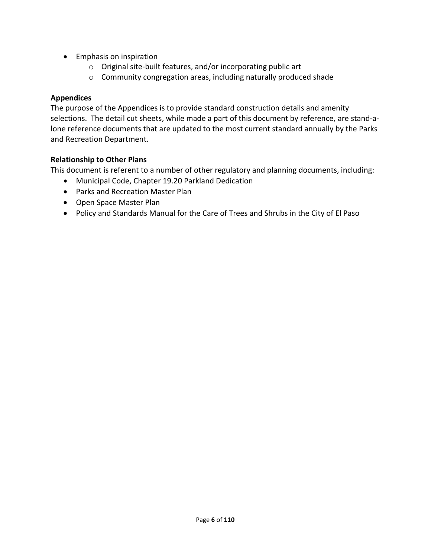- **•** Emphasis on inspiration
	- o Original site-built features, and/or incorporating public art
	- o Community congregation areas, including naturally produced shade

#### **Appendices**

The purpose of the Appendices is to provide standard construction details and amenity selections. The detail cut sheets, while made a part of this document by reference, are stand-alone reference documents that are updated to the most current standard annually by the Parks and Recreation Department.

#### **Relationship to Other Plans**

This document is referent to a number of other regulatory and planning documents, including:

- Municipal Code, Chapter 19.20 Parkland Dedication
- Parks and Recreation Master Plan
- Open Space Master Plan
- Policy and Standards Manual for the Care of Trees and Shrubs in the City of El Paso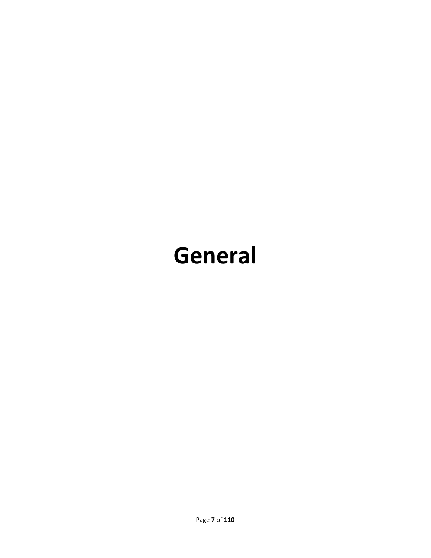### **General**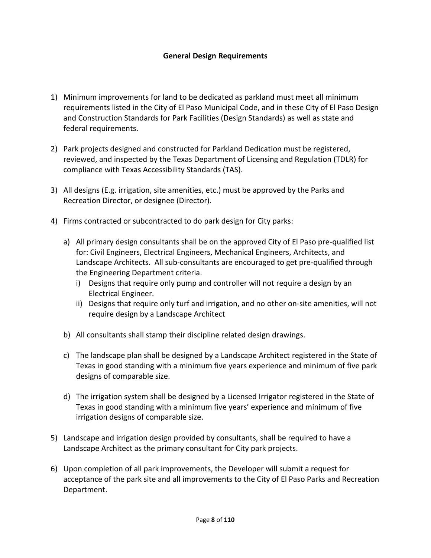#### **General Design Requirements**

- 1) Minimum improvements for land to be dedicated as parkland must meet all minimum requirements listed in the City of El Paso Municipal Code, and in these City of El Paso Design and Construction Standards for Park Facilities (Design Standards) as well as state and federal requirements.
- 2) Park projects designed and constructed for Parkland Dedication must be registered, reviewed, and inspected by the Texas Department of Licensing and Regulation (TDLR) for compliance with Texas Accessibility Standards (TAS).
- 3) All designs (E.g. irrigation, site amenities, etc.) must be approved by the Parks and Recreation Director, or designee (Director).
- 4) Firms contracted or subcontracted to do park design for City parks:
	- a) All primary design consultants shall be on the approved City of El Paso pre-qualified list for: Civil Engineers, Electrical Engineers, Mechanical Engineers, Architects, and Landscape Architects. All sub-consultants are encouraged to get pre-qualified through the Engineering Department criteria.
		- i) Designs that require only pump and controller will not require a design by an Electrical Engineer.
		- ii) Designs that require only turf and irrigation, and no other on-site amenities, will not require design by a Landscape Architect
	- b) All consultants shall stamp their discipline related design drawings.
	- c) The landscape plan shall be designed by a Landscape Architect registered in the State of Texas in good standing with a minimum five years experience and minimum of five park designs of comparable size.
	- d) The irrigation system shall be designed by a Licensed Irrigator registered in the State of Texas in good standing with a minimum five years' experience and minimum of five irrigation designs of comparable size.
- 5) Landscape and irrigation design provided by consultants, shall be required to have a Landscape Architect as the primary consultant for City park projects.
- 6) Upon completion of all park improvements, the Developer will submit a request for acceptance of the park site and all improvements to the City of El Paso Parks and Recreation Department.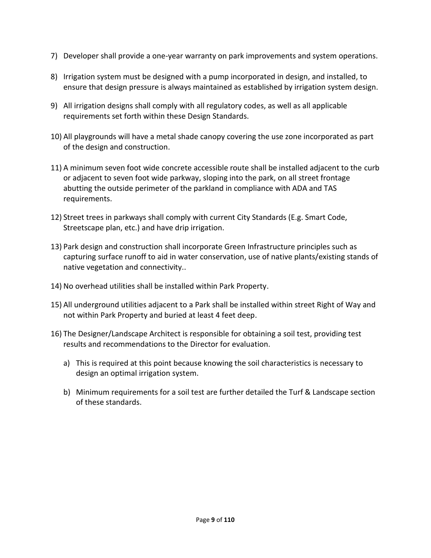- 7) Developer shall provide a one-year warranty on park improvements and system operations.
- 8) Irrigation system must be designed with a pump incorporated in design, and installed, to ensure that design pressure is always maintained as established by irrigation system design.
- 9) All irrigation designs shall comply with all regulatory codes, as well as all applicable requirements set forth within these Design Standards.
- 10) All playgrounds will have a metal shade canopy covering the use zone incorporated as part of the design and construction.
- 11) A minimum seven foot wide concrete accessible route shall be installed adjacent to the curb or adjacent to seven foot wide parkway, sloping into the park, on all street frontage abutting the outside perimeter of the parkland in compliance with ADA and TAS requirements.
- 12) Street trees in parkways shall comply with current City Standards (E.g. Smart Code, Streetscape plan, etc.) and have drip irrigation.
- 13) Park design and construction shall incorporate Green Infrastructure principles such as capturing surface runoff to aid in water conservation, use of native plants/existing stands of native vegetation and connectivity..
- 14) No overhead utilities shall be installed within Park Property.
- 15) All underground utilities adjacent to a Park shall be installed within street Right of Way and not within Park Property and buried at least 4 feet deep.
- 16) The Designer/Landscape Architect is responsible for obtaining a soil test, providing test results and recommendations to the Director for evaluation.
	- a) This is required at this point because knowing the soil characteristics is necessary to design an optimal irrigation system.
	- b) Minimum requirements for a soil test are further detailed the Turf & Landscape section of these standards.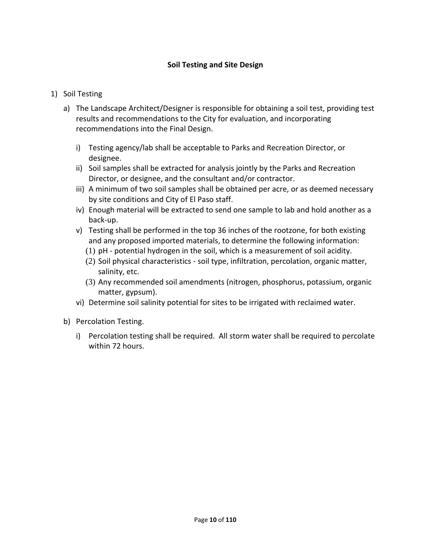#### **Soil Testing and Site Design**

#### 1) Soil Testing

- a) The Landscape Architect/Designer is responsible for obtaining a soil test, providing test results and recommendations to the City for evaluation, and incorporating recommendations into the Final Design.
	- i) Testing agency/lab shall be acceptable to Parks and Recreation Director, or designee.
	- ii) Soil samples shall be extracted for analysis jointly by the Parks and Recreation Director, or designee, and the consultant and/or contractor.
	- iii) A minimum of two soil samples shall be obtained per acre, or as deemed necessary by site conditions and City of El Paso staff.
	- iv) Enough material will be extracted to send one sample to lab and hold another as a back-up.
	- v) Testing shall be performed in the top 36 inches of the rootzone, for both existing and any proposed imported materials, to determine the following information:
		- (1) pH potential hydrogen in the soil, which is a measurement of soil acidity.
		- (2) Soil physical characteristics soil type, infiltration, percolation, organic matter, salinity, etc.
		- (3) Any recommended soil amendments (nitrogen, phosphorus, potassium, organic matter, gypsum).
	- vi) Determine soil salinity potential for sites to be irrigated with reclaimed water.
- b) Percolation Testing.
	- i) Percolation testing shall be required. All storm water shall be required to percolate within 72 hours.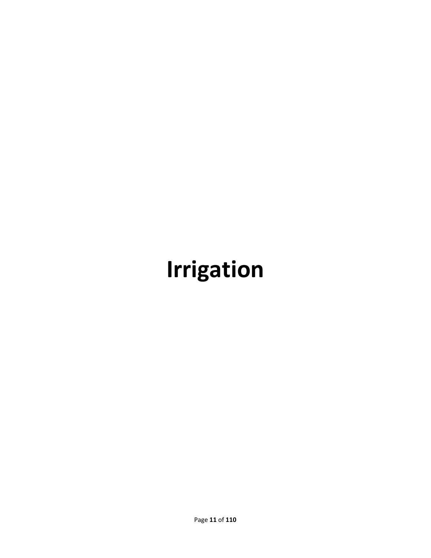## **Irrigation**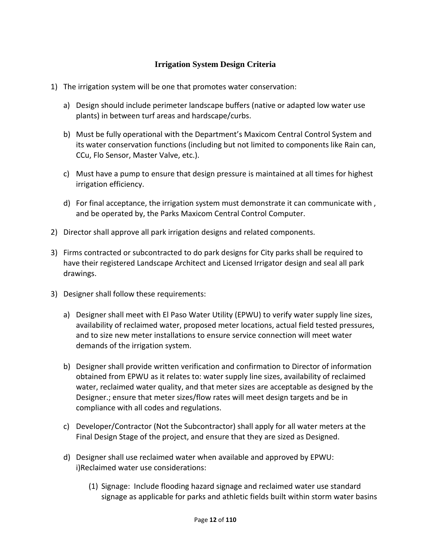#### **Irrigation System Design Criteria**

- 1) The irrigation system will be one that promotes water conservation:
	- a) Design should include perimeter landscape buffers (native or adapted low water use plants) in between turf areas and hardscape/curbs.
	- b) Must be fully operational with the Department's Maxicom Central Control System and its water conservation functions (including but not limited to components like Rain can, CCu, Flo Sensor, Master Valve, etc.).
	- c) Must have a pump to ensure that design pressure is maintained at all times for highest irrigation efficiency.
	- d) For final acceptance, the irrigation system must demonstrate it can communicate with , and be operated by, the Parks Maxicom Central Control Computer.
- 2) Director shall approve all park irrigation designs and related components.
- 3) Firms contracted or subcontracted to do park designs for City parks shall be required to have their registered Landscape Architect and Licensed Irrigator design and seal all park drawings.
- 3) Designer shall follow these requirements:
	- a) Designer shall meet with El Paso Water Utility (EPWU) to verify water supply line sizes, availability of reclaimed water, proposed meter locations, actual field tested pressures, and to size new meter installations to ensure service connection will meet water demands of the irrigation system.
	- b) Designer shall provide written verification and confirmation to Director of information obtained from EPWU as it relates to: water supply line sizes, availability of reclaimed water, reclaimed water quality, and that meter sizes are acceptable as designed by the Designer.; ensure that meter sizes/flow rates will meet design targets and be in compliance with all codes and regulations.
	- c) Developer/Contractor (Not the Subcontractor) shall apply for all water meters at the Final Design Stage of the project, and ensure that they are sized as Designed.
	- d) Designer shall use reclaimed water when available and approved by EPWU: i)Reclaimed water use considerations:
		- (1) Signage: Include flooding hazard signage and reclaimed water use standard signage as applicable for parks and athletic fields built within storm water basins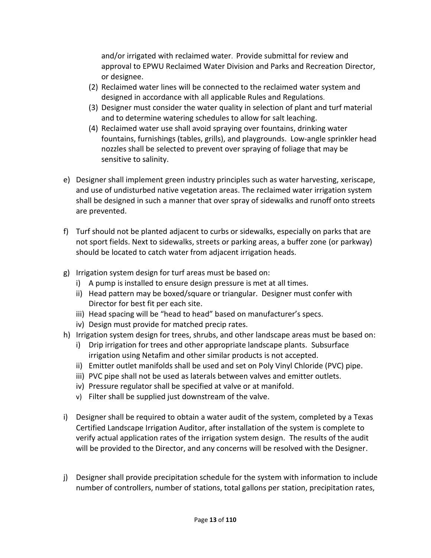and/or irrigated with reclaimed water. Provide submittal for review and approval to EPWU Reclaimed Water Division and Parks and Recreation Director, or designee.

- (2) Reclaimed water lines will be connected to the reclaimed water system and designed in accordance with all applicable Rules and Regulations.
- (3) Designer must consider the water quality in selection of plant and turf material and to determine watering schedules to allow for salt leaching.
- (4) Reclaimed water use shall avoid spraying over fountains, drinking water fountains, furnishings (tables, grills), and playgrounds. Low-angle sprinkler head nozzles shall be selected to prevent over spraying of foliage that may be sensitive to salinity.
- e) Designer shall implement green industry principles such as water harvesting, xeriscape, and use of undisturbed native vegetation areas. The reclaimed water irrigation system shall be designed in such a manner that over spray of sidewalks and runoff onto streets are prevented.
- f) Turf should not be planted adjacent to curbs or sidewalks, especially on parks that are not sport fields. Next to sidewalks, streets or parking areas, a buffer zone (or parkway) should be located to catch water from adjacent irrigation heads.
- g) Irrigation system design for turf areas must be based on:
	- i) A pump is installed to ensure design pressure is met at all times.
	- ii) Head pattern may be boxed/square or triangular. Designer must confer with Director for best fit per each site.
	- iii) Head spacing will be "head to head" based on manufacturer's specs.
	- iv) Design must provide for matched precip rates.
- h) Irrigation system design for trees, shrubs, and other landscape areas must be based on:
	- i) Drip irrigation for trees and other appropriate landscape plants. Subsurface irrigation using Netafim and other similar products is not accepted.
	- ii) Emitter outlet manifolds shall be used and set on Poly Vinyl Chloride (PVC) pipe.
	- iii) PVC pipe shall not be used as laterals between valves and emitter outlets.
	- iv) Pressure regulator shall be specified at valve or at manifold.
	- v) Filter shall be supplied just downstream of the valve.
- i) Designer shall be required to obtain a water audit of the system, completed by a Texas Certified Landscape Irrigation Auditor, after installation of the system is complete to verify actual application rates of the irrigation system design. The results of the audit will be provided to the Director, and any concerns will be resolved with the Designer.
- j) Designer shall provide precipitation schedule for the system with information to include number of controllers, number of stations, total gallons per station, precipitation rates,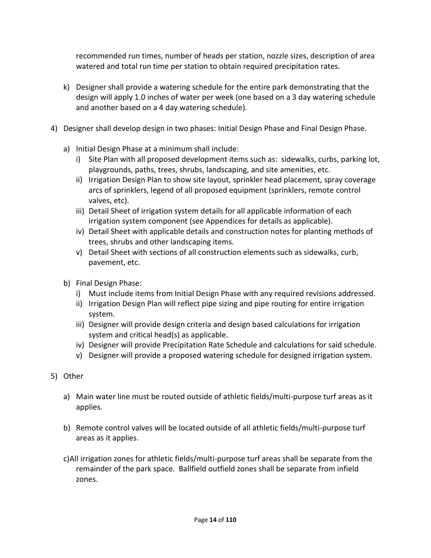recommended run times, number of heads per station, nozzle sizes, description of area watered and total run time per station to obtain required precipitation rates.

- k) Designer shall provide a watering schedule for the entire park demonstrating that the design will apply 1.0 inches of water per week (one based on a 3 day watering schedule and another based on a 4 day watering schedule).
- 4) Designer shall develop design in two phases: Initial Design Phase and Final Design Phase.
	- a) Initial Design Phase at a minimum shall include:
		- i) Site Plan with all proposed development items such as: sidewalks, curbs, parking lot, playgrounds, paths, trees, shrubs, landscaping, and site amenities, etc.
		- ii) Irrigation Design Plan to show site layout, sprinkler head placement, spray coverage arcs of sprinklers, legend of all proposed equipment (sprinklers, remote control valves, etc).
		- iii) Detail Sheet of irrigation system details for all applicable information of each irrigation system component (see Appendices for details as applicable).
		- iv) Detail Sheet with applicable details and construction notes for planting methods of trees, shrubs and other landscaping items.
		- v) Detail Sheet with sections of all construction elements such as sidewalks, curb, pavement, etc.
	- b) Final Design Phase:
		- i) Must include items from Initial Design Phase with any required revisions addressed.
		- ii) Irrigation Design Plan will reflect pipe sizing and pipe routing for entire irrigation system.
		- iii) Designer will provide design criteria and design based calculations for irrigation system and critical head(s) as applicable.
		- iv) Designer will provide Precipitation Rate Schedule and calculations for said schedule.
		- v) Designer will provide a proposed watering schedule for designed irrigation system.
- 5) Other
	- a) Main water line must be routed outside of athletic fields/multi-purpose turf areas as it applies.
	- b) Remote control valves will be located outside of all athletic fields/multi-purpose turf areas as it applies.
	- c)All irrigation zones for athletic fields/multi-purpose turf areas shall be separate from the remainder of the park space. Ballfield outfield zones shall be separate from infield zones.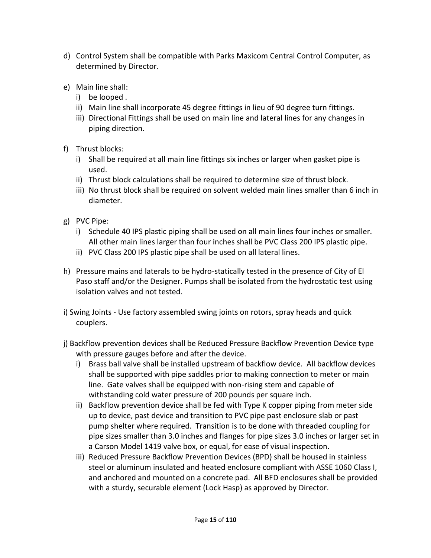- d) Control System shall be compatible with Parks Maxicom Central Control Computer, as determined by Director.
- e) Main line shall:
	- i) be looped .
	- ii) Main line shall incorporate 45 degree fittings in lieu of 90 degree turn fittings.
	- iii) Directional Fittings shall be used on main line and lateral lines for any changes in piping direction.
- f) Thrust blocks:
	- i) Shall be required at all main line fittings six inches or larger when gasket pipe is used.
	- ii) Thrust block calculations shall be required to determine size of thrust block.
	- iii) No thrust block shall be required on solvent welded main lines smaller than 6 inch in diameter.
- g) PVC Pipe:
	- i) Schedule 40 IPS plastic piping shall be used on all main lines four inches or smaller. All other main lines larger than four inches shall be PVC Class 200 IPS plastic pipe.
	- ii) PVC Class 200 IPS plastic pipe shall be used on all lateral lines.
- h) Pressure mains and laterals to be hydro-statically tested in the presence of City of El Paso staff and/or the Designer. Pumps shall be isolated from the hydrostatic test using isolation valves and not tested.
- i) Swing Joints Use factory assembled swing joints on rotors, spray heads and quick couplers.
- j) Backflow prevention devices shall be Reduced Pressure Backflow Prevention Device type with pressure gauges before and after the device.
	- i) Brass ball valve shall be installed upstream of backflow device. All backflow devices shall be supported with pipe saddles prior to making connection to meter or main line. Gate valves shall be equipped with non-rising stem and capable of withstanding cold water pressure of 200 pounds per square inch.
	- ii) Backflow prevention device shall be fed with Type K copper piping from meter side up to device, past device and transition to PVC pipe past enclosure slab or past pump shelter where required. Transition is to be done with threaded coupling for pipe sizes smaller than 3.0 inches and flanges for pipe sizes 3.0 inches or larger set in a Carson Model 1419 valve box, or equal, for ease of visual inspection.
	- iii) Reduced Pressure Backflow Prevention Devices (BPD) shall be housed in stainless steel or aluminum insulated and heated enclosure compliant with ASSE 1060 Class I, and anchored and mounted on a concrete pad. All BFD enclosures shall be provided with a sturdy, securable element (Lock Hasp) as approved by Director.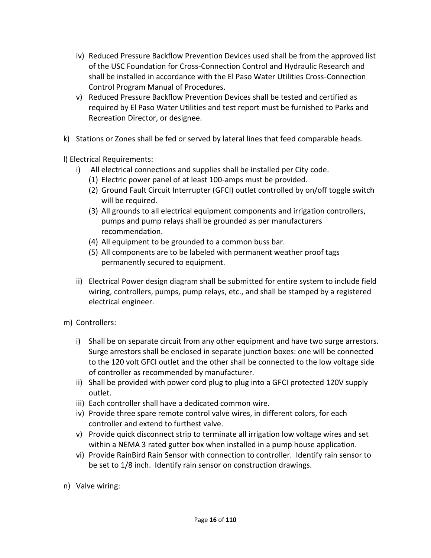- iv) Reduced Pressure Backflow Prevention Devices used shall be from the approved list of the USC Foundation for Cross-Connection Control and Hydraulic Research and shall be installed in accordance with the El Paso Water Utilities Cross-Connection Control Program Manual of Procedures.
- v) Reduced Pressure Backflow Prevention Devices shall be tested and certified as required by El Paso Water Utilities and test report must be furnished to Parks and Recreation Director, or designee.
- k) Stations or Zones shall be fed or served by lateral lines that feed comparable heads.

l) Electrical Requirements:

- i) All electrical connections and supplies shall be installed per City code.
	- (1) Electric power panel of at least 100-amps must be provided.
	- (2) Ground Fault Circuit Interrupter (GFCI) outlet controlled by on/off toggle switch will be required.
	- (3) All grounds to all electrical equipment components and irrigation controllers, pumps and pump relays shall be grounded as per manufacturers recommendation.
	- (4) All equipment to be grounded to a common buss bar.
	- (5) All components are to be labeled with permanent weather proof tags permanently secured to equipment.
- ii) Electrical Power design diagram shall be submitted for entire system to include field wiring, controllers, pumps, pump relays, etc., and shall be stamped by a registered electrical engineer.
- m) Controllers:
	- i) Shall be on separate circuit from any other equipment and have two surge arrestors. Surge arrestors shall be enclosed in separate junction boxes: one will be connected to the 120 volt GFCI outlet and the other shall be connected to the low voltage side of controller as recommended by manufacturer.
	- ii) Shall be provided with power cord plug to plug into a GFCI protected 120V supply outlet.
	- iii) Each controller shall have a dedicated common wire.
	- iv) Provide three spare remote control valve wires, in different colors, for each controller and extend to furthest valve.
	- v) Provide quick disconnect strip to terminate all irrigation low voltage wires and set within a NEMA 3 rated gutter box when installed in a pump house application.
	- vi) Provide RainBird Rain Sensor with connection to controller. Identify rain sensor to be set to 1/8 inch. Identify rain sensor on construction drawings.
- n) Valve wiring: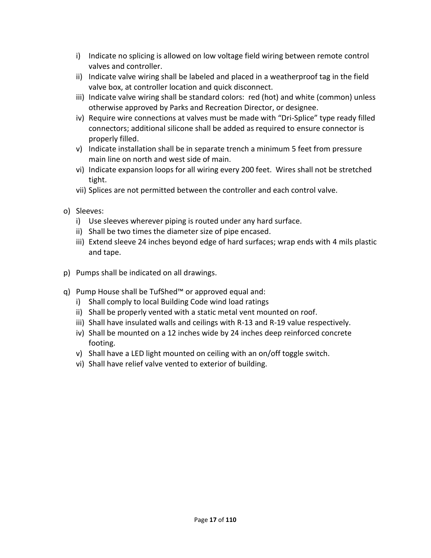- i) Indicate no splicing is allowed on low voltage field wiring between remote control valves and controller.
- ii) Indicate valve wiring shall be labeled and placed in a weatherproof tag in the field valve box, at controller location and quick disconnect.
- iii) Indicate valve wiring shall be standard colors: red (hot) and white (common) unless otherwise approved by Parks and Recreation Director, or designee.
- iv) Require wire connections at valves must be made with "Dri-Splice" type ready filled connectors; additional silicone shall be added as required to ensure connector is properly filled.
- v) Indicate installation shall be in separate trench a minimum 5 feet from pressure main line on north and west side of main.
- vi) Indicate expansion loops for all wiring every 200 feet. Wires shall not be stretched tight.
- vii) Splices are not permitted between the controller and each control valve.
- o) Sleeves:
	- i) Use sleeves wherever piping is routed under any hard surface.
	- ii) Shall be two times the diameter size of pipe encased.
	- iii) Extend sleeve 24 inches beyond edge of hard surfaces; wrap ends with 4 mils plastic and tape.
- p) Pumps shall be indicated on all drawings.
- q) Pump House shall be TufShed™ or approved equal and:
	- i) Shall comply to local Building Code wind load ratings
	- ii) Shall be properly vented with a static metal vent mounted on roof.
	- iii) Shall have insulated walls and ceilings with R-13 and R-19 value respectively.
	- iv) Shall be mounted on a 12 inches wide by 24 inches deep reinforced concrete footing.
	- v) Shall have a LED light mounted on ceiling with an on/off toggle switch.
	- vi) Shall have relief valve vented to exterior of building.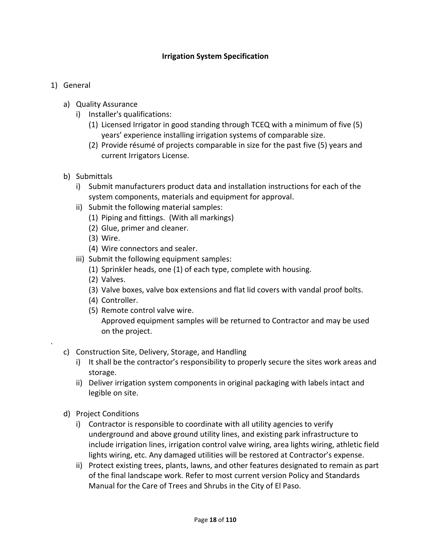#### **Irrigation System Specification**

#### 1) General

- a) Quality Assurance
	- i) Installer's qualifications:
		- (1) Licensed Irrigator in good standing through TCEQ with a minimum of five (5) years' experience installing irrigation systems of comparable size.
		- (2) Provide résumé of projects comparable in size for the past five (5) years and current Irrigators License.
- b) Submittals
	- i) Submit manufacturers product data and installation instructions for each of the system components, materials and equipment for approval.
	- ii) Submit the following material samples:
		- (1) Piping and fittings. (With all markings)
		- (2) Glue, primer and cleaner.
		- (3) Wire.
		- (4) Wire connectors and sealer.
	- iii) Submit the following equipment samples:
		- (1) Sprinkler heads, one (1) of each type, complete with housing.
		- (2) Valves.
		- (3) Valve boxes, valve box extensions and flat lid covers with vandal proof bolts.
		- (4) Controller.
		- (5) Remote control valve wire. Approved equipment samples will be returned to Contractor and may be used on the project.
- c) Construction Site, Delivery, Storage, and Handling
	- i) It shall be the contractor's responsibility to properly secure the sites work areas and storage.
	- ii) Deliver irrigation system components in original packaging with labels intact and legible on site.
- d) Project Conditions

.

- i) Contractor is responsible to coordinate with all utility agencies to verify underground and above ground utility lines, and existing park infrastructure to include irrigation lines, irrigation control valve wiring, area lights wiring, athletic field lights wiring, etc. Any damaged utilities will be restored at Contractor's expense.
- ii) Protect existing trees, plants, lawns, and other features designated to remain as part of the final landscape work. Refer to most current version Policy and Standards Manual for the Care of Trees and Shrubs in the City of El Paso.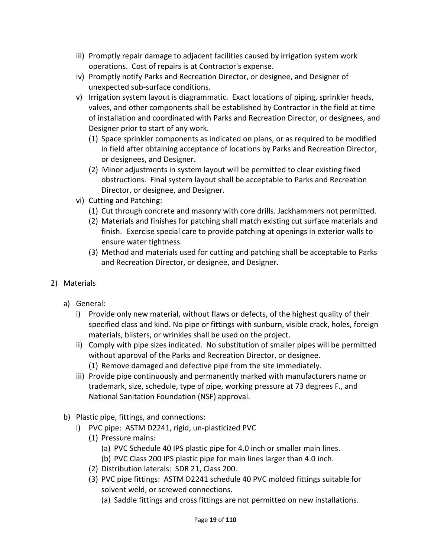- iii) Promptly repair damage to adjacent facilities caused by irrigation system work operations. Cost of repairs is at Contractor's expense.
- iv) Promptly notify Parks and Recreation Director, or designee, and Designer of unexpected sub-surface conditions.
- v) Irrigation system layout is diagrammatic. Exact locations of piping, sprinkler heads, valves, and other components shall be established by Contractor in the field at time of installation and coordinated with Parks and Recreation Director, or designees, and Designer prior to start of any work.
	- (1) Space sprinkler components as indicated on plans, or as required to be modified in field after obtaining acceptance of locations by Parks and Recreation Director, or designees, and Designer.
	- (2) Minor adjustments in system layout will be permitted to clear existing fixed obstructions. Final system layout shall be acceptable to Parks and Recreation Director, or designee, and Designer.
- vi) Cutting and Patching:
	- (1) Cut through concrete and masonry with core drills. Jackhammers not permitted.
	- (2) Materials and finishes for patching shall match existing cut surface materials and finish. Exercise special care to provide patching at openings in exterior walls to ensure water tightness.
	- (3) Method and materials used for cutting and patching shall be acceptable to Parks and Recreation Director, or designee, and Designer.
- 2) Materials
	- a) General:
		- i) Provide only new material, without flaws or defects, of the highest quality of their specified class and kind. No pipe or fittings with sunburn, visible crack, holes, foreign materials, blisters, or wrinkles shall be used on the project.
		- ii) Comply with pipe sizes indicated. No substitution of smaller pipes will be permitted without approval of the Parks and Recreation Director, or designee. (1) Remove damaged and defective pipe from the site immediately.
		- iii) Provide pipe continuously and permanently marked with manufacturers name or trademark, size, schedule, type of pipe, working pressure at 73 degrees F., and National Sanitation Foundation (NSF) approval.
	- b) Plastic pipe, fittings, and connections:
		- i) PVC pipe: ASTM D2241, rigid, un-plasticized PVC
			- (1) Pressure mains:
				- (a) PVC Schedule 40 IPS plastic pipe for 4.0 inch or smaller main lines.
				- (b) PVC Class 200 IPS plastic pipe for main lines larger than 4.0 inch.
			- (2) Distribution laterals: SDR 21, Class 200.
			- (3) PVC pipe fittings: ASTM D2241 schedule 40 PVC molded fittings suitable for solvent weld, or screwed connections.
				- (a) Saddle fittings and cross fittings are not permitted on new installations.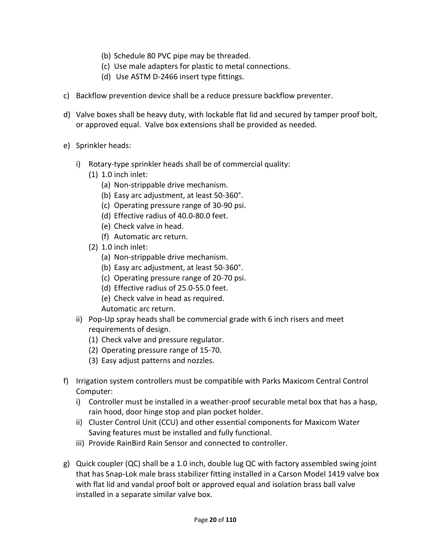- (b) Schedule 80 PVC pipe may be threaded.
- (c) Use male adapters for plastic to metal connections.
- (d) Use ASTM D-2466 insert type fittings.
- c) Backflow prevention device shall be a reduce pressure backflow preventer.
- d) Valve boxes shall be heavy duty, with lockable flat lid and secured by tamper proof bolt, or approved equal. Valve box extensions shall be provided as needed.
- e) Sprinkler heads:
	- i) Rotary-type sprinkler heads shall be of commercial quality:
		- (1) 1.0 inch inlet:
			- (a) Non-strippable drive mechanism.
			- (b) Easy arc adjustment, at least 50-360°.
			- (c) Operating pressure range of 30-90 psi.
			- (d) Effective radius of 40.0-80.0 feet.
			- (e) Check valve in head.
			- (f) Automatic arc return.
		- (2) 1.0 inch inlet:
			- (a) Non-strippable drive mechanism.
			- (b) Easy arc adjustment, at least 50-360°.
			- (c) Operating pressure range of 20-70 psi.
			- (d) Effective radius of 25.0-55.0 feet.
			- (e) Check valve in head as required.
			- Automatic arc return.
	- ii) Pop-Up spray heads shall be commercial grade with 6 inch risers and meet requirements of design.
		- (1) Check valve and pressure regulator.
		- (2) Operating pressure range of 15-70.
		- (3) Easy adjust patterns and nozzles.
- f) Irrigation system controllers must be compatible with Parks Maxicom Central Control Computer:
	- i) Controller must be installed in a weather-proof securable metal box that has a hasp, rain hood, door hinge stop and plan pocket holder.
	- ii) Cluster Control Unit (CCU) and other essential components for Maxicom Water Saving features must be installed and fully functional.
	- iii) Provide RainBird Rain Sensor and connected to controller.
- g) Quick coupler (QC) shall be a 1.0 inch, double lug QC with factory assembled swing joint that has Snap-Lok male brass stabilizer fitting installed in a Carson Model 1419 valve box with flat lid and vandal proof bolt or approved equal and isolation brass ball valve installed in a separate similar valve box.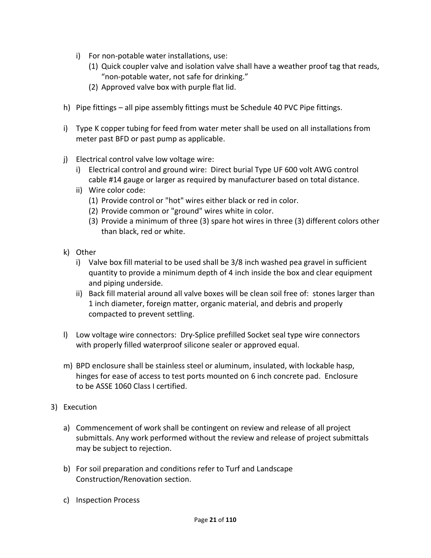- i) For non-potable water installations, use:
	- (1) Quick coupler valve and isolation valve shall have a weather proof tag that reads, "non-potable water, not safe for drinking."
	- (2) Approved valve box with purple flat lid.
- h) Pipe fittings all pipe assembly fittings must be Schedule 40 PVC Pipe fittings.
- i) Type K copper tubing for feed from water meter shall be used on all installations from meter past BFD or past pump as applicable.
- j) Electrical control valve low voltage wire:
	- i) Electrical control and ground wire: Direct burial Type UF 600 volt AWG control cable #14 gauge or larger as required by manufacturer based on total distance.
	- ii) Wire color code:
		- (1) Provide control or "hot" wires either black or red in color.
		- (2) Provide common or "ground" wires white in color.
		- (3) Provide a minimum of three (3) spare hot wires in three (3) different colors other than black, red or white.
- k) Other
	- i) Valve box fill material to be used shall be 3/8 inch washed pea gravel in sufficient quantity to provide a minimum depth of 4 inch inside the box and clear equipment and piping underside.
	- ii) Back fill material around all valve boxes will be clean soil free of: stones larger than 1 inch diameter, foreign matter, organic material, and debris and properly compacted to prevent settling.
- l) Low voltage wire connectors: Dry-Splice prefilled Socket seal type wire connectors with properly filled waterproof silicone sealer or approved equal.
- m) BPD enclosure shall be stainless steel or aluminum, insulated, with lockable hasp, hinges for ease of access to test ports mounted on 6 inch concrete pad. Enclosure to be ASSE 1060 Class I certified.
- 3) Execution
	- a) Commencement of work shall be contingent on review and release of all project submittals. Any work performed without the review and release of project submittals may be subject to rejection.
	- b) For soil preparation and conditions refer to Turf and Landscape Construction/Renovation section.
	- c) Inspection Process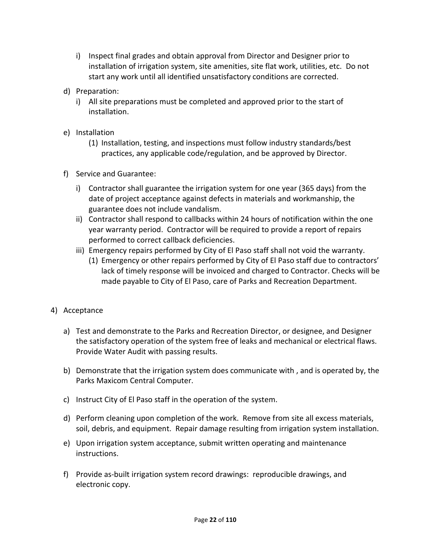- i) Inspect final grades and obtain approval from Director and Designer prior to installation of irrigation system, site amenities, site flat work, utilities, etc. Do not start any work until all identified unsatisfactory conditions are corrected.
- d) Preparation:
	- i) All site preparations must be completed and approved prior to the start of installation.
- e) Installation
	- (1) Installation, testing, and inspections must follow industry standards/best practices, any applicable code/regulation, and be approved by Director.
- f) Service and Guarantee:
	- i) Contractor shall guarantee the irrigation system for one year (365 days) from the date of project acceptance against defects in materials and workmanship, the guarantee does not include vandalism.
	- ii) Contractor shall respond to callbacks within 24 hours of notification within the one year warranty period. Contractor will be required to provide a report of repairs performed to correct callback deficiencies.
	- iii) Emergency repairs performed by City of El Paso staff shall not void the warranty.
		- (1) Emergency or other repairs performed by City of El Paso staff due to contractors' lack of timely response will be invoiced and charged to Contractor. Checks will be made payable to City of El Paso, care of Parks and Recreation Department.

#### 4) Acceptance

- a) Test and demonstrate to the Parks and Recreation Director, or designee, and Designer the satisfactory operation of the system free of leaks and mechanical or electrical flaws. Provide Water Audit with passing results.
- b) Demonstrate that the irrigation system does communicate with , and is operated by, the Parks Maxicom Central Computer.
- c) Instruct City of El Paso staff in the operation of the system.
- d) Perform cleaning upon completion of the work. Remove from site all excess materials, soil, debris, and equipment. Repair damage resulting from irrigation system installation.
- e) Upon irrigation system acceptance, submit written operating and maintenance instructions.
- f) Provide as-built irrigation system record drawings: reproducible drawings, and electronic copy.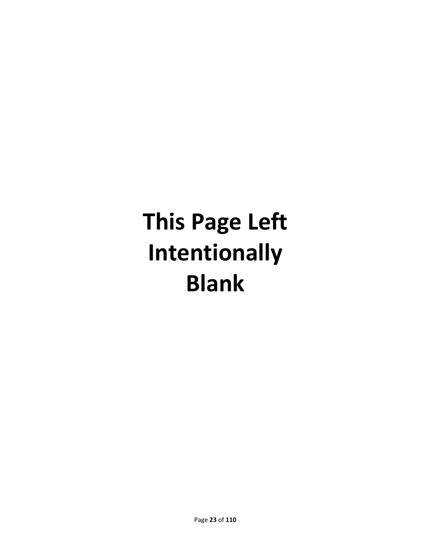# **This Page Left Intentionally Blank**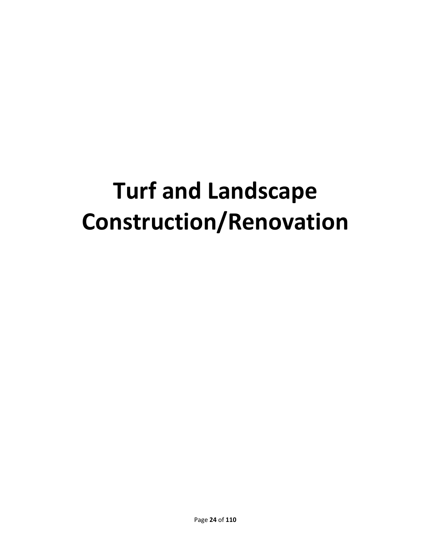# **Turf and Landscape Construction/Renovation**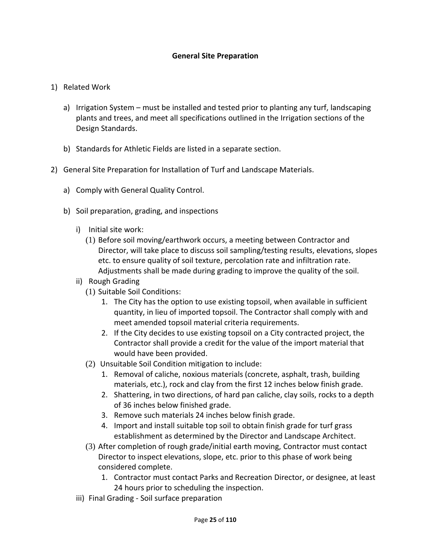#### **General Site Preparation**

- 1) Related Work
	- a) Irrigation System must be installed and tested prior to planting any turf, landscaping plants and trees, and meet all specifications outlined in the Irrigation sections of the Design Standards.
	- b) Standards for Athletic Fields are listed in a separate section.
- 2) General Site Preparation for Installation of Turf and Landscape Materials.
	- a) Comply with General Quality Control.
	- b) Soil preparation, grading, and inspections
		- i) Initial site work:
			- (1) Before soil moving/earthwork occurs, a meeting between Contractor and Director, will take place to discuss soil sampling/testing results, elevations, slopes etc. to ensure quality of soil texture, percolation rate and infiltration rate. Adjustments shall be made during grading to improve the quality of the soil.
		- ii) Rough Grading
			- (1) Suitable Soil Conditions:
				- 1. The City has the option to use existing topsoil, when available in sufficient quantity, in lieu of imported topsoil. The Contractor shall comply with and meet amended topsoil material criteria requirements.
				- 2. If the City decides to use existing topsoil on a City contracted project, the Contractor shall provide a credit for the value of the import material that would have been provided.
			- (2) Unsuitable Soil Condition mitigation to include:
				- 1. Removal of caliche, noxious materials (concrete, asphalt, trash, building materials, etc.), rock and clay from the first 12 inches below finish grade.
				- 2. Shattering, in two directions, of hard pan caliche, clay soils, rocks to a depth of 36 inches below finished grade.
				- 3. Remove such materials 24 inches below finish grade.
				- 4. Import and install suitable top soil to obtain finish grade for turf grass establishment as determined by the Director and Landscape Architect.
			- (3) After completion of rough grade/initial earth moving, Contractor must contact Director to inspect elevations, slope, etc. prior to this phase of work being considered complete.
				- 1. Contractor must contact Parks and Recreation Director, or designee, at least 24 hours prior to scheduling the inspection.
		- iii) Final Grading Soil surface preparation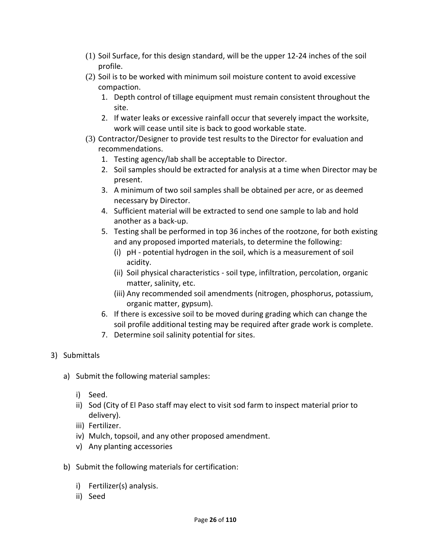- (1) Soil Surface, for this design standard, will be the upper 12-24 inches of the soil profile.
- (2) Soil is to be worked with minimum soil moisture content to avoid excessive compaction.
	- 1. Depth control of tillage equipment must remain consistent throughout the site.
	- 2. If water leaks or excessive rainfall occur that severely impact the worksite, work will cease until site is back to good workable state.
- (3) Contractor/Designer to provide test results to the Director for evaluation and recommendations.
	- 1. Testing agency/lab shall be acceptable to Director.
	- 2. Soil samples should be extracted for analysis at a time when Director may be present.
	- 3. A minimum of two soil samples shall be obtained per acre, or as deemed necessary by Director.
	- 4. Sufficient material will be extracted to send one sample to lab and hold another as a back-up.
	- 5. Testing shall be performed in top 36 inches of the rootzone, for both existing and any proposed imported materials, to determine the following:
		- (i) pH potential hydrogen in the soil, which is a measurement of soil acidity.
		- (ii) Soil physical characteristics soil type, infiltration, percolation, organic matter, salinity, etc.
		- (iii) Any recommended soil amendments (nitrogen, phosphorus, potassium, organic matter, gypsum).
	- 6. If there is excessive soil to be moved during grading which can change the soil profile additional testing may be required after grade work is complete.
	- 7. Determine soil salinity potential for sites.

#### 3) Submittals

- a) Submit the following material samples:
	- i) Seed.
	- ii) Sod (City of El Paso staff may elect to visit sod farm to inspect material prior to delivery).
	- iii) Fertilizer.
	- iv) Mulch, topsoil, and any other proposed amendment.
	- v) Any planting accessories
- b) Submit the following materials for certification:
	- i) Fertilizer(s) analysis.
	- ii) Seed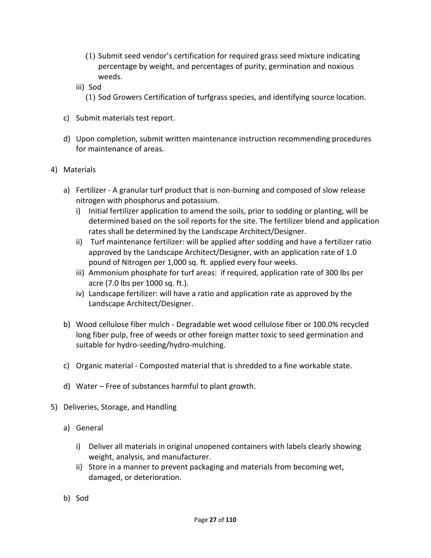- (1) Submit seed vendor's certification for required grass seed mixture indicating percentage by weight, and percentages of purity, germination and noxious weeds.
- iii) Sod
	- (1) Sod Growers Certification of turfgrass species, and identifying source location.
- c) Submit materials test report.
- d) Upon completion, submit written maintenance instruction recommending procedures for maintenance of areas.

#### 4) Materials

- a) Fertilizer A granular turf product that is non-burning and composed of slow release nitrogen with phosphorus and potassium.
	- i) Initial fertilizer application to amend the soils, prior to sodding or planting, will be determined based on the soil reports for the site. The fertilizer blend and application rates shall be determined by the Landscape Architect/Designer.
	- ii) Turf maintenance fertilizer: will be applied after sodding and have a fertilizer ratio approved by the Landscape Architect/Designer, with an application rate of 1.0 pound of Nitrogen per 1,000 sq. ft. applied every four weeks.
	- iii) Ammonium phosphate for turf areas: if required, application rate of 300 lbs per acre (7.0 lbs per 1000 sq. ft.).
	- iv) Landscape fertilizer: will have a ratio and application rate as approved by the Landscape Architect/Designer.
- b) Wood cellulose fiber mulch Degradable wet wood cellulose fiber or 100.0% recycled long fiber pulp, free of weeds or other foreign matter toxic to seed germination and suitable for hydro-seeding/hydro-mulching.
- c) Organic material Composted material that is shredded to a fine workable state.
- d) Water Free of substances harmful to plant growth.
- 5) Deliveries, Storage, and Handling
	- a) General
		- i) Deliver all materials in original unopened containers with labels clearly showing weight, analysis, and manufacturer.
		- ii) Store in a manner to prevent packaging and materials from becoming wet, damaged, or deterioration.
	- b) Sod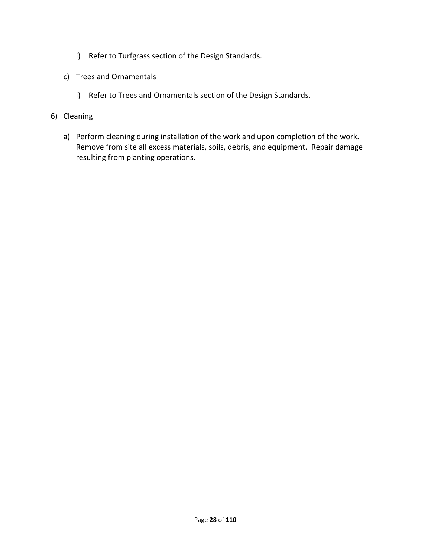- i) Refer to Turfgrass section of the Design Standards.
- c) Trees and Ornamentals
	- i) Refer to Trees and Ornamentals section of the Design Standards.
- 6) Cleaning
	- a) Perform cleaning during installation of the work and upon completion of the work. Remove from site all excess materials, soils, debris, and equipment. Repair damage resulting from planting operations.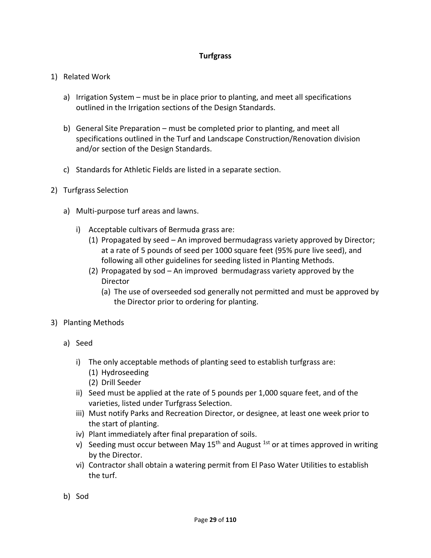#### **Turfgrass**

#### 1) Related Work

- a) Irrigation System must be in place prior to planting, and meet all specifications outlined in the Irrigation sections of the Design Standards.
- b) General Site Preparation must be completed prior to planting, and meet all specifications outlined in the Turf and Landscape Construction/Renovation division and/or section of the Design Standards.
- c) Standards for Athletic Fields are listed in a separate section.
- 2) Turfgrass Selection
	- a) Multi-purpose turf areas and lawns.
		- i) Acceptable cultivars of Bermuda grass are:
			- (1) Propagated by seed An improved bermudagrass variety approved by Director; at a rate of 5 pounds of seed per 1000 square feet (95% pure live seed), and following all other guidelines for seeding listed in Planting Methods.
			- (2) Propagated by sod An improved bermudagrass variety approved by the **Director** 
				- (a) The use of overseeded sod generally not permitted and must be approved by the Director prior to ordering for planting.
- 3) Planting Methods
	- a) Seed
		- i) The only acceptable methods of planting seed to establish turfgrass are:
			- (1) Hydroseeding
			- (2) Drill Seeder
		- ii) Seed must be applied at the rate of 5 pounds per 1,000 square feet, and of the varieties, listed under Turfgrass Selection.
		- iii) Must notify Parks and Recreation Director, or designee, at least one week prior to the start of planting.
		- iv) Plant immediately after final preparation of soils.
		- v) Seeding must occur between May  $15<sup>th</sup>$  and August  $1<sup>st</sup>$  or at times approved in writing by the Director.
		- vi) Contractor shall obtain a watering permit from El Paso Water Utilities to establish the turf.
	- b) Sod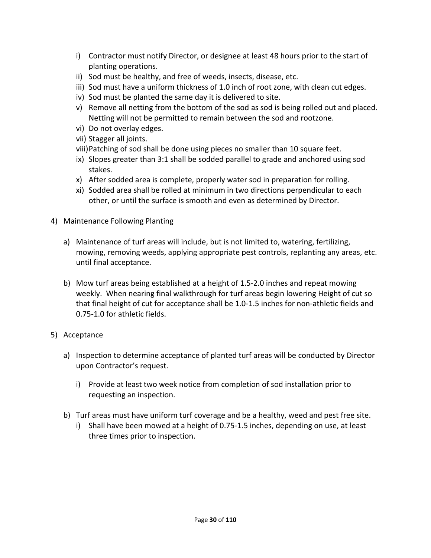- i) Contractor must notify Director, or designee at least 48 hours prior to the start of planting operations.
- ii) Sod must be healthy, and free of weeds, insects, disease, etc.
- iii) Sod must have a uniform thickness of 1.0 inch of root zone, with clean cut edges.
- iv) Sod must be planted the same day it is delivered to site.
- v) Remove all netting from the bottom of the sod as sod is being rolled out and placed. Netting will not be permitted to remain between the sod and rootzone.
- vi) Do not overlay edges.
- vii) Stagger all joints.
- viii)Patching of sod shall be done using pieces no smaller than 10 square feet.
- ix) Slopes greater than 3:1 shall be sodded parallel to grade and anchored using sod stakes.
- x) After sodded area is complete, properly water sod in preparation for rolling.
- xi) Sodded area shall be rolled at minimum in two directions perpendicular to each other, or until the surface is smooth and even as determined by Director.
- 4) Maintenance Following Planting
	- a) Maintenance of turf areas will include, but is not limited to, watering, fertilizing, mowing, removing weeds, applying appropriate pest controls, replanting any areas, etc. until final acceptance.
	- b) Mow turf areas being established at a height of 1.5-2.0 inches and repeat mowing weekly. When nearing final walkthrough for turf areas begin lowering Height of cut so that final height of cut for acceptance shall be 1.0-1.5 inches for non-athletic fields and 0.75-1.0 for athletic fields.
- 5) Acceptance
	- a) Inspection to determine acceptance of planted turf areas will be conducted by Director upon Contractor's request.
		- i) Provide at least two week notice from completion of sod installation prior to requesting an inspection.
	- b) Turf areas must have uniform turf coverage and be a healthy, weed and pest free site.
		- i) Shall have been mowed at a height of 0.75-1.5 inches, depending on use, at least three times prior to inspection.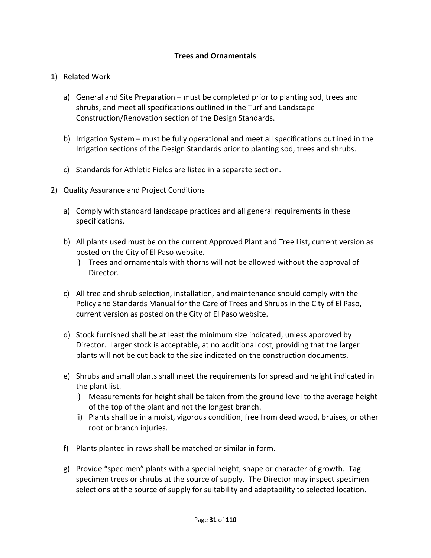#### **Trees and Ornamentals**

#### 1) Related Work

- a) General and Site Preparation must be completed prior to planting sod, trees and shrubs, and meet all specifications outlined in the Turf and Landscape Construction/Renovation section of the Design Standards.
- b) Irrigation System must be fully operational and meet all specifications outlined in the Irrigation sections of the Design Standards prior to planting sod, trees and shrubs.
- c) Standards for Athletic Fields are listed in a separate section.
- 2) Quality Assurance and Project Conditions
	- a) Comply with standard landscape practices and all general requirements in these specifications.
	- b) All plants used must be on the current Approved Plant and Tree List, current version as posted on the City of El Paso website.
		- i) Trees and ornamentals with thorns will not be allowed without the approval of Director.
	- c) All tree and shrub selection, installation, and maintenance should comply with the Policy and Standards Manual for the Care of Trees and Shrubs in the City of El Paso, current version as posted on the City of El Paso website.
	- d) Stock furnished shall be at least the minimum size indicated, unless approved by Director. Larger stock is acceptable, at no additional cost, providing that the larger plants will not be cut back to the size indicated on the construction documents.
	- e) Shrubs and small plants shall meet the requirements for spread and height indicated in the plant list.
		- i) Measurements for height shall be taken from the ground level to the average height of the top of the plant and not the longest branch.
		- ii) Plants shall be in a moist, vigorous condition, free from dead wood, bruises, or other root or branch injuries.
	- f) Plants planted in rows shall be matched or similar in form.
	- g) Provide "specimen" plants with a special height, shape or character of growth. Tag specimen trees or shrubs at the source of supply. The Director may inspect specimen selections at the source of supply for suitability and adaptability to selected location.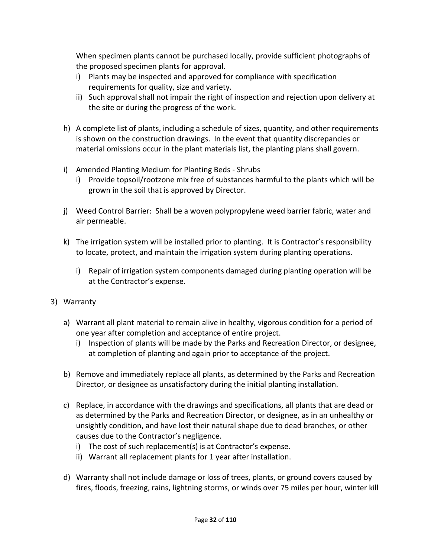When specimen plants cannot be purchased locally, provide sufficient photographs of the proposed specimen plants for approval.

- i) Plants may be inspected and approved for compliance with specification requirements for quality, size and variety.
- ii) Such approval shall not impair the right of inspection and rejection upon delivery at the site or during the progress of the work.
- h) A complete list of plants, including a schedule of sizes, quantity, and other requirements is shown on the construction drawings. In the event that quantity discrepancies or material omissions occur in the plant materials list, the planting plans shall govern.
- i) Amended Planting Medium for Planting Beds Shrubs
	- i) Provide topsoil/rootzone mix free of substances harmful to the plants which will be grown in the soil that is approved by Director.
- j) Weed Control Barrier: Shall be a woven polypropylene weed barrier fabric, water and air permeable.
- k) The irrigation system will be installed prior to planting. It is Contractor's responsibility to locate, protect, and maintain the irrigation system during planting operations.
	- i) Repair of irrigation system components damaged during planting operation will be at the Contractor's expense.
- 3) Warranty
	- a) Warrant all plant material to remain alive in healthy, vigorous condition for a period of one year after completion and acceptance of entire project.
		- i) Inspection of plants will be made by the Parks and Recreation Director, or designee, at completion of planting and again prior to acceptance of the project.
	- b) Remove and immediately replace all plants, as determined by the Parks and Recreation Director, or designee as unsatisfactory during the initial planting installation.
	- c) Replace, in accordance with the drawings and specifications, all plants that are dead or as determined by the Parks and Recreation Director, or designee, as in an unhealthy or unsightly condition, and have lost their natural shape due to dead branches, or other causes due to the Contractor's negligence.
		- i) The cost of such replacement(s) is at Contractor's expense.
		- ii) Warrant all replacement plants for 1 year after installation.
	- d) Warranty shall not include damage or loss of trees, plants, or ground covers caused by fires, floods, freezing, rains, lightning storms, or winds over 75 miles per hour, winter kill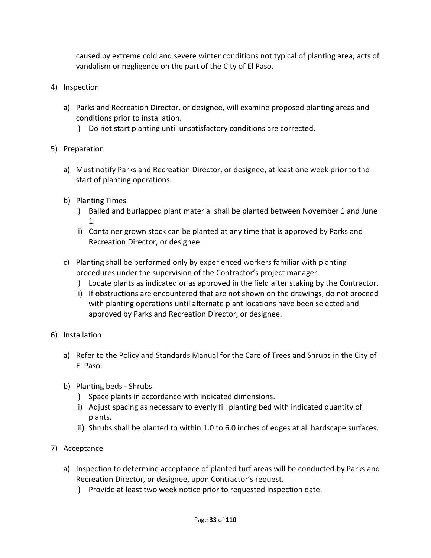caused by extreme cold and severe winter conditions not typical of planting area; acts of vandalism or negligence on the part of the City of El Paso.

- 4) Inspection
	- a) Parks and Recreation Director, or designee, will examine proposed planting areas and conditions prior to installation.
		- i) Do not start planting until unsatisfactory conditions are corrected.
- 5) Preparation
	- a) Must notify Parks and Recreation Director, or designee, at least one week prior to the start of planting operations.
	- b) Planting Times
		- i) Balled and burlapped plant material shall be planted between November 1 and June 1.
		- ii) Container grown stock can be planted at any time that is approved by Parks and Recreation Director, or designee.
	- c) Planting shall be performed only by experienced workers familiar with planting procedures under the supervision of the Contractor's project manager.
		- i) Locate plants as indicated or as approved in the field after staking by the Contractor.
		- ii) If obstructions are encountered that are not shown on the drawings, do not proceed with planting operations until alternate plant locations have been selected and approved by Parks and Recreation Director, or designee.
- 6) Installation
	- a) Refer to the Policy and Standards Manual for the Care of Trees and Shrubs in the City of El Paso.
	- b) Planting beds Shrubs
		- i) Space plants in accordance with indicated dimensions.
		- ii) Adjust spacing as necessary to evenly fill planting bed with indicated quantity of plants.
		- iii) Shrubs shall be planted to within 1.0 to 6.0 inches of edges at all hardscape surfaces.
- 7) Acceptance
	- a) Inspection to determine acceptance of planted turf areas will be conducted by Parks and Recreation Director, or designee, upon Contractor's request.
		- i) Provide at least two week notice prior to requested inspection date.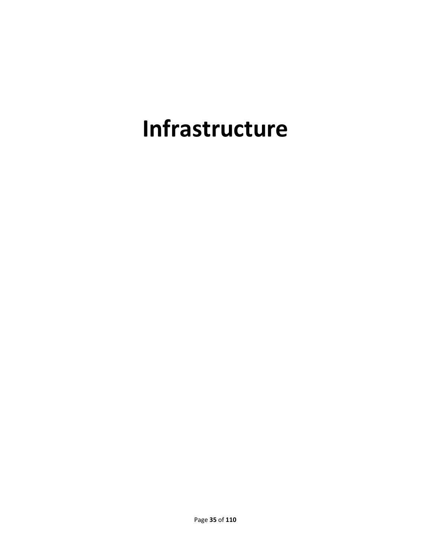### **Infrastructure**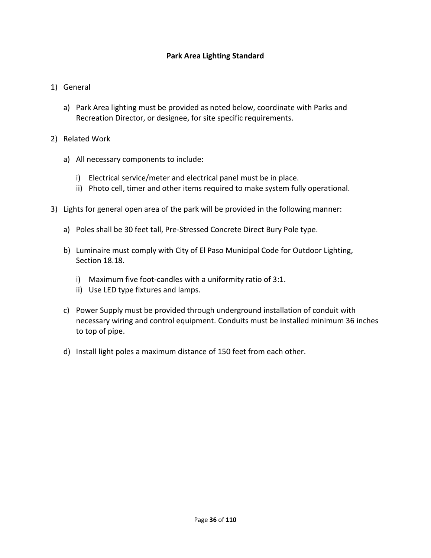#### **Park Area Lighting Standard**

#### 1) General

a) Park Area lighting must be provided as noted below, coordinate with Parks and Recreation Director, or designee, for site specific requirements.

#### 2) Related Work

- a) All necessary components to include:
	- i) Electrical service/meter and electrical panel must be in place.
	- ii) Photo cell, timer and other items required to make system fully operational.
- 3) Lights for general open area of the park will be provided in the following manner:
	- a) Poles shall be 30 feet tall, Pre-Stressed Concrete Direct Bury Pole type.
	- b) Luminaire must comply with City of El Paso Municipal Code for Outdoor Lighting, Section 18.18.
		- i) Maximum five foot-candles with a uniformity ratio of 3:1.
		- ii) Use LED type fixtures and lamps.
	- c) Power Supply must be provided through underground installation of conduit with necessary wiring and control equipment. Conduits must be installed minimum 36 inches to top of pipe.
	- d) Install light poles a maximum distance of 150 feet from each other.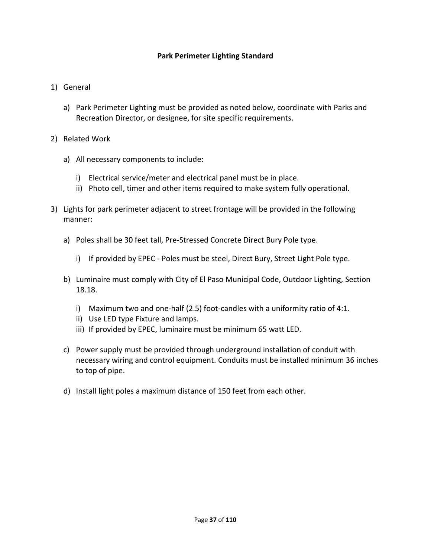#### **Park Perimeter Lighting Standard**

#### 1) General

a) Park Perimeter Lighting must be provided as noted below, coordinate with Parks and Recreation Director, or designee, for site specific requirements.

#### 2) Related Work

- a) All necessary components to include:
	- i) Electrical service/meter and electrical panel must be in place.
	- ii) Photo cell, timer and other items required to make system fully operational.
- 3) Lights for park perimeter adjacent to street frontage will be provided in the following manner:
	- a) Poles shall be 30 feet tall, Pre-Stressed Concrete Direct Bury Pole type.
		- i) If provided by EPEC Poles must be steel, Direct Bury, Street Light Pole type.
	- b) Luminaire must comply with City of El Paso Municipal Code, Outdoor Lighting, Section 18.18.
		- i) Maximum two and one-half (2.5) foot-candles with a uniformity ratio of 4:1.
		- ii) Use LED type Fixture and lamps.
		- iii) If provided by EPEC, luminaire must be minimum 65 watt LED.
	- c) Power supply must be provided through underground installation of conduit with necessary wiring and control equipment. Conduits must be installed minimum 36 inches to top of pipe.
	- d) Install light poles a maximum distance of 150 feet from each other.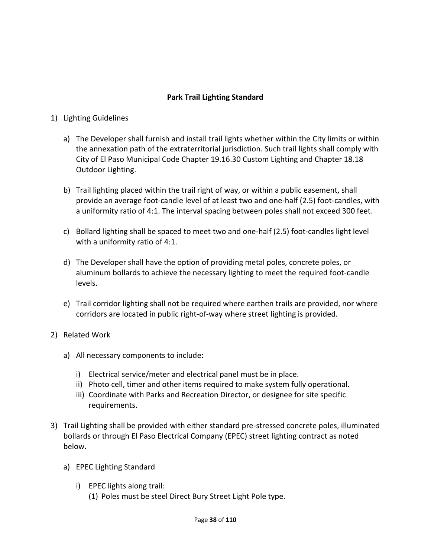# **Park Trail Lighting Standard**

# 1) Lighting Guidelines

- a) The Developer shall furnish and install trail lights whether within the City limits or within the annexation path of the extraterritorial jurisdiction. Such trail lights shall comply with City of El Paso Municipal Code Chapter 19.16.30 Custom Lighting and Chapter 18.18 Outdoor Lighting.
- b) Trail lighting placed within the trail right of way, or within a public easement, shall provide an average foot-candle level of at least two and one-half (2.5) foot-candles, with a uniformity ratio of 4:1. The interval spacing between poles shall not exceed 300 feet.
- c) Bollard lighting shall be spaced to meet two and one-half (2.5) foot-candles light level with a uniformity ratio of 4:1.
- d) The Developer shall have the option of providing metal poles, concrete poles, or aluminum bollards to achieve the necessary lighting to meet the required foot-candle levels.
- e) Trail corridor lighting shall not be required where earthen trails are provided, nor where corridors are located in public right-of-way where street lighting is provided.
- 2) Related Work
	- a) All necessary components to include:
		- i) Electrical service/meter and electrical panel must be in place.
		- ii) Photo cell, timer and other items required to make system fully operational.
		- iii) Coordinate with Parks and Recreation Director, or designee for site specific requirements.
- 3) Trail Lighting shall be provided with either standard pre-stressed concrete poles, illuminated bollards or through El Paso Electrical Company (EPEC) street lighting contract as noted below.
	- a) EPEC Lighting Standard
		- i) EPEC lights along trail: (1) Poles must be steel Direct Bury Street Light Pole type.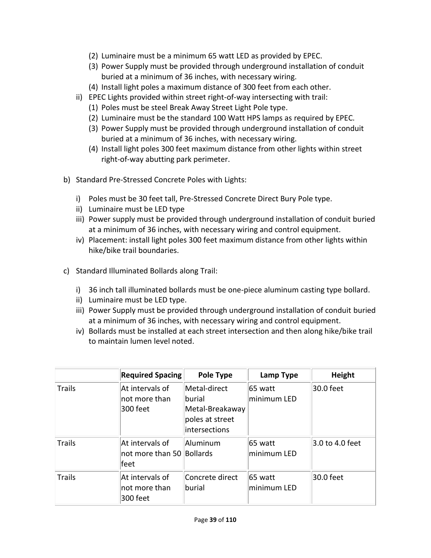- (2) Luminaire must be a minimum 65 watt LED as provided by EPEC.
- (3) Power Supply must be provided through underground installation of conduit buried at a minimum of 36 inches, with necessary wiring.
- (4) Install light poles a maximum distance of 300 feet from each other.
- ii) EPEC Lights provided within street right-of-way intersecting with trail:
	- (1) Poles must be steel Break Away Street Light Pole type.
	- (2) Luminaire must be the standard 100 Watt HPS lamps as required by EPEC.
	- (3) Power Supply must be provided through underground installation of conduit buried at a minimum of 36 inches, with necessary wiring.
	- (4) Install light poles 300 feet maximum distance from other lights within street right-of-way abutting park perimeter.
- b) Standard Pre-Stressed Concrete Poles with Lights:
	- i) Poles must be 30 feet tall, Pre-Stressed Concrete Direct Bury Pole type.
	- ii) Luminaire must be LED type
	- iii) Power supply must be provided through underground installation of conduit buried at a minimum of 36 inches, with necessary wiring and control equipment.
	- iv) Placement: install light poles 300 feet maximum distance from other lights within hike/bike trail boundaries.
- c) Standard Illuminated Bollards along Trail:
	- i) 36 inch tall illuminated bollards must be one-piece aluminum casting type bollard.
	- ii) Luminaire must be LED type.
	- iii) Power Supply must be provided through underground installation of conduit buried at a minimum of 36 inches, with necessary wiring and control equipment.
	- iv) Bollards must be installed at each street intersection and then along hike/bike trail to maintain lumen level noted.

|               | <b>Required Spacing</b>                              | Pole Type                                                                     | Lamp Type                   | <b>Height</b>   |
|---------------|------------------------------------------------------|-------------------------------------------------------------------------------|-----------------------------|-----------------|
| <b>Trails</b> | At intervals of<br>not more than<br>300 feet         | Metal-direct<br>burial<br>Metal-Breakaway<br>poles at street<br>intersections | l65 watt<br>minimum LED     | 30.0 feet       |
| <b>Trails</b> | At intervals of<br>not more than 50 Bollards<br>feet | Aluminum                                                                      | $65$ watt<br>minimum LED    | 3.0 to 4.0 feet |
| <b>Trails</b> | At intervals of<br>not more than<br>300 feet         | Concrete direct<br>burial                                                     | ∣65 watt<br>$ $ minimum LED | 30.0 feet       |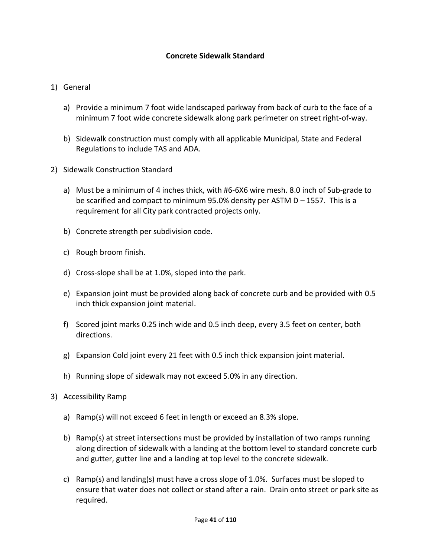#### **Concrete Sidewalk Standard**

#### 1) General

- a) Provide a minimum 7 foot wide landscaped parkway from back of curb to the face of a minimum 7 foot wide concrete sidewalk along park perimeter on street right-of-way.
- b) Sidewalk construction must comply with all applicable Municipal, State and Federal Regulations to include TAS and ADA.
- 2) Sidewalk Construction Standard
	- a) Must be a minimum of 4 inches thick, with #6-6X6 wire mesh. 8.0 inch of Sub-grade to be scarified and compact to minimum 95.0% density per ASTM D – 1557. This is a requirement for all City park contracted projects only.
	- b) Concrete strength per subdivision code.
	- c) Rough broom finish.
	- d) Cross-slope shall be at 1.0%, sloped into the park.
	- e) Expansion joint must be provided along back of concrete curb and be provided with 0.5 inch thick expansion joint material.
	- f) Scored joint marks 0.25 inch wide and 0.5 inch deep, every 3.5 feet on center, both directions.
	- g) Expansion Cold joint every 21 feet with 0.5 inch thick expansion joint material.
	- h) Running slope of sidewalk may not exceed 5.0% in any direction.
- 3) Accessibility Ramp
	- a) Ramp(s) will not exceed 6 feet in length or exceed an 8.3% slope.
	- b) Ramp(s) at street intersections must be provided by installation of two ramps running along direction of sidewalk with a landing at the bottom level to standard concrete curb and gutter, gutter line and a landing at top level to the concrete sidewalk.
	- c) Ramp(s) and landing(s) must have a cross slope of 1.0%. Surfaces must be sloped to ensure that water does not collect or stand after a rain. Drain onto street or park site as required.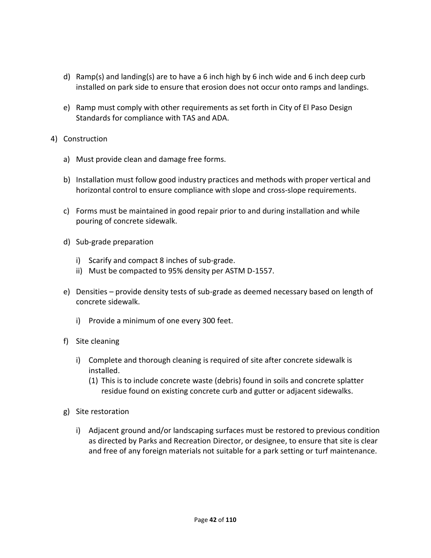- d) Ramp(s) and landing(s) are to have a 6 inch high by 6 inch wide and 6 inch deep curb installed on park side to ensure that erosion does not occur onto ramps and landings.
- e) Ramp must comply with other requirements as set forth in City of El Paso Design Standards for compliance with TAS and ADA.
- 4) Construction
	- a) Must provide clean and damage free forms.
	- b) Installation must follow good industry practices and methods with proper vertical and horizontal control to ensure compliance with slope and cross-slope requirements.
	- c) Forms must be maintained in good repair prior to and during installation and while pouring of concrete sidewalk.
	- d) Sub-grade preparation
		- i) Scarify and compact 8 inches of sub-grade.
		- ii) Must be compacted to 95% density per ASTM D-1557.
	- e) Densities provide density tests of sub-grade as deemed necessary based on length of concrete sidewalk.
		- i) Provide a minimum of one every 300 feet.
	- f) Site cleaning
		- i) Complete and thorough cleaning is required of site after concrete sidewalk is installed.
			- (1) This is to include concrete waste (debris) found in soils and concrete splatter residue found on existing concrete curb and gutter or adjacent sidewalks.
	- g) Site restoration
		- i) Adjacent ground and/or landscaping surfaces must be restored to previous condition as directed by Parks and Recreation Director, or designee, to ensure that site is clear and free of any foreign materials not suitable for a park setting or turf maintenance.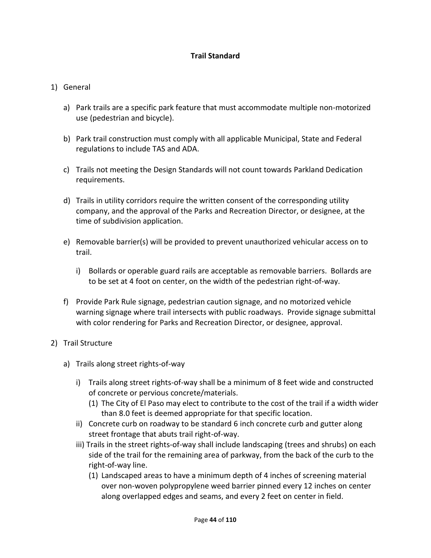## **Trail Standard**

#### 1) General

- a) Park trails are a specific park feature that must accommodate multiple non-motorized use (pedestrian and bicycle).
- b) Park trail construction must comply with all applicable Municipal, State and Federal regulations to include TAS and ADA.
- c) Trails not meeting the Design Standards will not count towards Parkland Dedication requirements.
- d) Trails in utility corridors require the written consent of the corresponding utility company, and the approval of the Parks and Recreation Director, or designee, at the time of subdivision application.
- e) Removable barrier(s) will be provided to prevent unauthorized vehicular access on to trail.
	- i) Bollards or operable guard rails are acceptable as removable barriers. Bollards are to be set at 4 foot on center, on the width of the pedestrian right-of-way.
- f) Provide Park Rule signage, pedestrian caution signage, and no motorized vehicle warning signage where trail intersects with public roadways. Provide signage submittal with color rendering for Parks and Recreation Director, or designee, approval.

#### 2) Trail Structure

- a) Trails along street rights-of-way
	- i) Trails along street rights-of-way shall be a minimum of 8 feet wide and constructed of concrete or pervious concrete/materials.
		- (1) The City of El Paso may elect to contribute to the cost of the trail if a width wider than 8.0 feet is deemed appropriate for that specific location.
	- ii) Concrete curb on roadway to be standard 6 inch concrete curb and gutter along street frontage that abuts trail right-of-way.
	- iii) Trails in the street rights-of-way shall include landscaping (trees and shrubs) on each side of the trail for the remaining area of parkway, from the back of the curb to the right-of-way line.
		- (1) Landscaped areas to have a minimum depth of 4 inches of screening material over non-woven polypropylene weed barrier pinned every 12 inches on center along overlapped edges and seams, and every 2 feet on center in field.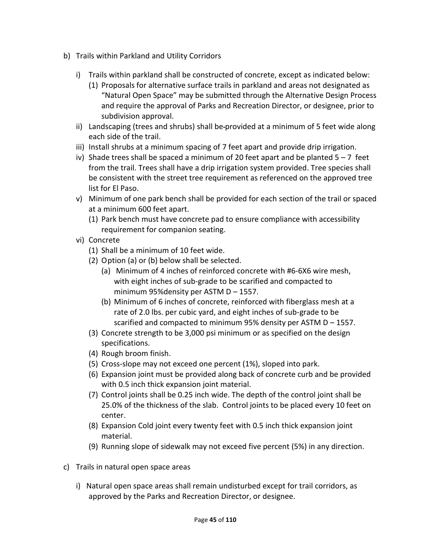- b) Trails within Parkland and Utility Corridors
	- i) Trails within parkland shall be constructed of concrete, except as indicated below:
		- (1) Proposals for alternative surface trails in parkland and areas not designated as "Natural Open Space" may be submitted through the Alternative Design Process and require the approval of Parks and Recreation Director, or designee, prior to subdivision approval.
	- ii) Landscaping (trees and shrubs) shall be provided at a minimum of 5 feet wide along each side of the trail.
	- iii) Install shrubs at a minimum spacing of 7 feet apart and provide drip irrigation.
	- iv) Shade trees shall be spaced a minimum of 20 feet apart and be planted  $5 7$  feet from the trail. Trees shall have a drip irrigation system provided. Tree species shall be consistent with the street tree requirement as referenced on the approved tree list for El Paso.
	- v) Minimum of one park bench shall be provided for each section of the trail or spaced at a minimum 600 feet apart.
		- (1) Park bench must have concrete pad to ensure compliance with accessibility requirement for companion seating.
	- vi) Concrete
		- (1) Shall be a minimum of 10 feet wide.
		- (2) Option (a) or (b) below shall be selected.
			- (a) Minimum of 4 inches of reinforced concrete with #6-6X6 wire mesh, with eight inches of sub-grade to be scarified and compacted to minimum 95%density per ASTM D – 1557.
			- (b) Minimum of 6 inches of concrete, reinforced with fiberglass mesh at a rate of 2.0 lbs. per cubic yard, and eight inches of sub-grade to be scarified and compacted to minimum 95% density per ASTM D – 1557.
		- (3) Concrete strength to be 3,000 psi minimum or as specified on the design specifications.
		- (4) Rough broom finish.
		- (5) Cross-slope may not exceed one percent (1%), sloped into park.
		- (6) Expansion joint must be provided along back of concrete curb and be provided with 0.5 inch thick expansion joint material.
		- (7) Control joints shall be 0.25 inch wide. The depth of the control joint shall be 25.0% of the thickness of the slab. Control joints to be placed every 10 feet on center.
		- (8) Expansion Cold joint every twenty feet with 0.5 inch thick expansion joint material.
		- (9) Running slope of sidewalk may not exceed five percent (5%) in any direction.
- c) Trails in natural open space areas
	- i) Natural open space areas shall remain undisturbed except for trail corridors, as approved by the Parks and Recreation Director, or designee.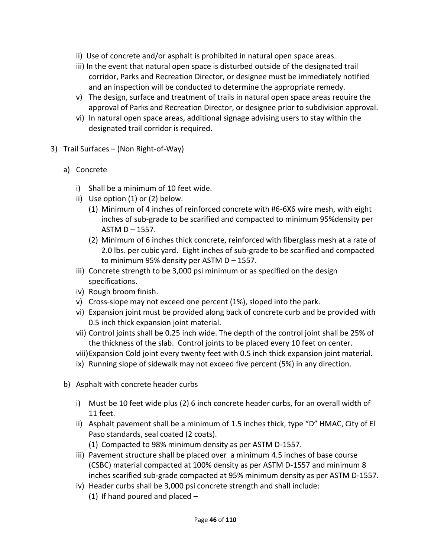- ii) Use of concrete and/or asphalt is prohibited in natural open space areas.
- iii) In the event that natural open space is disturbed outside of the designated trail corridor, Parks and Recreation Director, or designee must be immediately notified and an inspection will be conducted to determine the appropriate remedy.
- v) The design, surface and treatment of trails in natural open space areas require the approval of Parks and Recreation Director, or designee prior to subdivision approval.
- vi) In natural open space areas, additional signage advising users to stay within the designated trail corridor is required.
- 3) Trail Surfaces (Non Right-of-Way)
	- a) Concrete
		- i) Shall be a minimum of 10 feet wide.
		- ii) Use option (1) or (2) below.
			- (1) Minimum of 4 inches of reinforced concrete with #6-6X6 wire mesh, with eight inches of sub-grade to be scarified and compacted to minimum 95%density per ASTM D – 1557.
			- (2) Minimum of 6 inches thick concrete, reinforced with fiberglass mesh at a rate of 2.0 lbs. per cubic yard. Eight inches of sub-grade to be scarified and compacted to minimum 95% density per ASTM D – 1557.
		- iii) Concrete strength to be 3,000 psi minimum or as specified on the design specifications.
		- iv) Rough broom finish.
		- v) Cross-slope may not exceed one percent (1%), sloped into the park.
		- vi) Expansion joint must be provided along back of concrete curb and be provided with 0.5 inch thick expansion joint material.
		- vii) Control joints shall be 0.25 inch wide. The depth of the control joint shall be 25% of the thickness of the slab. Control joints to be placed every 10 feet on center.
		- viii)Expansion Cold joint every twenty feet with 0.5 inch thick expansion joint material.
		- ix) Running slope of sidewalk may not exceed five percent (5%) in any direction.
	- b) Asphalt with concrete header curbs
		- i) Must be 10 feet wide plus (2) 6 inch concrete header curbs, for an overall width of 11 feet.
		- ii) Asphalt pavement shall be a minimum of 1.5 inches thick, type "D" HMAC, City of El Paso standards, seal coated (2 coats).
			- (1) Compacted to 98% minimum density as per ASTM D-1557.
		- iii) Pavement structure shall be placed over a minimum 4.5 inches of base course (CSBC) material compacted at 100% density as per ASTM D-1557 and minimum 8 inches scarified sub-grade compacted at 95% minimum density as per ASTM D-1557.
		- iv) Header curbs shall be 3,000 psi concrete strength and shall include: (1) If hand poured and placed  $-$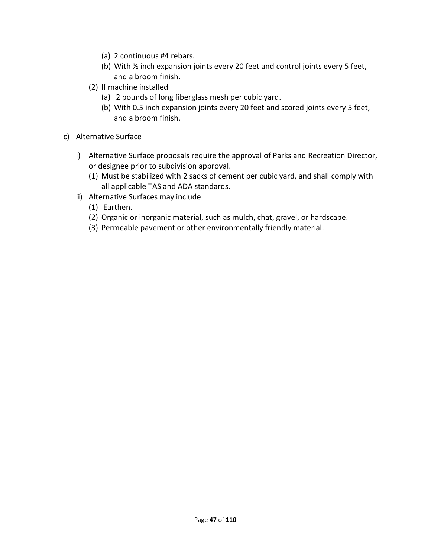- (a) 2 continuous #4 rebars.
- (b) With ½ inch expansion joints every 20 feet and control joints every 5 feet, and a broom finish.
- (2) If machine installed
	- (a) 2 pounds of long fiberglass mesh per cubic yard.
	- (b) With 0.5 inch expansion joints every 20 feet and scored joints every 5 feet, and a broom finish.
- c) Alternative Surface
	- i) Alternative Surface proposals require the approval of Parks and Recreation Director, or designee prior to subdivision approval.
		- (1) Must be stabilized with 2 sacks of cement per cubic yard, and shall comply with all applicable TAS and ADA standards.
	- ii) Alternative Surfaces may include:
		- (1) Earthen.
		- (2) Organic or inorganic material, such as mulch, chat, gravel, or hardscape.
		- (3) Permeable pavement or other environmentally friendly material.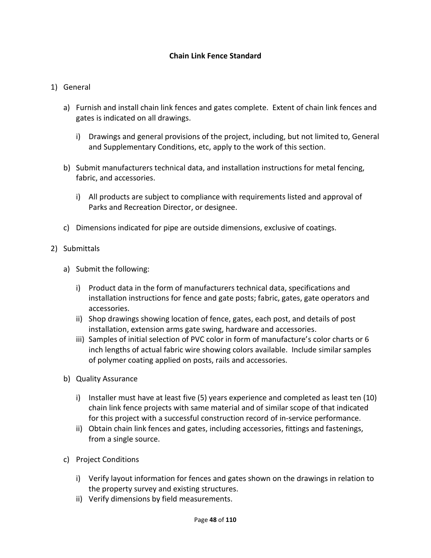## **Chain Link Fence Standard**

#### 1) General

- a) Furnish and install chain link fences and gates complete. Extent of chain link fences and gates is indicated on all drawings.
	- i) Drawings and general provisions of the project, including, but not limited to, General and Supplementary Conditions, etc, apply to the work of this section.
- b) Submit manufacturers technical data, and installation instructions for metal fencing, fabric, and accessories.
	- i) All products are subject to compliance with requirements listed and approval of Parks and Recreation Director, or designee.
- c) Dimensions indicated for pipe are outside dimensions, exclusive of coatings.

#### 2) Submittals

- a) Submit the following:
	- i) Product data in the form of manufacturers technical data, specifications and installation instructions for fence and gate posts; fabric, gates, gate operators and accessories.
	- ii) Shop drawings showing location of fence, gates, each post, and details of post installation, extension arms gate swing, hardware and accessories.
	- iii) Samples of initial selection of PVC color in form of manufacture's color charts or 6 inch lengths of actual fabric wire showing colors available. Include similar samples of polymer coating applied on posts, rails and accessories.
- b) Quality Assurance
	- i) Installer must have at least five (5) years experience and completed as least ten (10) chain link fence projects with same material and of similar scope of that indicated for this project with a successful construction record of in-service performance.
	- ii) Obtain chain link fences and gates, including accessories, fittings and fastenings, from a single source.
- c) Project Conditions
	- i) Verify layout information for fences and gates shown on the drawings in relation to the property survey and existing structures.
	- ii) Verify dimensions by field measurements.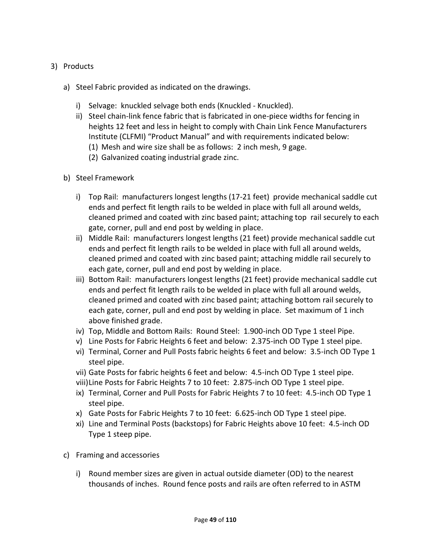# 3) Products

- a) Steel Fabric provided as indicated on the drawings.
	- i) Selvage: knuckled selvage both ends (Knuckled Knuckled).
	- ii) Steel chain-link fence fabric that is fabricated in one-piece widths for fencing in heights 12 feet and less in height to comply with Chain Link Fence Manufacturers Institute (CLFMI) "Product Manual" and with requirements indicated below: (1) Mesh and wire size shall be as follows: 2 inch mesh, 9 gage.
		- (2) Galvanized coating industrial grade zinc.
- b) Steel Framework
	- i) Top Rail: manufacturers longest lengths (17-21 feet) provide mechanical saddle cut ends and perfect fit length rails to be welded in place with full all around welds, cleaned primed and coated with zinc based paint; attaching top rail securely to each gate, corner, pull and end post by welding in place.
	- ii) Middle Rail: manufacturers longest lengths (21 feet) provide mechanical saddle cut ends and perfect fit length rails to be welded in place with full all around welds, cleaned primed and coated with zinc based paint; attaching middle rail securely to each gate, corner, pull and end post by welding in place.
	- iii) Bottom Rail: manufacturers longest lengths (21 feet) provide mechanical saddle cut ends and perfect fit length rails to be welded in place with full all around welds, cleaned primed and coated with zinc based paint; attaching bottom rail securely to each gate, corner, pull and end post by welding in place. Set maximum of 1 inch above finished grade.
	- iv) Top, Middle and Bottom Rails: Round Steel: 1.900-inch OD Type 1 steel Pipe.
	- v) Line Posts for Fabric Heights 6 feet and below: 2.375-inch OD Type 1 steel pipe.
	- vi) Terminal, Corner and Pull Posts fabric heights 6 feet and below: 3.5-inch OD Type 1 steel pipe.
	- vii) Gate Posts for fabric heights 6 feet and below: 4.5-inch OD Type 1 steel pipe.
	- viii)Line Posts for Fabric Heights 7 to 10 feet: 2.875-inch OD Type 1 steel pipe.
	- ix) Terminal, Corner and Pull Posts for Fabric Heights 7 to 10 feet: 4.5-inch OD Type 1 steel pipe.
	- x) Gate Posts for Fabric Heights 7 to 10 feet: 6.625-inch OD Type 1 steel pipe.
	- xi) Line and Terminal Posts (backstops) for Fabric Heights above 10 feet: 4.5-inch OD Type 1 steep pipe.
- c) Framing and accessories
	- i) Round member sizes are given in actual outside diameter (OD) to the nearest thousands of inches. Round fence posts and rails are often referred to in ASTM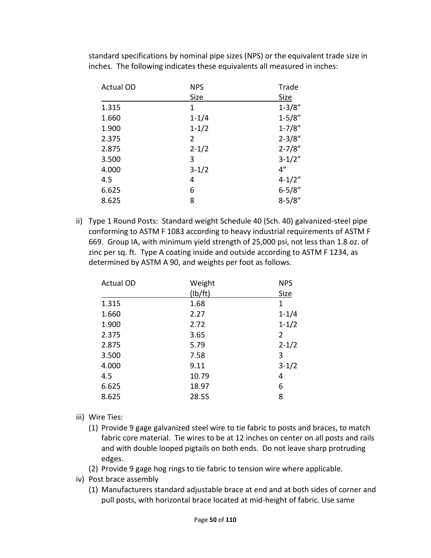| Trade      |
|------------|
|            |
| $1 - 3/8"$ |
| $1 - 5/8"$ |
| $1 - 7/8"$ |
| $2 - 3/8"$ |
| $2 - 7/8"$ |
| $3 - 1/2"$ |
|            |
| $4 - 1/2"$ |
| $6 - 5/8"$ |
| $8 - 5/8"$ |
|            |

standard specifications by nominal pipe sizes (NPS) or the equivalent trade size in inches. The following indicates these equivalents all measured in inches:

ii) Type 1 Round Posts: Standard weight Schedule 40 (Sch. 40) galvanized-steel pipe conforming to ASTM F 1083 according to heavy industrial requirements of ASTM F 669. Group IA, with minimum yield strength of 25,000 psi, not less than 1.8 oz. of zinc per sq. ft. Type A coating inside and outside according to ASTM F 1234, as determined by ASTM A 90, and weights per foot as follows.

| <b>Actual OD</b> | Weight  | <b>NPS</b>  |  |
|------------------|---------|-------------|--|
|                  | (lb/ft) | <b>Size</b> |  |
| 1.315            | 1.68    | 1           |  |
| 1.660            | 2.27    | $1 - 1/4$   |  |
| 1.900            | 2.72    | $1 - 1/2$   |  |
| 2.375            | 3.65    | 2           |  |
| 2.875            | 5.79    | $2 - 1/2$   |  |
| 3.500            | 7.58    | 3           |  |
| 4.000            | 9.11    | $3 - 1/2$   |  |
| 4.5              | 10.79   | 4           |  |
| 6.625            | 18.97   | 6           |  |
| 8.625            | 28.55   | 8           |  |
|                  |         |             |  |

- iii) Wire Ties:
	- (1) Provide 9 gage galvanized steel wire to tie fabric to posts and braces, to match fabric core material. Tie wires to be at 12 inches on center on all posts and rails and with double looped pigtails on both ends. Do not leave sharp protruding edges.
	- (2) Provide 9 gage hog rings to tie fabric to tension wire where applicable.
- iv) Post brace assembly
	- (1) Manufacturers standard adjustable brace at end and at both sides of corner and pull posts, with horizontal brace located at mid-height of fabric. Use same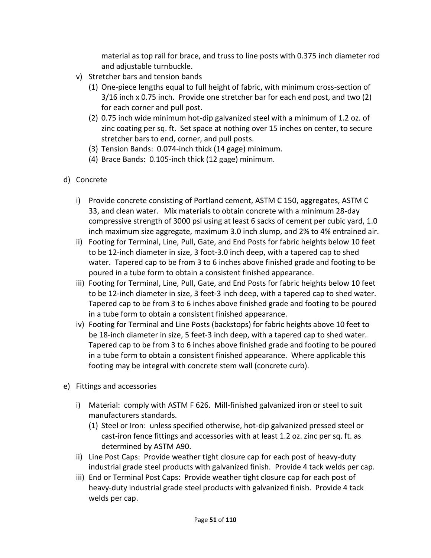material as top rail for brace, and truss to line posts with 0.375 inch diameter rod and adjustable turnbuckle.

- v) Stretcher bars and tension bands
	- (1) One-piece lengths equal to full height of fabric, with minimum cross-section of 3/16 inch x 0.75 inch. Provide one stretcher bar for each end post, and two (2) for each corner and pull post.
	- (2) 0.75 inch wide minimum hot-dip galvanized steel with a minimum of 1.2 oz. of zinc coating per sq. ft. Set space at nothing over 15 inches on center, to secure stretcher bars to end, corner, and pull posts.
	- (3) Tension Bands: 0.074-inch thick (14 gage) minimum.
	- (4) Brace Bands: 0.105-inch thick (12 gage) minimum.
- d) Concrete
	- i) Provide concrete consisting of Portland cement, ASTM C 150, aggregates, ASTM C 33, and clean water. Mix materials to obtain concrete with a minimum 28-day compressive strength of 3000 psi using at least 6 sacks of cement per cubic yard, 1.0 inch maximum size aggregate, maximum 3.0 inch slump, and 2% to 4% entrained air.
	- ii) Footing for Terminal, Line, Pull, Gate, and End Posts for fabric heights below 10 feet to be 12-inch diameter in size, 3 foot-3.0 inch deep, with a tapered cap to shed water. Tapered cap to be from 3 to 6 inches above finished grade and footing to be poured in a tube form to obtain a consistent finished appearance.
	- iii) Footing for Terminal, Line, Pull, Gate, and End Posts for fabric heights below 10 feet to be 12-inch diameter in size, 3 feet-3 inch deep, with a tapered cap to shed water. Tapered cap to be from 3 to 6 inches above finished grade and footing to be poured in a tube form to obtain a consistent finished appearance.
	- iv) Footing for Terminal and Line Posts (backstops) for fabric heights above 10 feet to be 18-inch diameter in size, 5 feet-3 inch deep, with a tapered cap to shed water. Tapered cap to be from 3 to 6 inches above finished grade and footing to be poured in a tube form to obtain a consistent finished appearance. Where applicable this footing may be integral with concrete stem wall (concrete curb).
- e) Fittings and accessories
	- i) Material: comply with ASTM F 626. Mill-finished galvanized iron or steel to suit manufacturers standards.
		- (1) Steel or Iron: unless specified otherwise, hot-dip galvanized pressed steel or cast-iron fence fittings and accessories with at least 1.2 oz. zinc per sq. ft. as determined by ASTM A90.
	- ii) Line Post Caps: Provide weather tight closure cap for each post of heavy-duty industrial grade steel products with galvanized finish. Provide 4 tack welds per cap.
	- iii) End or Terminal Post Caps: Provide weather tight closure cap for each post of heavy-duty industrial grade steel products with galvanized finish. Provide 4 tack welds per cap.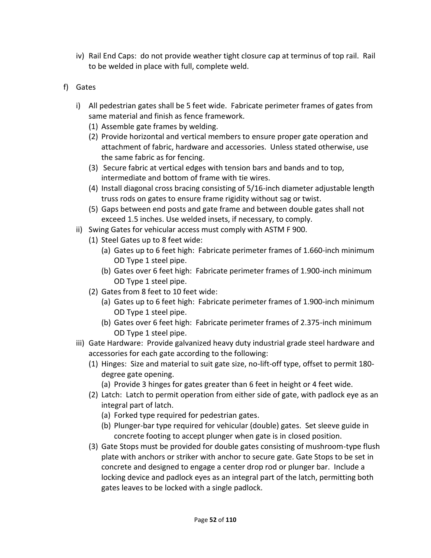- iv) Rail End Caps: do not provide weather tight closure cap at terminus of top rail. Rail to be welded in place with full, complete weld.
- f) Gates
	- i) All pedestrian gates shall be 5 feet wide. Fabricate perimeter frames of gates from same material and finish as fence framework.
		- (1) Assemble gate frames by welding.
		- (2) Provide horizontal and vertical members to ensure proper gate operation and attachment of fabric, hardware and accessories. Unless stated otherwise, use the same fabric as for fencing.
		- (3) Secure fabric at vertical edges with tension bars and bands and to top, intermediate and bottom of frame with tie wires.
		- (4) Install diagonal cross bracing consisting of 5/16-inch diameter adjustable length truss rods on gates to ensure frame rigidity without sag or twist.
		- (5) Gaps between end posts and gate frame and between double gates shall not exceed 1.5 inches. Use welded insets, if necessary, to comply.
	- ii) Swing Gates for vehicular access must comply with ASTM F 900.
		- (1) Steel Gates up to 8 feet wide:
			- (a) Gates up to 6 feet high: Fabricate perimeter frames of 1.660-inch minimum OD Type 1 steel pipe.
			- (b) Gates over 6 feet high: Fabricate perimeter frames of 1.900-inch minimum OD Type 1 steel pipe.
			- (2) Gates from 8 feet to 10 feet wide:
				- (a) Gates up to 6 feet high: Fabricate perimeter frames of 1.900-inch minimum OD Type 1 steel pipe.
				- (b) Gates over 6 feet high: Fabricate perimeter frames of 2.375-inch minimum OD Type 1 steel pipe.
	- iii) Gate Hardware: Provide galvanized heavy duty industrial grade steel hardware and accessories for each gate according to the following:
		- (1) Hinges: Size and material to suit gate size, no-lift-off type, offset to permit 180 degree gate opening.
			- (a) Provide 3 hinges for gates greater than 6 feet in height or 4 feet wide.
		- (2) Latch: Latch to permit operation from either side of gate, with padlock eye as an integral part of latch.
			- (a) Forked type required for pedestrian gates.
			- (b) Plunger-bar type required for vehicular (double) gates. Set sleeve guide in concrete footing to accept plunger when gate is in closed position.
		- (3) Gate Stops must be provided for double gates consisting of mushroom-type flush plate with anchors or striker with anchor to secure gate. Gate Stops to be set in concrete and designed to engage a center drop rod or plunger bar. Include a locking device and padlock eyes as an integral part of the latch, permitting both gates leaves to be locked with a single padlock.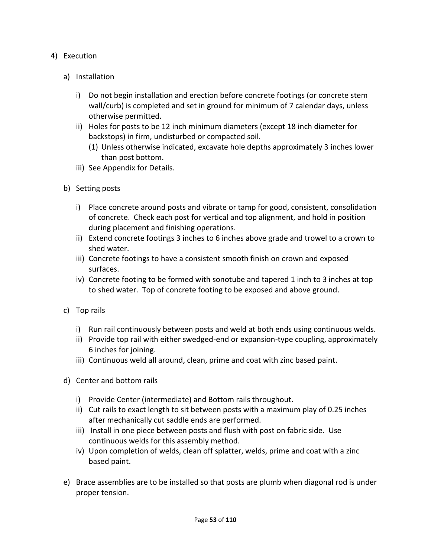## 4) Execution

- a) Installation
	- i) Do not begin installation and erection before concrete footings (or concrete stem wall/curb) is completed and set in ground for minimum of 7 calendar days, unless otherwise permitted.
	- ii) Holes for posts to be 12 inch minimum diameters (except 18 inch diameter for backstops) in firm, undisturbed or compacted soil.
		- (1) Unless otherwise indicated, excavate hole depths approximately 3 inches lower than post bottom.
	- iii) See Appendix for Details.
- b) Setting posts
	- i) Place concrete around posts and vibrate or tamp for good, consistent, consolidation of concrete. Check each post for vertical and top alignment, and hold in position during placement and finishing operations.
	- ii) Extend concrete footings 3 inches to 6 inches above grade and trowel to a crown to shed water.
	- iii) Concrete footings to have a consistent smooth finish on crown and exposed surfaces.
	- iv) Concrete footing to be formed with sonotube and tapered 1 inch to 3 inches at top to shed water. Top of concrete footing to be exposed and above ground.
- c) Top rails
	- i) Run rail continuously between posts and weld at both ends using continuous welds.
	- ii) Provide top rail with either swedged-end or expansion-type coupling, approximately 6 inches for joining.
	- iii) Continuous weld all around, clean, prime and coat with zinc based paint.
- d) Center and bottom rails
	- i) Provide Center (intermediate) and Bottom rails throughout.
	- ii) Cut rails to exact length to sit between posts with a maximum play of 0.25 inches after mechanically cut saddle ends are performed.
	- iii) Install in one piece between posts and flush with post on fabric side. Use continuous welds for this assembly method.
	- iv) Upon completion of welds, clean off splatter, welds, prime and coat with a zinc based paint.
- e) Brace assemblies are to be installed so that posts are plumb when diagonal rod is under proper tension.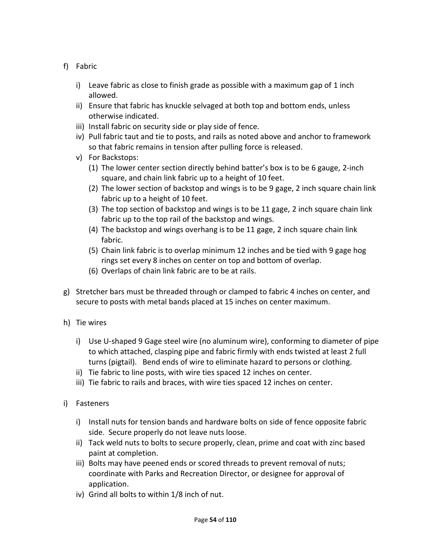- f) Fabric
	- i) Leave fabric as close to finish grade as possible with a maximum gap of 1 inch allowed.
	- ii) Ensure that fabric has knuckle selvaged at both top and bottom ends, unless otherwise indicated.
	- iii) Install fabric on security side or play side of fence.
	- iv) Pull fabric taut and tie to posts, and rails as noted above and anchor to framework so that fabric remains in tension after pulling force is released.
	- v) For Backstops:
		- (1) The lower center section directly behind batter's box is to be 6 gauge, 2-inch square, and chain link fabric up to a height of 10 feet.
		- (2) The lower section of backstop and wings is to be 9 gage, 2 inch square chain link fabric up to a height of 10 feet.
		- (3) The top section of backstop and wings is to be 11 gage, 2 inch square chain link fabric up to the top rail of the backstop and wings.
		- (4) The backstop and wings overhang is to be 11 gage, 2 inch square chain link fabric.
		- (5) Chain link fabric is to overlap minimum 12 inches and be tied with 9 gage hog rings set every 8 inches on center on top and bottom of overlap.
		- (6) Overlaps of chain link fabric are to be at rails.
- g) Stretcher bars must be threaded through or clamped to fabric 4 inches on center, and secure to posts with metal bands placed at 15 inches on center maximum.
- h) Tie wires
	- i) Use U-shaped 9 Gage steel wire (no aluminum wire), conforming to diameter of pipe to which attached, clasping pipe and fabric firmly with ends twisted at least 2 full turns (pigtail). Bend ends of wire to eliminate hazard to persons or clothing.
	- ii) Tie fabric to line posts, with wire ties spaced 12 inches on center.
	- iii) Tie fabric to rails and braces, with wire ties spaced 12 inches on center.
- i) Fasteners
	- i) Install nuts for tension bands and hardware bolts on side of fence opposite fabric side. Secure properly do not leave nuts loose.
	- ii) Tack weld nuts to bolts to secure properly, clean, prime and coat with zinc based paint at completion.
	- iii) Bolts may have peened ends or scored threads to prevent removal of nuts; coordinate with Parks and Recreation Director, or designee for approval of application.
	- iv) Grind all bolts to within 1/8 inch of nut.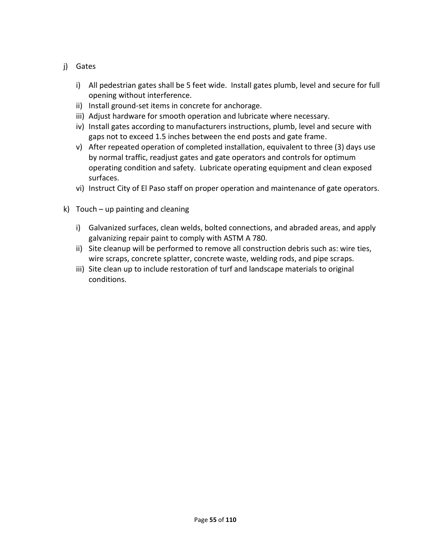- j) Gates
	- i) All pedestrian gates shall be 5 feet wide. Install gates plumb, level and secure for full opening without interference.
	- ii) Install ground-set items in concrete for anchorage.
	- iii) Adjust hardware for smooth operation and lubricate where necessary.
	- iv) Install gates according to manufacturers instructions, plumb, level and secure with gaps not to exceed 1.5 inches between the end posts and gate frame.
	- v) After repeated operation of completed installation, equivalent to three (3) days use by normal traffic, readjust gates and gate operators and controls for optimum operating condition and safety. Lubricate operating equipment and clean exposed surfaces.
	- vi) Instruct City of El Paso staff on proper operation and maintenance of gate operators.
- k) Touch up painting and cleaning
	- i) Galvanized surfaces, clean welds, bolted connections, and abraded areas, and apply galvanizing repair paint to comply with ASTM A 780.
	- ii) Site cleanup will be performed to remove all construction debris such as: wire ties, wire scraps, concrete splatter, concrete waste, welding rods, and pipe scraps.
	- iii) Site clean up to include restoration of turf and landscape materials to original conditions.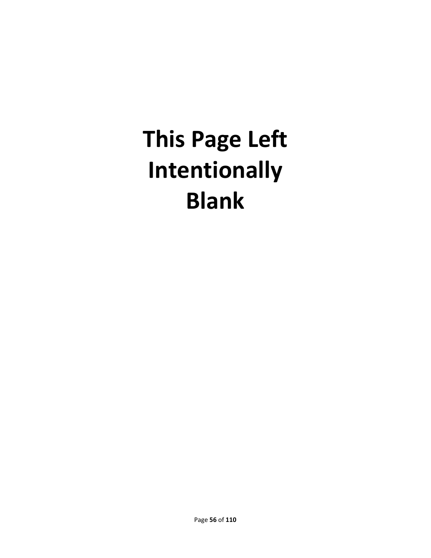# **This Page Left Intentionally Blank**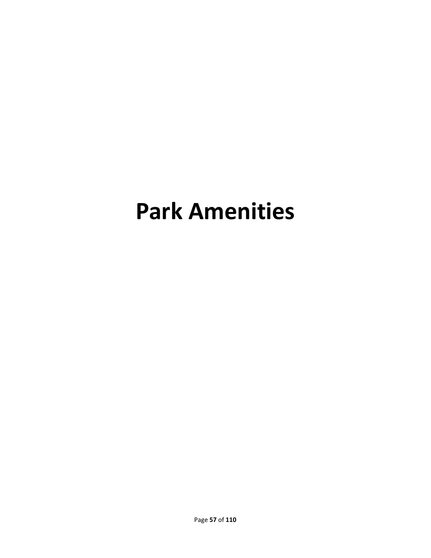# **Park Amenities**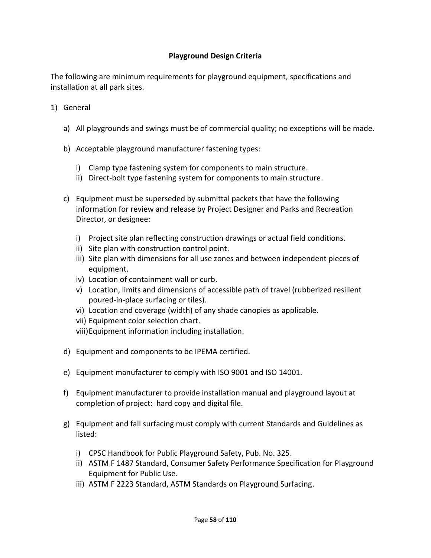## **Playground Design Criteria**

The following are minimum requirements for playground equipment, specifications and installation at all park sites.

- 1) General
	- a) All playgrounds and swings must be of commercial quality; no exceptions will be made.
	- b) Acceptable playground manufacturer fastening types:
		- i) Clamp type fastening system for components to main structure.
		- ii) Direct-bolt type fastening system for components to main structure.
	- c) Equipment must be superseded by submittal packets that have the following information for review and release by Project Designer and Parks and Recreation Director, or designee:
		- i) Project site plan reflecting construction drawings or actual field conditions.
		- ii) Site plan with construction control point.
		- iii) Site plan with dimensions for all use zones and between independent pieces of equipment.
		- iv) Location of containment wall or curb.
		- v) Location, limits and dimensions of accessible path of travel (rubberized resilient poured-in-place surfacing or tiles).
		- vi) Location and coverage (width) of any shade canopies as applicable.
		- vii) Equipment color selection chart.
		- viii)Equipment information including installation.
	- d) Equipment and components to be IPEMA certified.
	- e) Equipment manufacturer to comply with ISO 9001 and ISO 14001.
	- f) Equipment manufacturer to provide installation manual and playground layout at completion of project: hard copy and digital file.
	- g) Equipment and fall surfacing must comply with current Standards and Guidelines as listed:
		- i) CPSC Handbook for Public Playground Safety, Pub. No. 325.
		- ii) ASTM F 1487 Standard, Consumer Safety Performance Specification for Playground Equipment for Public Use.
		- iii) ASTM F 2223 Standard, ASTM Standards on Playground Surfacing.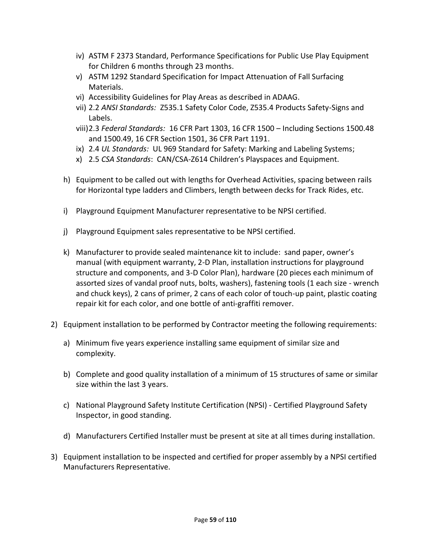- iv) ASTM F 2373 Standard, Performance Specifications for Public Use Play Equipment for Children 6 months through 23 months.
- v) ASTM 1292 Standard Specification for Impact Attenuation of Fall Surfacing Materials.
- vi) Accessibility Guidelines for Play Areas as described in ADAAG.
- vii) 2.2 *ANSI Standards:* Z535.1 Safety Color Code, Z535.4 Products Safety-Signs and Labels.
- viii)2.3 *Federal Standards:* 16 CFR Part 1303, 16 CFR 1500 Including Sections 1500.48 and 1500.49, 16 CFR Section 1501, 36 CFR Part 1191.
- ix) 2.4 *UL Standards:* UL 969 Standard for Safety: Marking and Labeling Systems;
- x) 2.5 *CSA Standards*: CAN/CSA-Z614 Children's Playspaces and Equipment.
- h) Equipment to be called out with lengths for Overhead Activities, spacing between rails for Horizontal type ladders and Climbers, length between decks for Track Rides, etc.
- i) Playground Equipment Manufacturer representative to be NPSI certified.
- j) Playground Equipment sales representative to be NPSI certified.
- k) Manufacturer to provide sealed maintenance kit to include: sand paper, owner's manual (with equipment warranty, 2-D Plan, installation instructions for playground structure and components, and 3-D Color Plan), hardware (20 pieces each minimum of assorted sizes of vandal proof nuts, bolts, washers), fastening tools (1 each size - wrench and chuck keys), 2 cans of primer, 2 cans of each color of touch-up paint, plastic coating repair kit for each color, and one bottle of anti-graffiti remover.
- 2) Equipment installation to be performed by Contractor meeting the following requirements:
	- a) Minimum five years experience installing same equipment of similar size and complexity.
	- b) Complete and good quality installation of a minimum of 15 structures of same or similar size within the last 3 years.
	- c) National Playground Safety Institute Certification (NPSI) Certified Playground Safety Inspector, in good standing.
	- d) Manufacturers Certified Installer must be present at site at all times during installation.
- 3) Equipment installation to be inspected and certified for proper assembly by a NPSI certified Manufacturers Representative.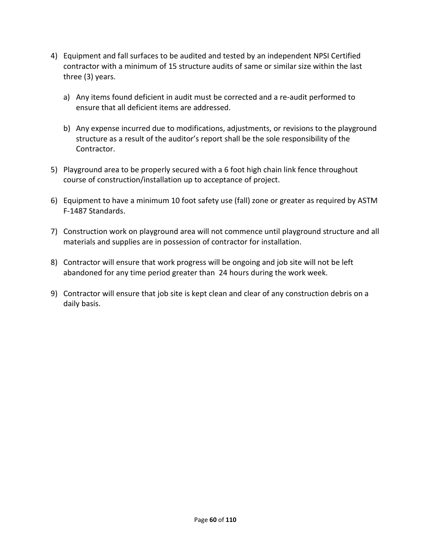- 4) Equipment and fall surfaces to be audited and tested by an independent NPSI Certified contractor with a minimum of 15 structure audits of same or similar size within the last three (3) years.
	- a) Any items found deficient in audit must be corrected and a re-audit performed to ensure that all deficient items are addressed.
	- b) Any expense incurred due to modifications, adjustments, or revisions to the playground structure as a result of the auditor's report shall be the sole responsibility of the Contractor.
- 5) Playground area to be properly secured with a 6 foot high chain link fence throughout course of construction/installation up to acceptance of project.
- 6) Equipment to have a minimum 10 foot safety use (fall) zone or greater as required by ASTM F-1487 Standards.
- 7) Construction work on playground area will not commence until playground structure and all materials and supplies are in possession of contractor for installation.
- 8) Contractor will ensure that work progress will be ongoing and job site will not be left abandoned for any time period greater than 24 hours during the work week.
- 9) Contractor will ensure that job site is kept clean and clear of any construction debris on a daily basis.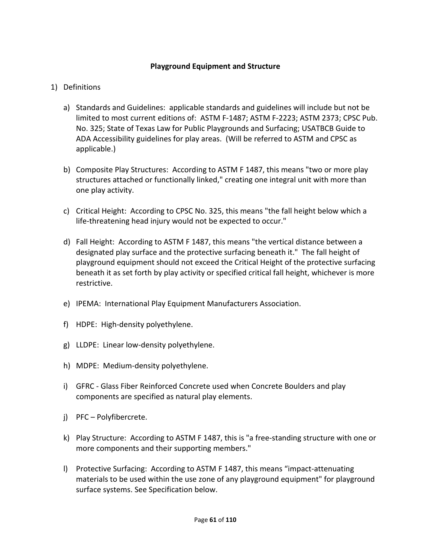#### **Playground Equipment and Structure**

## 1) Definitions

- a) Standards and Guidelines: applicable standards and guidelines will include but not be limited to most current editions of: ASTM F-1487; ASTM F-2223; ASTM 2373; CPSC Pub. No. 325; State of Texas Law for Public Playgrounds and Surfacing; USATBCB Guide to ADA Accessibility guidelines for play areas. (Will be referred to ASTM and CPSC as applicable.)
- b) Composite Play Structures: According to ASTM F 1487, this means "two or more play structures attached or functionally linked," creating one integral unit with more than one play activity.
- c) Critical Height: According to CPSC No. 325, this means "the fall height below which a life-threatening head injury would not be expected to occur."
- d) Fall Height: According to ASTM F 1487, this means "the vertical distance between a designated play surface and the protective surfacing beneath it." The fall height of playground equipment should not exceed the Critical Height of the protective surfacing beneath it as set forth by play activity or specified critical fall height, whichever is more restrictive.
- e) IPEMA: International Play Equipment Manufacturers Association.
- f) HDPE: High-density polyethylene.
- g) LLDPE: Linear low-density polyethylene.
- h) MDPE: Medium-density polyethylene.
- i) GFRC Glass Fiber Reinforced Concrete used when Concrete Boulders and play components are specified as natural play elements.
- j) PFC Polyfibercrete.
- k) Play Structure: According to ASTM F 1487, this is "a free-standing structure with one or more components and their supporting members."
- l) Protective Surfacing: According to ASTM F 1487, this means "impact-attenuating materials to be used within the use zone of any playground equipment" for playground surface systems. See Specification below.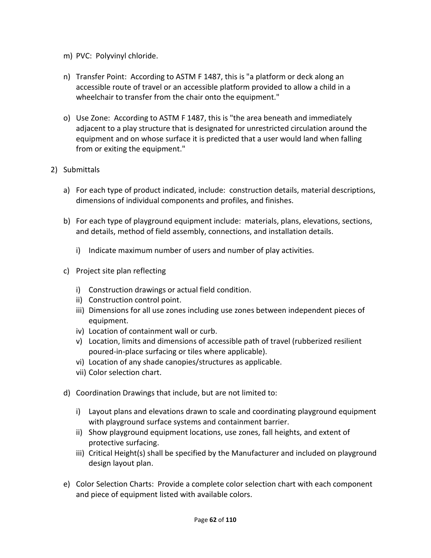- m) PVC: Polyvinyl chloride.
- n) Transfer Point: According to ASTM F 1487, this is "a platform or deck along an accessible route of travel or an accessible platform provided to allow a child in a wheelchair to transfer from the chair onto the equipment."
- o) Use Zone: According to ASTM F 1487, this is "the area beneath and immediately adjacent to a play structure that is designated for unrestricted circulation around the equipment and on whose surface it is predicted that a user would land when falling from or exiting the equipment."
- 2) Submittals
	- a) For each type of product indicated, include: construction details, material descriptions, dimensions of individual components and profiles, and finishes.
	- b) For each type of playground equipment include: materials, plans, elevations, sections, and details, method of field assembly, connections, and installation details.
		- i) Indicate maximum number of users and number of play activities.
	- c) Project site plan reflecting
		- i) Construction drawings or actual field condition.
		- ii) Construction control point.
		- iii) Dimensions for all use zones including use zones between independent pieces of equipment.
		- iv) Location of containment wall or curb.
		- v) Location, limits and dimensions of accessible path of travel (rubberized resilient poured-in-place surfacing or tiles where applicable).
		- vi) Location of any shade canopies/structures as applicable.
		- vii) Color selection chart.
	- d) Coordination Drawings that include, but are not limited to:
		- i) Layout plans and elevations drawn to scale and coordinating playground equipment with playground surface systems and containment barrier.
		- ii) Show playground equipment locations, use zones, fall heights, and extent of protective surfacing.
		- iii) Critical Height(s) shall be specified by the Manufacturer and included on playground design layout plan.
	- e) Color Selection Charts: Provide a complete color selection chart with each component and piece of equipment listed with available colors.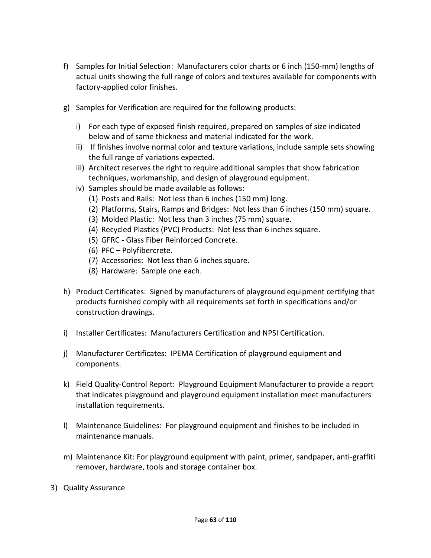- f) Samples for Initial Selection: Manufacturers color charts or 6 inch (150-mm) lengths of actual units showing the full range of colors and textures available for components with factory-applied color finishes.
- g) Samples for Verification are required for the following products:
	- i) For each type of exposed finish required, prepared on samples of size indicated below and of same thickness and material indicated for the work.
	- ii) If finishes involve normal color and texture variations, include sample sets showing the full range of variations expected.
	- iii) Architect reserves the right to require additional samples that show fabrication techniques, workmanship, and design of playground equipment.
	- iv) Samples should be made available as follows:
		- (1) Posts and Rails: Not less than 6 inches (150 mm) long.
		- (2) Platforms, Stairs, Ramps and Bridges: Not less than 6 inches (150 mm) square.
		- (3) Molded Plastic: Not less than 3 inches (75 mm) square.
		- (4) Recycled Plastics (PVC) Products: Not less than 6 inches square.
		- (5) GFRC Glass Fiber Reinforced Concrete.
		- (6) PFC Polyfibercrete.
		- (7) Accessories: Not less than 6 inches square.
		- (8) Hardware: Sample one each.
- h) Product Certificates: Signed by manufacturers of playground equipment certifying that products furnished comply with all requirements set forth in specifications and/or construction drawings.
- i) Installer Certificates: Manufacturers Certification and NPSI Certification.
- j) Manufacturer Certificates: IPEMA Certification of playground equipment and components.
- k) Field Quality-Control Report: Playground Equipment Manufacturer to provide a report that indicates playground and playground equipment installation meet manufacturers installation requirements.
- l) Maintenance Guidelines: For playground equipment and finishes to be included in maintenance manuals.
- m) Maintenance Kit: For playground equipment with paint, primer, sandpaper, anti-graffiti remover, hardware, tools and storage container box.
- 3) Quality Assurance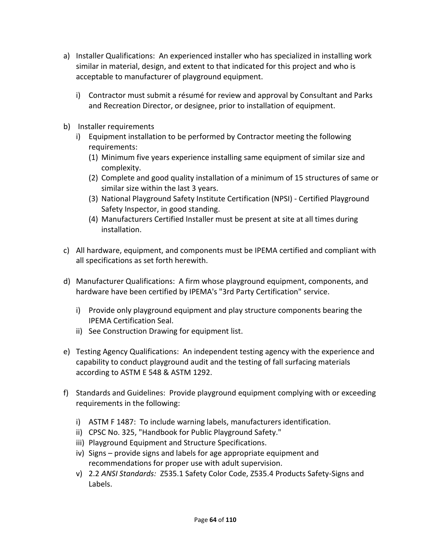- a) Installer Qualifications: An experienced installer who has specialized in installing work similar in material, design, and extent to that indicated for this project and who is acceptable to manufacturer of playground equipment.
	- i) Contractor must submit a résumé for review and approval by Consultant and Parks and Recreation Director, or designee, prior to installation of equipment.
- b) Installer requirements
	- i) Equipment installation to be performed by Contractor meeting the following requirements:
		- (1) Minimum five years experience installing same equipment of similar size and complexity.
		- (2) Complete and good quality installation of a minimum of 15 structures of same or similar size within the last 3 years.
		- (3) National Playground Safety Institute Certification (NPSI) Certified Playground Safety Inspector, in good standing.
		- (4) Manufacturers Certified Installer must be present at site at all times during installation.
- c) All hardware, equipment, and components must be IPEMA certified and compliant with all specifications as set forth herewith.
- d) Manufacturer Qualifications: A firm whose playground equipment, components, and hardware have been certified by IPEMA's "3rd Party Certification" service.
	- i) Provide only playground equipment and play structure components bearing the IPEMA Certification Seal.
	- ii) See Construction Drawing for equipment list.
- e) Testing Agency Qualifications: An independent testing agency with the experience and capability to conduct playground audit and the testing of fall surfacing materials according to ASTM E 548 & ASTM 1292.
- f) Standards and Guidelines: Provide playground equipment complying with or exceeding requirements in the following:
	- i) ASTM F 1487: To include warning labels, manufacturers identification.
	- ii) CPSC No. 325, "Handbook for Public Playground Safety."
	- iii) Playground Equipment and Structure Specifications.
	- iv) Signs provide signs and labels for age appropriate equipment and recommendations for proper use with adult supervision.
	- v) 2.2 *ANSI Standards:* Z535.1 Safety Color Code, Z535.4 Products Safety-Signs and Labels.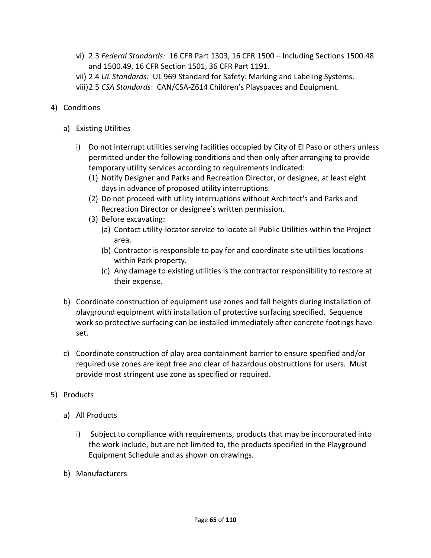- vi) 2.3 *Federal Standards:* 16 CFR Part 1303, 16 CFR 1500 Including Sections 1500.48 and 1500.49, 16 CFR Section 1501, 36 CFR Part 1191.
- vii) 2.4 *UL Standards:* UL 969 Standard for Safety: Marking and Labeling Systems.
- viii)2.5 *CSA Standards*: CAN/CSA-Z614 Children's Playspaces and Equipment.
- 4) Conditions
	- a) Existing Utilities
		- i) Do not interrupt utilities serving facilities occupied by City of El Paso or others unless permitted under the following conditions and then only after arranging to provide temporary utility services according to requirements indicated:
			- (1) Notify Designer and Parks and Recreation Director, or designee, at least eight days in advance of proposed utility interruptions.
			- (2) Do not proceed with utility interruptions without Architect's and Parks and Recreation Director or designee's written permission.
			- (3) Before excavating:
				- (a) Contact utility-locator service to locate all Public Utilities within the Project area.
				- (b) Contractor is responsible to pay for and coordinate site utilities locations within Park property.
				- (c) Any damage to existing utilities is the contractor responsibility to restore at their expense.
	- b) Coordinate construction of equipment use zones and fall heights during installation of playground equipment with installation of protective surfacing specified. Sequence work so protective surfacing can be installed immediately after concrete footings have set.
	- c) Coordinate construction of play area containment barrier to ensure specified and/or required use zones are kept free and clear of hazardous obstructions for users. Must provide most stringent use zone as specified or required.
- 5) Products
	- a) All Products
		- i) Subject to compliance with requirements, products that may be incorporated into the work include, but are not limited to, the products specified in the Playground Equipment Schedule and as shown on drawings.
	- b) Manufacturers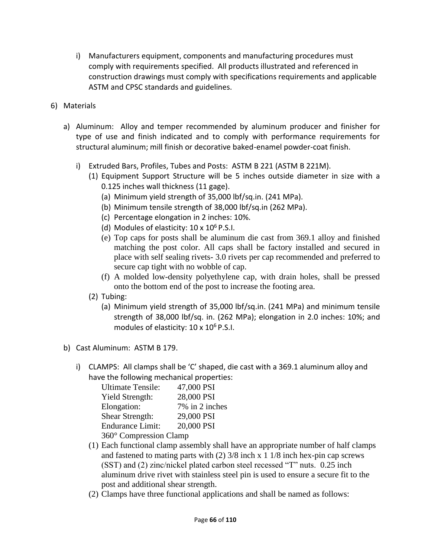- i) Manufacturers equipment, components and manufacturing procedures must comply with requirements specified. All products illustrated and referenced in construction drawings must comply with specifications requirements and applicable ASTM and CPSC standards and guidelines.
- 6) Materials
	- a) Aluminum: Alloy and temper recommended by aluminum producer and finisher for type of use and finish indicated and to comply with performance requirements for structural aluminum; mill finish or decorative baked-enamel powder-coat finish.
		- i) Extruded Bars, Profiles, Tubes and Posts: ASTM B 221 (ASTM B 221M).
			- (1) Equipment Support Structure will be 5 inches outside diameter in size with a 0.125 inches wall thickness (11 gage).
				- (a) Minimum yield strength of 35,000 lbf/sq.in. (241 MPa).
				- (b) Minimum tensile strength of 38,000 lbf/sq.in (262 MPa).
				- (c) Percentage elongation in 2 inches: 10%.
				- (d) Modules of elasticity:  $10 \times 10^6$  P.S.I.
				- (e) Top caps for posts shall be aluminum die cast from 369.1 alloy and finished matching the post color. All caps shall be factory installed and secured in place with self sealing rivets- 3.0 rivets per cap recommended and preferred to secure cap tight with no wobble of cap.
				- (f) A molded low-density polyethylene cap, with drain holes, shall be pressed onto the bottom end of the post to increase the footing area.
			- (2) Tubing:
				- (a) Minimum yield strength of 35,000 lbf/sq.in. (241 MPa) and minimum tensile strength of 38,000 lbf/sq. in. (262 MPa); elongation in 2.0 inches: 10%; and modules of elasticity:  $10 \times 10^6$  P.S.I.
	- b) Cast Aluminum: ASTM B 179.
		- i) CLAMPS: All clamps shall be 'C' shaped, die cast with a 369.1 aluminum alloy and have the following mechanical properties:

| <b>Ultimate Tensile:</b> | 47,000 PSI     |  |  |  |
|--------------------------|----------------|--|--|--|
| Yield Strength:          | 28,000 PSI     |  |  |  |
| Elongation:              | 7% in 2 inches |  |  |  |
| Shear Strength:          | 29,000 PSI     |  |  |  |
| <b>Endurance Limit:</b>  | 20,000 PSI     |  |  |  |
| 360° Compression Clamp   |                |  |  |  |
|                          |                |  |  |  |

- (1) Each functional clamp assembly shall have an appropriate number of half clamps and fastened to mating parts with  $(2)$  3/8 inch x 1 1/8 inch hex-pin cap screws (SST) and (2) zinc/nickel plated carbon steel recessed "T" nuts. 0.25 inch aluminum drive rivet with stainless steel pin is used to ensure a secure fit to the post and additional shear strength.
- (2) Clamps have three functional applications and shall be named as follows: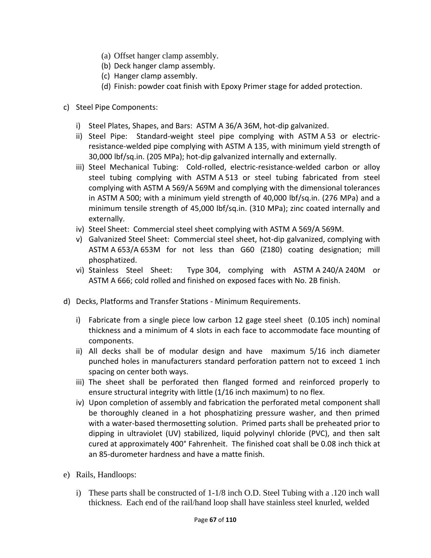- (a) Offset hanger clamp assembly.
- (b) Deck hanger clamp assembly.
- (c) Hanger clamp assembly.
- (d) Finish: powder coat finish with Epoxy Primer stage for added protection.
- c) Steel Pipe Components:
	- i) Steel Plates, Shapes, and Bars: ASTM A 36/A 36M, hot-dip galvanized.
	- ii) Steel Pipe: Standard-weight steel pipe complying with ASTM A 53 or electricresistance-welded pipe complying with ASTM A 135, with minimum yield strength of 30,000 lbf/sq.in. (205 MPa); hot-dip galvanized internally and externally.
	- iii) Steel Mechanical Tubing: Cold-rolled, electric-resistance-welded carbon or alloy steel tubing complying with ASTM A 513 or steel tubing fabricated from steel complying with ASTM A 569/A 569M and complying with the dimensional tolerances in ASTM A 500; with a minimum yield strength of 40,000 lbf/sq.in. (276 MPa) and a minimum tensile strength of 45,000 lbf/sq.in. (310 MPa); zinc coated internally and externally.
	- iv) Steel Sheet: Commercial steel sheet complying with ASTM A 569/A 569M.
	- v) Galvanized Steel Sheet: Commercial steel sheet, hot-dip galvanized, complying with ASTM A 653/A 653M for not less than G60 (Z180) coating designation; mill phosphatized.
	- vi) Stainless Steel Sheet: Type 304, complying with ASTM A 240/A 240M or ASTM A 666; cold rolled and finished on exposed faces with No. 2B finish.
- d) Decks, Platforms and Transfer Stations Minimum Requirements.
	- i) Fabricate from a single piece low carbon 12 gage steel sheet (0.105 inch) nominal thickness and a minimum of 4 slots in each face to accommodate face mounting of components.
	- ii) All decks shall be of modular design and have maximum 5/16 inch diameter punched holes in manufacturers standard perforation pattern not to exceed 1 inch spacing on center both ways.
	- iii) The sheet shall be perforated then flanged formed and reinforced properly to ensure structural integrity with little (1/16 inch maximum) to no flex.
	- iv) Upon completion of assembly and fabrication the perforated metal component shall be thoroughly cleaned in a hot phosphatizing pressure washer, and then primed with a water-based thermosetting solution. Primed parts shall be preheated prior to dipping in ultraviolet (UV) stabilized, liquid polyvinyl chloride (PVC), and then salt cured at approximately 400° Fahrenheit. The finished coat shall be 0.08 inch thick at an 85-durometer hardness and have a matte finish.
- e) Rails, Handloops:
	- i) These parts shall be constructed of 1-1/8 inch O.D. Steel Tubing with a .120 inch wall thickness. Each end of the rail/hand loop shall have stainless steel knurled, welded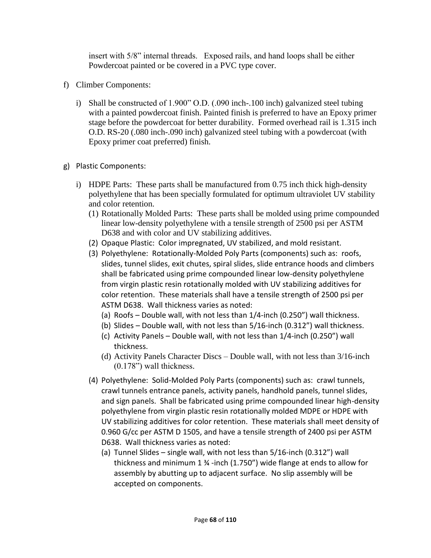insert with 5/8" internal threads. Exposed rails, and hand loops shall be either Powdercoat painted or be covered in a PVC type cover.

- f) Climber Components:
	- i) Shall be constructed of 1.900" O.D. (.090 inch-.100 inch) galvanized steel tubing with a painted powdercoat finish. Painted finish is preferred to have an Epoxy primer stage before the powdercoat for better durability. Formed overhead rail is 1.315 inch O.D. RS-20 (.080 inch-.090 inch) galvanized steel tubing with a powdercoat (with Epoxy primer coat preferred) finish.
- g) Plastic Components:
	- i) HDPE Parts: These parts shall be manufactured from 0.75 inch thick high-density polyethylene that has been specially formulated for optimum ultraviolet UV stability and color retention.
		- (1) Rotationally Molded Parts: These parts shall be molded using prime compounded linear low-density polyethylene with a tensile strength of 2500 psi per ASTM D638 and with color and UV stabilizing additives.
		- (2) Opaque Plastic: Color impregnated, UV stabilized, and mold resistant.
		- (3) Polyethylene: Rotationally-Molded Poly Parts (components) such as: roofs, slides, tunnel slides, exit chutes, spiral slides, slide entrance hoods and climbers shall be fabricated using prime compounded linear low-density polyethylene from virgin plastic resin rotationally molded with UV stabilizing additives for color retention. These materials shall have a tensile strength of 2500 psi per ASTM D638. Wall thickness varies as noted:
			- (a) Roofs Double wall, with not less than 1/4-inch (0.250") wall thickness.
			- (b) Slides Double wall, with not less than 5/16-inch (0.312") wall thickness.
			- (c) Activity Panels Double wall, with not less than 1/4-inch (0.250") wall thickness.
			- (d) Activity Panels Character Discs Double wall, with not less than 3/16-inch (0.178") wall thickness.
		- (4) Polyethylene: Solid-Molded Poly Parts (components) such as: crawl tunnels, crawl tunnels entrance panels, activity panels, handhold panels, tunnel slides, and sign panels. Shall be fabricated using prime compounded linear high-density polyethylene from virgin plastic resin rotationally molded MDPE or HDPE with UV stabilizing additives for color retention. These materials shall meet density of 0.960 G/cc per ASTM D 1505, and have a tensile strength of 2400 psi per ASTM D638. Wall thickness varies as noted:
			- (a) Tunnel Slides single wall, with not less than 5/16-inch (0.312") wall thickness and minimum 1 ¾ -inch (1.750") wide flange at ends to allow for assembly by abutting up to adjacent surface. No slip assembly will be accepted on components.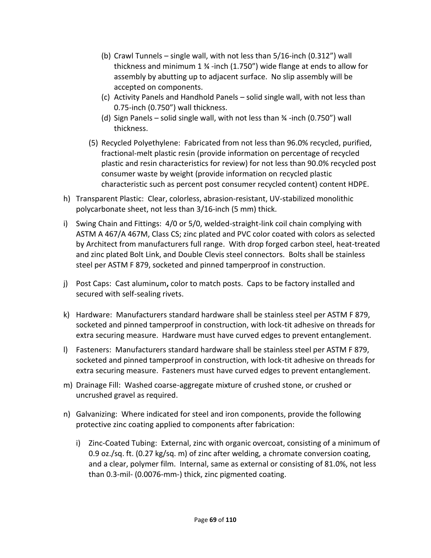- (b) Crawl Tunnels single wall, with not less than 5/16-inch (0.312") wall thickness and minimum 1 ¾ -inch (1.750") wide flange at ends to allow for assembly by abutting up to adjacent surface. No slip assembly will be accepted on components.
- (c) Activity Panels and Handhold Panels solid single wall, with not less than 0.75-inch (0.750") wall thickness.
- (d) Sign Panels solid single wall, with not less than ¾ -inch (0.750") wall thickness.
- (5) Recycled Polyethylene: Fabricated from not less than 96.0% recycled, purified, fractional-melt plastic resin (provide information on percentage of recycled plastic and resin characteristics for review) for not less than 90.0% recycled post consumer waste by weight (provide information on recycled plastic characteristic such as percent post consumer recycled content) content HDPE.
- h) Transparent Plastic: Clear, colorless, abrasion-resistant, UV-stabilized monolithic polycarbonate sheet, not less than 3/16-inch (5 mm) thick.
- i) Swing Chain and Fittings: 4/0 or 5/0, welded-straight-link coil chain complying with ASTM A 467/A 467M, Class CS; zinc plated and PVC color coated with colors as selected by Architect from manufacturers full range. With drop forged carbon steel, heat-treated and zinc plated Bolt Link, and Double Clevis steel connectors. Bolts shall be stainless steel per ASTM F 879, socketed and pinned tamperproof in construction.
- j) Post Caps: Cast aluminum**,** color to match posts. Caps to be factory installed and secured with self-sealing rivets.
- k) Hardware: Manufacturers standard hardware shall be stainless steel per ASTM F 879, socketed and pinned tamperproof in construction, with lock-tit adhesive on threads for extra securing measure. Hardware must have curved edges to prevent entanglement.
- l) Fasteners: Manufacturers standard hardware shall be stainless steel per ASTM F 879, socketed and pinned tamperproof in construction, with lock-tit adhesive on threads for extra securing measure. Fasteners must have curved edges to prevent entanglement.
- m) Drainage Fill: Washed coarse-aggregate mixture of crushed stone, or crushed or uncrushed gravel as required.
- n) Galvanizing: Where indicated for steel and iron components, provide the following protective zinc coating applied to components after fabrication:
	- i) Zinc-Coated Tubing: External, zinc with organic overcoat, consisting of a minimum of 0.9 oz./sq. ft. (0.27 kg/sq. m) of zinc after welding, a chromate conversion coating, and a clear, polymer film. Internal, same as external or consisting of 81.0%, not less than 0.3-mil- (0.0076-mm-) thick, zinc pigmented coating.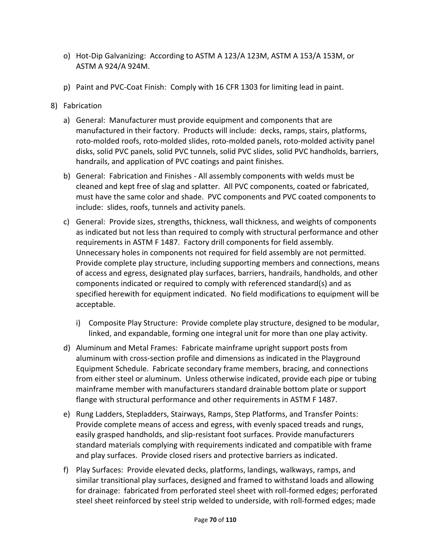- o) Hot-Dip Galvanizing: According to ASTM A 123/A 123M, ASTM A 153/A 153M, or ASTM A 924/A 924M.
- p) Paint and PVC-Coat Finish: Comply with 16 CFR 1303 for limiting lead in paint.
- 8) Fabrication
	- a) General: Manufacturer must provide equipment and components that are manufactured in their factory. Products will include: decks, ramps, stairs, platforms, roto-molded roofs, roto-molded slides, roto-molded panels, roto-molded activity panel disks, solid PVC panels, solid PVC tunnels, solid PVC slides, solid PVC handholds, barriers, handrails, and application of PVC coatings and paint finishes.
	- b) General: Fabrication and Finishes All assembly components with welds must be cleaned and kept free of slag and splatter. All PVC components, coated or fabricated, must have the same color and shade. PVC components and PVC coated components to include: slides, roofs, tunnels and activity panels.
	- c) General: Provide sizes, strengths, thickness, wall thickness, and weights of components as indicated but not less than required to comply with structural performance and other requirements in ASTM F 1487. Factory drill components for field assembly. Unnecessary holes in components not required for field assembly are not permitted. Provide complete play structure, including supporting members and connections, means of access and egress, designated play surfaces, barriers, handrails, handholds, and other components indicated or required to comply with referenced standard(s) and as specified herewith for equipment indicated. No field modifications to equipment will be acceptable.
		- i) Composite Play Structure: Provide complete play structure, designed to be modular, linked, and expandable, forming one integral unit for more than one play activity.
	- d) Aluminum and Metal Frames: Fabricate mainframe upright support posts from aluminum with cross-section profile and dimensions as indicated in the Playground Equipment Schedule. Fabricate secondary frame members, bracing, and connections from either steel or aluminum. Unless otherwise indicated, provide each pipe or tubing mainframe member with manufacturers standard drainable bottom plate or support flange with structural performance and other requirements in ASTM F 1487.
	- e) Rung Ladders, Stepladders, Stairways, Ramps, Step Platforms, and Transfer Points: Provide complete means of access and egress, with evenly spaced treads and rungs, easily grasped handholds, and slip-resistant foot surfaces. Provide manufacturers standard materials complying with requirements indicated and compatible with frame and play surfaces. Provide closed risers and protective barriers as indicated.
	- f) Play Surfaces: Provide elevated decks, platforms, landings, walkways, ramps, and similar transitional play surfaces, designed and framed to withstand loads and allowing for drainage: fabricated from perforated steel sheet with roll-formed edges; perforated steel sheet reinforced by steel strip welded to underside, with roll-formed edges; made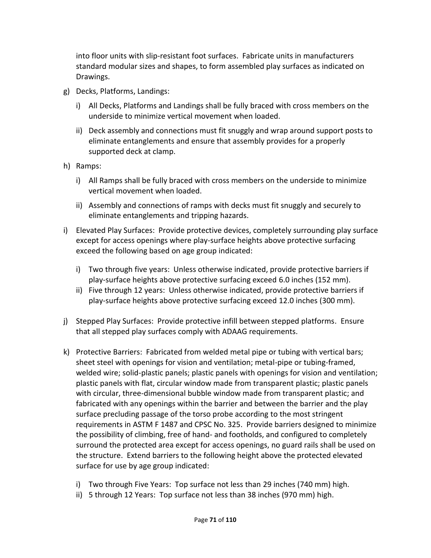into floor units with slip-resistant foot surfaces. Fabricate units in manufacturers standard modular sizes and shapes, to form assembled play surfaces as indicated on Drawings.

- g) Decks, Platforms, Landings:
	- i) All Decks, Platforms and Landings shall be fully braced with cross members on the underside to minimize vertical movement when loaded.
	- ii) Deck assembly and connections must fit snuggly and wrap around support posts to eliminate entanglements and ensure that assembly provides for a properly supported deck at clamp.
- h) Ramps:
	- i) All Ramps shall be fully braced with cross members on the underside to minimize vertical movement when loaded.
	- ii) Assembly and connections of ramps with decks must fit snuggly and securely to eliminate entanglements and tripping hazards.
- i) Elevated Play Surfaces: Provide protective devices, completely surrounding play surface except for access openings where play-surface heights above protective surfacing exceed the following based on age group indicated:
	- i) Two through five years: Unless otherwise indicated, provide protective barriers if play-surface heights above protective surfacing exceed 6.0 inches (152 mm).
	- ii) Five through 12 years: Unless otherwise indicated, provide protective barriers if play-surface heights above protective surfacing exceed 12.0 inches (300 mm).
- j) Stepped Play Surfaces: Provide protective infill between stepped platforms. Ensure that all stepped play surfaces comply with ADAAG requirements.
- k) Protective Barriers: Fabricated from welded metal pipe or tubing with vertical bars; sheet steel with openings for vision and ventilation; metal-pipe or tubing-framed, welded wire; solid-plastic panels; plastic panels with openings for vision and ventilation; plastic panels with flat, circular window made from transparent plastic; plastic panels with circular, three-dimensional bubble window made from transparent plastic; and fabricated with any openings within the barrier and between the barrier and the play surface precluding passage of the torso probe according to the most stringent requirements in ASTM F 1487 and CPSC No. 325. Provide barriers designed to minimize the possibility of climbing, free of hand- and footholds, and configured to completely surround the protected area except for access openings, no guard rails shall be used on the structure. Extend barriers to the following height above the protected elevated surface for use by age group indicated:
	- i) Two through Five Years: Top surface not less than 29 inches (740 mm) high.
	- ii) 5 through 12 Years: Top surface not less than 38 inches (970 mm) high.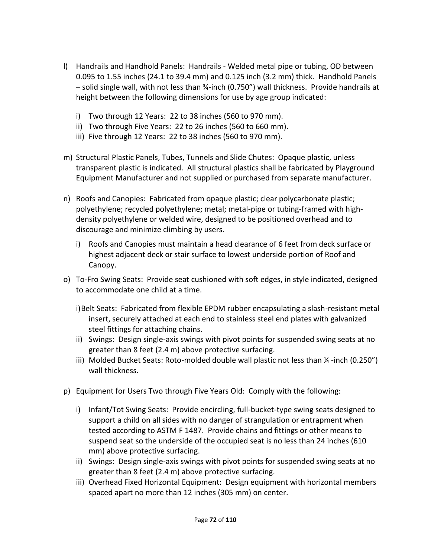- l) Handrails and Handhold Panels: Handrails Welded metal pipe or tubing, OD between 0.095 to 1.55 inches (24.1 to 39.4 mm) and 0.125 inch (3.2 mm) thick. Handhold Panels – solid single wall, with not less than ¾-inch (0.750") wall thickness. Provide handrails at height between the following dimensions for use by age group indicated:
	- i) Two through 12 Years: 22 to 38 inches (560 to 970 mm).
	- ii) Two through Five Years: 22 to 26 inches (560 to 660 mm).
	- iii) Five through 12 Years: 22 to 38 inches (560 to 970 mm).
- m) Structural Plastic Panels, Tubes, Tunnels and Slide Chutes: Opaque plastic, unless transparent plastic is indicated. All structural plastics shall be fabricated by Playground Equipment Manufacturer and not supplied or purchased from separate manufacturer.
- n) Roofs and Canopies: Fabricated from opaque plastic; clear polycarbonate plastic; polyethylene; recycled polyethylene; metal; metal-pipe or tubing-framed with highdensity polyethylene or welded wire, designed to be positioned overhead and to discourage and minimize climbing by users.
	- i) Roofs and Canopies must maintain a head clearance of 6 feet from deck surface or highest adjacent deck or stair surface to lowest underside portion of Roof and Canopy.
- o) To-Fro Swing Seats: Provide seat cushioned with soft edges, in style indicated, designed to accommodate one child at a time.
	- i)Belt Seats: Fabricated from flexible EPDM rubber encapsulating a slash-resistant metal insert, securely attached at each end to stainless steel end plates with galvanized steel fittings for attaching chains.
	- ii) Swings: Design single-axis swings with pivot points for suspended swing seats at no greater than 8 feet (2.4 m) above protective surfacing.
	- iii) Molded Bucket Seats: Roto-molded double wall plastic not less than ¼ -inch (0.250") wall thickness.
- p) Equipment for Users Two through Five Years Old: Comply with the following:
	- i) Infant/Tot Swing Seats: Provide encircling, full-bucket-type swing seats designed to support a child on all sides with no danger of strangulation or entrapment when tested according to ASTM F 1487. Provide chains and fittings or other means to suspend seat so the underside of the occupied seat is no less than 24 inches (610 mm) above protective surfacing.
	- ii) Swings: Design single-axis swings with pivot points for suspended swing seats at no greater than 8 feet (2.4 m) above protective surfacing.
	- iii) Overhead Fixed Horizontal Equipment: Design equipment with horizontal members spaced apart no more than 12 inches (305 mm) on center.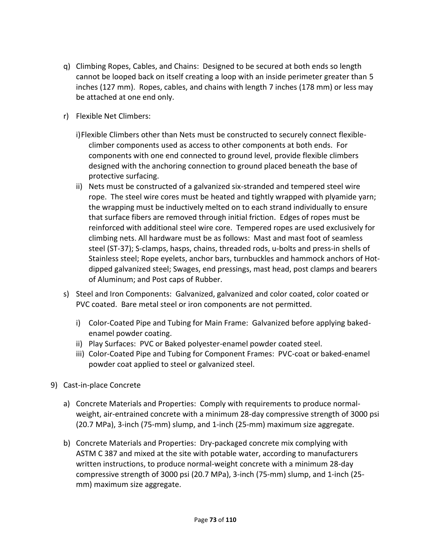- q) Climbing Ropes, Cables, and Chains: Designed to be secured at both ends so length cannot be looped back on itself creating a loop with an inside perimeter greater than 5 inches (127 mm). Ropes, cables, and chains with length 7 inches (178 mm) or less may be attached at one end only.
- r) Flexible Net Climbers:
	- i)Flexible Climbers other than Nets must be constructed to securely connect flexibleclimber components used as access to other components at both ends. For components with one end connected to ground level, provide flexible climbers designed with the anchoring connection to ground placed beneath the base of protective surfacing.
	- ii) Nets must be constructed of a galvanized six-stranded and tempered steel wire rope. The steel wire cores must be heated and tightly wrapped with plyamide yarn; the wrapping must be inductively melted on to each strand individually to ensure that surface fibers are removed through initial friction. Edges of ropes must be reinforced with additional steel wire core. Tempered ropes are used exclusively for climbing nets. All hardware must be as follows: Mast and mast foot of seamless steel (ST-37); S-clamps, hasps, chains, threaded rods, u-bolts and press-in shells of Stainless steel; Rope eyelets, anchor bars, turnbuckles and hammock anchors of Hotdipped galvanized steel; Swages, end pressings, mast head, post clamps and bearers of Aluminum; and Post caps of Rubber.
- s) Steel and Iron Components: Galvanized, galvanized and color coated, color coated or PVC coated. Bare metal steel or iron components are not permitted.
	- i) Color-Coated Pipe and Tubing for Main Frame: Galvanized before applying bakedenamel powder coating.
	- ii) Play Surfaces: PVC or Baked polyester-enamel powder coated steel.
	- iii) Color-Coated Pipe and Tubing for Component Frames: PVC-coat or baked-enamel powder coat applied to steel or galvanized steel.
- 9) Cast-in-place Concrete
	- a) Concrete Materials and Properties: Comply with requirements to produce normalweight, air-entrained concrete with a minimum 28-day compressive strength of 3000 psi (20.7 MPa), 3-inch (75-mm) slump, and 1-inch (25-mm) maximum size aggregate.
	- b) Concrete Materials and Properties: Dry-packaged concrete mix complying with ASTM C 387 and mixed at the site with potable water, according to manufacturers written instructions, to produce normal-weight concrete with a minimum 28-day compressive strength of 3000 psi (20.7 MPa), 3-inch (75-mm) slump, and 1-inch (25 mm) maximum size aggregate.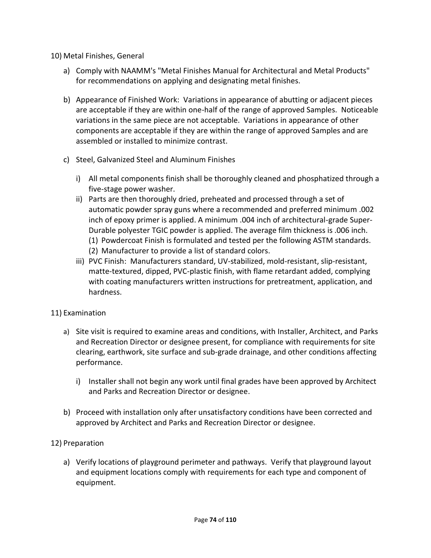10) Metal Finishes, General

- a) Comply with NAAMM's "Metal Finishes Manual for Architectural and Metal Products" for recommendations on applying and designating metal finishes.
- b) Appearance of Finished Work: Variations in appearance of abutting or adjacent pieces are acceptable if they are within one-half of the range of approved Samples. Noticeable variations in the same piece are not acceptable. Variations in appearance of other components are acceptable if they are within the range of approved Samples and are assembled or installed to minimize contrast.
- c) Steel, Galvanized Steel and Aluminum Finishes
	- i) All metal components finish shall be thoroughly cleaned and phosphatized through a five-stage power washer.
	- ii) Parts are then thoroughly dried, preheated and processed through a set of automatic powder spray guns where a recommended and preferred minimum .002 inch of epoxy primer is applied. A minimum .004 inch of architectural-grade Super-Durable polyester TGIC powder is applied. The average film thickness is .006 inch. (1) Powdercoat Finish is formulated and tested per the following ASTM standards. (2) Manufacturer to provide a list of standard colors.
	- iii) PVC Finish: Manufacturers standard, UV-stabilized, mold-resistant, slip-resistant, matte-textured, dipped, PVC-plastic finish, with flame retardant added, complying with coating manufacturers written instructions for pretreatment, application, and hardness.

## 11) Examination

- a) Site visit is required to examine areas and conditions, with Installer, Architect, and Parks and Recreation Director or designee present, for compliance with requirements for site clearing, earthwork, site surface and sub-grade drainage, and other conditions affecting performance.
	- i) Installer shall not begin any work until final grades have been approved by Architect and Parks and Recreation Director or designee.
- b) Proceed with installation only after unsatisfactory conditions have been corrected and approved by Architect and Parks and Recreation Director or designee.

## 12) Preparation

a) Verify locations of playground perimeter and pathways. Verify that playground layout and equipment locations comply with requirements for each type and component of equipment.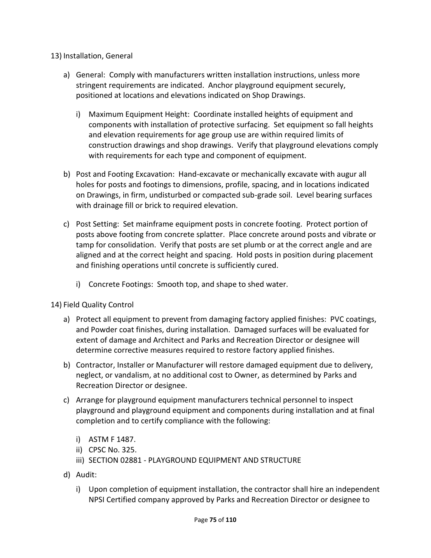## 13) Installation, General

- a) General: Comply with manufacturers written installation instructions, unless more stringent requirements are indicated. Anchor playground equipment securely, positioned at locations and elevations indicated on Shop Drawings.
	- i) Maximum Equipment Height: Coordinate installed heights of equipment and components with installation of protective surfacing. Set equipment so fall heights and elevation requirements for age group use are within required limits of construction drawings and shop drawings. Verify that playground elevations comply with requirements for each type and component of equipment.
- b) Post and Footing Excavation: Hand-excavate or mechanically excavate with augur all holes for posts and footings to dimensions, profile, spacing, and in locations indicated on Drawings, in firm, undisturbed or compacted sub-grade soil. Level bearing surfaces with drainage fill or brick to required elevation.
- c) Post Setting: Set mainframe equipment posts in concrete footing. Protect portion of posts above footing from concrete splatter. Place concrete around posts and vibrate or tamp for consolidation. Verify that posts are set plumb or at the correct angle and are aligned and at the correct height and spacing. Hold posts in position during placement and finishing operations until concrete is sufficiently cured.
	- i) Concrete Footings: Smooth top, and shape to shed water.

## 14) Field Quality Control

- a) Protect all equipment to prevent from damaging factory applied finishes: PVC coatings, and Powder coat finishes, during installation. Damaged surfaces will be evaluated for extent of damage and Architect and Parks and Recreation Director or designee will determine corrective measures required to restore factory applied finishes.
- b) Contractor, Installer or Manufacturer will restore damaged equipment due to delivery, neglect, or vandalism, at no additional cost to Owner, as determined by Parks and Recreation Director or designee.
- c) Arrange for playground equipment manufacturers technical personnel to inspect playground and playground equipment and components during installation and at final completion and to certify compliance with the following:
	- i) ASTM F 1487.
	- ii) CPSC No. 325.
	- iii) SECTION 02881 PLAYGROUND EQUIPMENT AND STRUCTURE
- d) Audit:
	- i) Upon completion of equipment installation, the contractor shall hire an independent NPSI Certified company approved by Parks and Recreation Director or designee to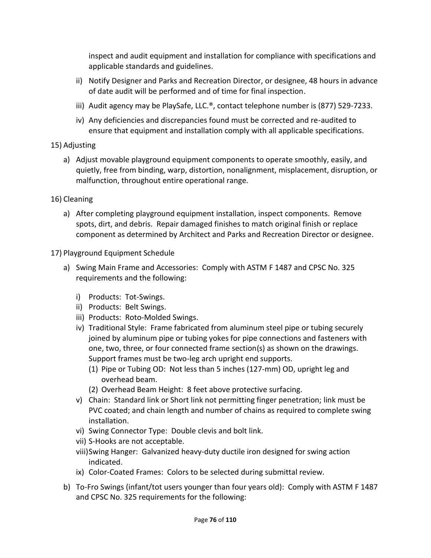inspect and audit equipment and installation for compliance with specifications and applicable standards and guidelines.

- ii) Notify Designer and Parks and Recreation Director, or designee, 48 hours in advance of date audit will be performed and of time for final inspection.
- iii) Audit agency may be PlaySafe, LLC.®, contact telephone number is (877) 529-7233.
- iv) Any deficiencies and discrepancies found must be corrected and re-audited to ensure that equipment and installation comply with all applicable specifications.

# 15) Adjusting

- a) Adjust movable playground equipment components to operate smoothly, easily, and quietly, free from binding, warp, distortion, nonalignment, misplacement, disruption, or malfunction, throughout entire operational range.
- 16) Cleaning
	- a) After completing playground equipment installation, inspect components. Remove spots, dirt, and debris. Repair damaged finishes to match original finish or replace component as determined by Architect and Parks and Recreation Director or designee.
- 17) Playground Equipment Schedule
	- a) Swing Main Frame and Accessories: Comply with ASTM F 1487 and CPSC No. 325 requirements and the following:
		- i) Products: Tot-Swings.
		- ii) Products: Belt Swings.
		- iii) Products: Roto-Molded Swings.
		- iv) Traditional Style: Frame fabricated from aluminum steel pipe or tubing securely joined by aluminum pipe or tubing yokes for pipe connections and fasteners with one, two, three, or four connected frame section(s) as shown on the drawings. Support frames must be two-leg arch upright end supports.
			- (1) Pipe or Tubing OD: Not less than 5 inches (127-mm) OD, upright leg and overhead beam.
			- (2) Overhead Beam Height: 8 feet above protective surfacing.
		- v) Chain: Standard link or Short link not permitting finger penetration; link must be PVC coated; and chain length and number of chains as required to complete swing installation.
		- vi) Swing Connector Type: Double clevis and bolt link.
		- vii) S-Hooks are not acceptable.
		- viii)Swing Hanger: Galvanized heavy-duty ductile iron designed for swing action indicated.
		- ix) Color-Coated Frames: Colors to be selected during submittal review.
	- b) To-Fro Swings (infant/tot users younger than four years old): Comply with ASTM F 1487 and CPSC No. 325 requirements for the following: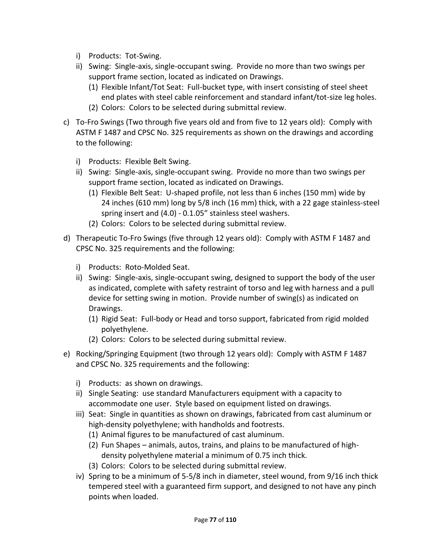- i) Products: Tot-Swing.
- ii) Swing: Single-axis, single-occupant swing. Provide no more than two swings per support frame section, located as indicated on Drawings.
	- (1) Flexible Infant/Tot Seat: Full-bucket type, with insert consisting of steel sheet end plates with steel cable reinforcement and standard infant/tot-size leg holes.
	- (2) Colors: Colors to be selected during submittal review.
- c) To-Fro Swings (Two through five years old and from five to 12 years old): Comply with ASTM F 1487 and CPSC No. 325 requirements as shown on the drawings and according to the following:
	- i) Products: Flexible Belt Swing.
	- ii) Swing: Single-axis, single-occupant swing. Provide no more than two swings per support frame section, located as indicated on Drawings.
		- (1) Flexible Belt Seat: U-shaped profile, not less than 6 inches (150 mm) wide by 24 inches (610 mm) long by 5/8 inch (16 mm) thick, with a 22 gage stainless-steel spring insert and (4.0) - 0.1.05" stainless steel washers.
		- (2) Colors: Colors to be selected during submittal review.
- d) Therapeutic To-Fro Swings (five through 12 years old): Comply with ASTM F 1487 and CPSC No. 325 requirements and the following:
	- i) Products: Roto-Molded Seat.
	- ii) Swing: Single-axis, single-occupant swing, designed to support the body of the user as indicated, complete with safety restraint of torso and leg with harness and a pull device for setting swing in motion. Provide number of swing(s) as indicated on Drawings.
		- (1) Rigid Seat: Full-body or Head and torso support, fabricated from rigid molded polyethylene.
		- (2) Colors: Colors to be selected during submittal review.
- e) Rocking/Springing Equipment (two through 12 years old): Comply with ASTM F 1487 and CPSC No. 325 requirements and the following:
	- i) Products: as shown on drawings.
	- ii) Single Seating: use standard Manufacturers equipment with a capacity to accommodate one user. Style based on equipment listed on drawings.
	- iii) Seat: Single in quantities as shown on drawings, fabricated from cast aluminum or high-density polyethylene; with handholds and footrests.
		- (1) Animal figures to be manufactured of cast aluminum.
		- (2) Fun Shapes animals, autos, trains, and plains to be manufactured of highdensity polyethylene material a minimum of 0.75 inch thick.
		- (3) Colors: Colors to be selected during submittal review.
	- iv) Spring to be a minimum of 5-5/8 inch in diameter, steel wound, from 9/16 inch thick tempered steel with a guaranteed firm support, and designed to not have any pinch points when loaded.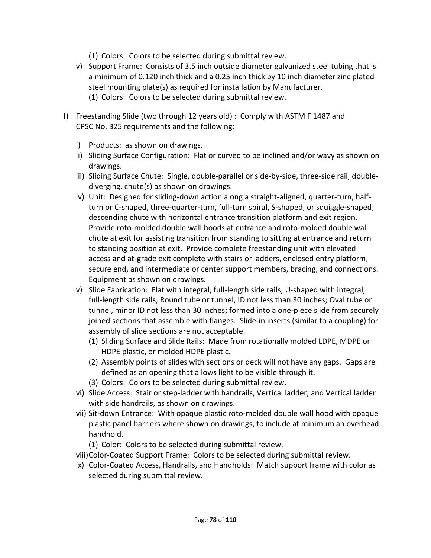(1) Colors: Colors to be selected during submittal review.

- v) Support Frame: Consists of 3.5 inch outside diameter galvanized steel tubing that is a minimum of 0.120 inch thick and a 0.25 inch thick by 10 inch diameter zinc plated steel mounting plate(s) as required for installation by Manufacturer. (1) Colors: Colors to be selected during submittal review.
- f) Freestanding Slide (two through 12 years old) : Comply with ASTM F 1487 and CPSC No. 325 requirements and the following:
	- i) Products: as shown on drawings.
	- ii) Sliding Surface Configuration: Flat or curved to be inclined and/or wavy as shown on drawings.
	- iii) Sliding Surface Chute: Single, double-parallel or side-by-side, three-side rail, doublediverging, chute(s) as shown on drawings.
	- iv) Unit: Designed for sliding-down action along a straight-aligned, quarter-turn, halfturn or C-shaped, three-quarter-turn, full-turn spiral, S-shaped, or squiggle-shaped; descending chute with horizontal entrance transition platform and exit region. Provide roto-molded double wall hoods at entrance and roto-molded double wall chute at exit for assisting transition from standing to sitting at entrance and return to standing position at exit. Provide complete freestanding unit with elevated access and at-grade exit complete with stairs or ladders, enclosed entry platform, secure end, and intermediate or center support members, bracing, and connections. Equipment as shown on drawings.
	- v) Slide Fabrication: Flat with integral, full-length side rails; U-shaped with integral, full-length side rails; Round tube or tunnel, ID not less than 30 inches; Oval tube or tunnel, minor ID not less than 30 inches**;** formed into a one-piece slide from securely joined sections that assemble with flanges. Slide-in inserts (similar to a coupling) for assembly of slide sections are not acceptable.
		- (1) Sliding Surface and Slide Rails: Made from rotationally molded LDPE, MDPE or HDPE plastic, or molded HDPE plastic.
		- (2) Assembly points of slides with sections or deck will not have any gaps. Gaps are defined as an opening that allows light to be visible through it.
		- (3) Colors: Colors to be selected during submittal review.
	- vi) Slide Access: Stair or step-ladder with handrails, Vertical ladder, and Vertical ladder with side handrails, as shown on drawings.
	- vii) Sit-down Entrance: With opaque plastic roto-molded double wall hood with opaque plastic panel barriers where shown on drawings, to include at minimum an overhead handhold.

(1) Color: Colors to be selected during submittal review.

- viii)Color-Coated Support Frame: Colors to be selected during submittal review.
- ix) Color-Coated Access, Handrails, and Handholds: Match support frame with color as selected during submittal review.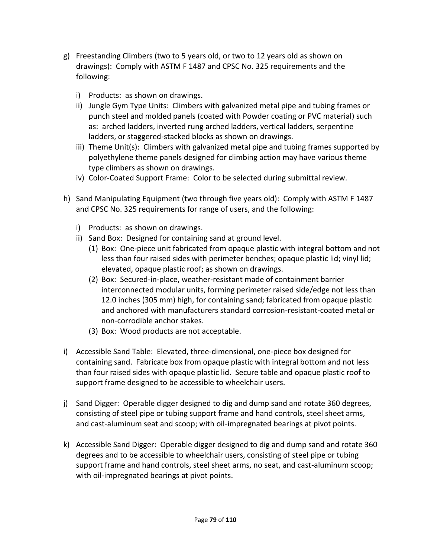- g) Freestanding Climbers (two to 5 years old, or two to 12 years old as shown on drawings): Comply with ASTM F 1487 and CPSC No. 325 requirements and the following:
	- i) Products: as shown on drawings.
	- ii) Jungle Gym Type Units: Climbers with galvanized metal pipe and tubing frames or punch steel and molded panels (coated with Powder coating or PVC material) such as: arched ladders, inverted rung arched ladders, vertical ladders, serpentine ladders, or staggered-stacked blocks as shown on drawings.
	- iii) Theme Unit(s): Climbers with galvanized metal pipe and tubing frames supported by polyethylene theme panels designed for climbing action may have various theme type climbers as shown on drawings.
	- iv) Color-Coated Support Frame: Color to be selected during submittal review.
- h) Sand Manipulating Equipment (two through five years old): Comply with ASTM F 1487 and CPSC No. 325 requirements for range of users, and the following:
	- i) Products: as shown on drawings.
	- ii) Sand Box: Designed for containing sand at ground level.
		- (1) Box: One-piece unit fabricated from opaque plastic with integral bottom and not less than four raised sides with perimeter benches; opaque plastic lid; vinyl lid; elevated, opaque plastic roof; as shown on drawings.
		- (2) Box: Secured-in-place, weather-resistant made of containment barrier interconnected modular units, forming perimeter raised side/edge not less than 12.0 inches (305 mm) high, for containing sand; fabricated from opaque plastic and anchored with manufacturers standard corrosion-resistant-coated metal or non-corrodible anchor stakes.
		- (3) Box: Wood products are not acceptable.
- i) Accessible Sand Table: Elevated, three-dimensional, one-piece box designed for containing sand. Fabricate box from opaque plastic with integral bottom and not less than four raised sides with opaque plastic lid. Secure table and opaque plastic roof to support frame designed to be accessible to wheelchair users.
- j) Sand Digger: Operable digger designed to dig and dump sand and rotate 360 degrees, consisting of steel pipe or tubing support frame and hand controls, steel sheet arms, and cast-aluminum seat and scoop; with oil-impregnated bearings at pivot points.
- k) Accessible Sand Digger: Operable digger designed to dig and dump sand and rotate 360 degrees and to be accessible to wheelchair users, consisting of steel pipe or tubing support frame and hand controls, steel sheet arms, no seat, and cast-aluminum scoop; with oil-impregnated bearings at pivot points.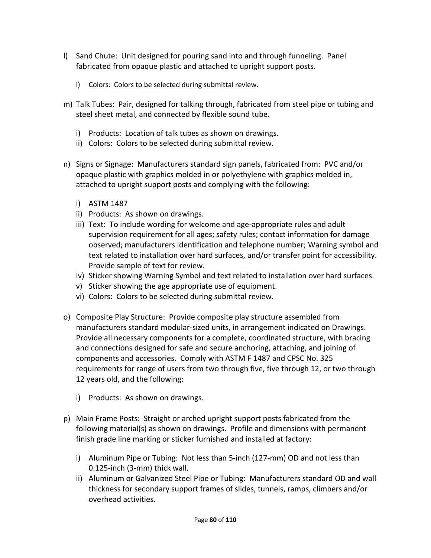- l) Sand Chute: Unit designed for pouring sand into and through funneling. Panel fabricated from opaque plastic and attached to upright support posts.
	- i) Colors: Colors to be selected during submittal review.
- m) Talk Tubes: Pair, designed for talking through, fabricated from steel pipe or tubing and steel sheet metal, and connected by flexible sound tube.
	- i) Products: Location of talk tubes as shown on drawings.
	- ii) Colors: Colors to be selected during submittal review.
- n) Signs or Signage: Manufacturers standard sign panels, fabricated from: PVC and/or opaque plastic with graphics molded in or polyethylene with graphics molded in, attached to upright support posts and complying with the following:
	- i) ASTM 1487
	- ii) Products: As shown on drawings.
	- iii) Text: To include wording for welcome and age-appropriate rules and adult supervision requirement for all ages; safety rules; contact information for damage observed; manufacturers identification and telephone number; Warning symbol and text related to installation over hard surfaces, and/or transfer point for accessibility. Provide sample of text for review.
	- iv) Sticker showing Warning Symbol and text related to installation over hard surfaces.
	- v) Sticker showing the age appropriate use of equipment.
	- vi) Colors: Colors to be selected during submittal review.
- o) Composite Play Structure: Provide composite play structure assembled from manufacturers standard modular-sized units, in arrangement indicated on Drawings. Provide all necessary components for a complete, coordinated structure, with bracing and connections designed for safe and secure anchoring, attaching, and joining of components and accessories. Comply with ASTM F 1487 and CPSC No. 325 requirements for range of users from two through five, five through 12, or two through 12 years old, and the following:
	- i) Products: As shown on drawings.
- p) Main Frame Posts: Straight or arched upright support posts fabricated from the following material(s) as shown on drawings. Profile and dimensions with permanent finish grade line marking or sticker furnished and installed at factory:
	- i) Aluminum Pipe or Tubing: Not less than 5-inch (127-mm) OD and not less than 0.125-inch (3-mm) thick wall.
	- ii) Aluminum or Galvanized Steel Pipe or Tubing: Manufacturers standard OD and wall thickness for secondary support frames of slides, tunnels, ramps, climbers and/or overhead activities.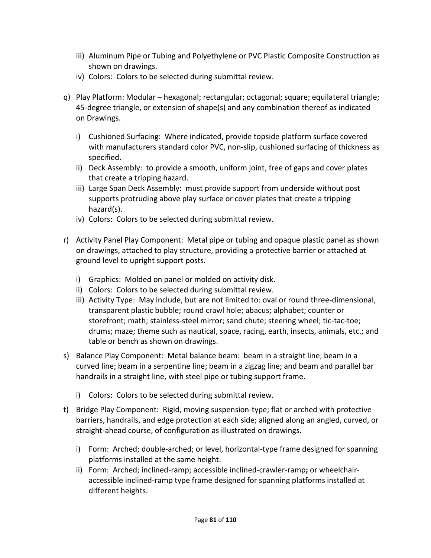- iii) Aluminum Pipe or Tubing and Polyethylene or PVC Plastic Composite Construction as shown on drawings.
- iv) Colors: Colors to be selected during submittal review.
- q) Play Platform: Modular hexagonal; rectangular; octagonal; square; equilateral triangle; 45-degree triangle, or extension of shape(s) and any combination thereof as indicated on Drawings.
	- i) Cushioned Surfacing: Where indicated, provide topside platform surface covered with manufacturers standard color PVC, non-slip, cushioned surfacing of thickness as specified.
	- ii) Deck Assembly: to provide a smooth, uniform joint, free of gaps and cover plates that create a tripping hazard.
	- iii) Large Span Deck Assembly: must provide support from underside without post supports protruding above play surface or cover plates that create a tripping hazard(s).
	- iv) Colors: Colors to be selected during submittal review.
- r) Activity Panel Play Component: Metal pipe or tubing and opaque plastic panel as shown on drawings, attached to play structure, providing a protective barrier or attached at ground level to upright support posts.
	- i) Graphics: Molded on panel or molded on activity disk.
	- ii) Colors: Colors to be selected during submittal review.
	- iii) Activity Type: May include, but are not limited to: oval or round three-dimensional, transparent plastic bubble; round crawl hole; abacus; alphabet; counter or storefront; math; stainless-steel mirror; sand chute; steering wheel; tic-tac-toe; drums; maze; theme such as nautical, space, racing, earth, insects, animals, etc.; and table or bench as shown on drawings.
- s) Balance Play Component: Metal balance beam: beam in a straight line; beam in a curved line; beam in a serpentine line; beam in a zigzag line; and beam and parallel bar handrails in a straight line, with steel pipe or tubing support frame.
	- i) Colors: Colors to be selected during submittal review.
- t) Bridge Play Component: Rigid, moving suspension-type; flat or arched with protective barriers, handrails, and edge protection at each side; aligned along an angled, curved, or straight-ahead course, of configuration as illustrated on drawings.
	- i) Form: Arched; double-arched; or level, horizontal-type frame designed for spanning platforms installed at the same height.
	- ii) Form: Arched; inclined-ramp; accessible inclined-crawler-ramp**;** or wheelchairaccessible inclined-ramp type frame designed for spanning platforms installed at different heights.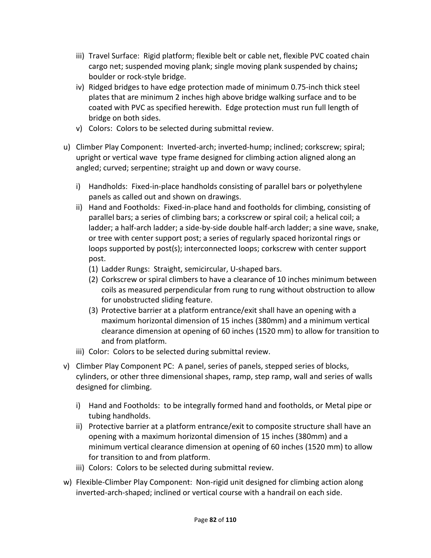- iii) Travel Surface: Rigid platform; flexible belt or cable net, flexible PVC coated chain cargo net; suspended moving plank; single moving plank suspended by chains**;** boulder or rock-style bridge.
- iv) Ridged bridges to have edge protection made of minimum 0.75-inch thick steel plates that are minimum 2 inches high above bridge walking surface and to be coated with PVC as specified herewith. Edge protection must run full length of bridge on both sides.
- v) Colors: Colors to be selected during submittal review.
- u) Climber Play Component: Inverted-arch; inverted-hump; inclined; corkscrew; spiral; upright or vertical wave type frame designed for climbing action aligned along an angled; curved; serpentine; straight up and down or wavy course.
	- i) Handholds: Fixed-in-place handholds consisting of parallel bars or polyethylene panels as called out and shown on drawings.
	- ii) Hand and Footholds: Fixed-in-place hand and footholds for climbing, consisting of parallel bars; a series of climbing bars; a corkscrew or spiral coil; a helical coil; a ladder; a half-arch ladder; a side-by-side double half-arch ladder; a sine wave, snake, or tree with center support post; a series of regularly spaced horizontal rings or loops supported by post(s); interconnected loops; corkscrew with center support post.
		- (1) Ladder Rungs: Straight, semicircular, U-shaped bars.
		- (2) Corkscrew or spiral climbers to have a clearance of 10 inches minimum between coils as measured perpendicular from rung to rung without obstruction to allow for unobstructed sliding feature.
		- (3) Protective barrier at a platform entrance/exit shall have an opening with a maximum horizontal dimension of 15 inches (380mm) and a minimum vertical clearance dimension at opening of 60 inches (1520 mm) to allow for transition to and from platform.
	- iii) Color: Colors to be selected during submittal review.
- v) Climber Play Component PC: A panel, series of panels, stepped series of blocks, cylinders, or other three dimensional shapes, ramp, step ramp, wall and series of walls designed for climbing.
	- i) Hand and Footholds: to be integrally formed hand and footholds, or Metal pipe or tubing handholds.
	- ii) Protective barrier at a platform entrance/exit to composite structure shall have an opening with a maximum horizontal dimension of 15 inches (380mm) and a minimum vertical clearance dimension at opening of 60 inches (1520 mm) to allow for transition to and from platform.
	- iii) Colors: Colors to be selected during submittal review.
- w) Flexible-Climber Play Component: Non-rigid unit designed for climbing action along inverted-arch-shaped; inclined or vertical course with a handrail on each side.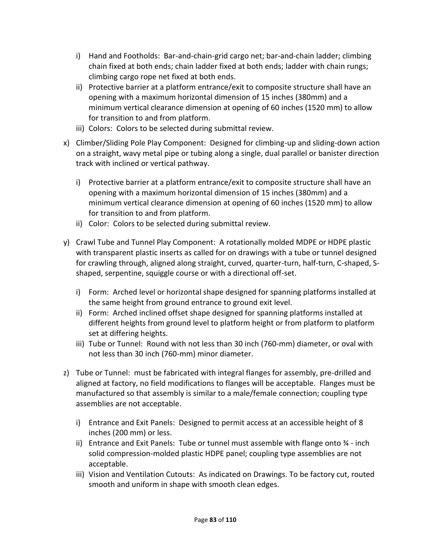- i) Hand and Footholds: Bar-and-chain-grid cargo net; bar-and-chain ladder; climbing chain fixed at both ends; chain ladder fixed at both ends; ladder with chain rungs; climbing cargo rope net fixed at both ends.
- ii) Protective barrier at a platform entrance/exit to composite structure shall have an opening with a maximum horizontal dimension of 15 inches (380mm) and a minimum vertical clearance dimension at opening of 60 inches (1520 mm) to allow for transition to and from platform.
- iii) Colors: Colors to be selected during submittal review.
- x) Climber/Sliding Pole Play Component: Designed for climbing-up and sliding-down action on a straight, wavy metal pipe or tubing along a single, dual parallel or banister direction track with inclined or vertical pathway.
	- i) Protective barrier at a platform entrance/exit to composite structure shall have an opening with a maximum horizontal dimension of 15 inches (380mm) and a minimum vertical clearance dimension at opening of 60 inches (1520 mm) to allow for transition to and from platform.
	- ii) Color: Colors to be selected during submittal review.
- y) Crawl Tube and Tunnel Play Component: A rotationally molded MDPE or HDPE plastic with transparent plastic inserts as called for on drawings with a tube or tunnel designed for crawling through, aligned along straight, curved, quarter-turn, half-turn, C-shaped, Sshaped, serpentine, squiggle course or with a directional off-set.
	- i) Form: Arched level or horizontal shape designed for spanning platforms installed at the same height from ground entrance to ground exit level.
	- ii) Form: Arched inclined offset shape designed for spanning platforms installed at different heights from ground level to platform height or from platform to platform set at differing heights.
	- iii) Tube or Tunnel: Round with not less than 30 inch (760-mm) diameter, or oval with not less than 30 inch (760-mm) minor diameter.
- z) Tube or Tunnel: must be fabricated with integral flanges for assembly, pre-drilled and aligned at factory, no field modifications to flanges will be acceptable. Flanges must be manufactured so that assembly is similar to a male/female connection; coupling type assemblies are not acceptable.
	- i) Entrance and Exit Panels: Designed to permit access at an accessible height of 8 inches (200 mm) or less.
	- ii) Entrance and Exit Panels: Tube or tunnel must assemble with flange onto  $\frac{1}{4}$  inch solid compression-molded plastic HDPE panel; coupling type assemblies are not acceptable.
	- iii) Vision and Ventilation Cutouts: As indicated on Drawings. To be factory cut, routed smooth and uniform in shape with smooth clean edges.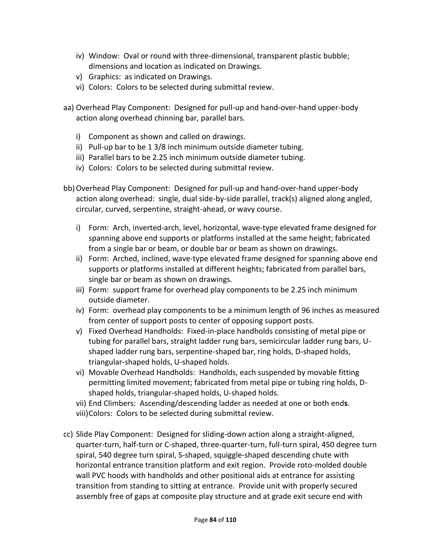- iv) Window: Oval or round with three-dimensional, transparent plastic bubble; dimensions and location as indicated on Drawings.
- v) Graphics: as indicated on Drawings.
- vi) Colors: Colors to be selected during submittal review.
- aa) Overhead Play Component: Designed for pull-up and hand-over-hand upper-body action along overhead chinning bar, parallel bars.
	- i) Component as shown and called on drawings.
	- ii) Pull-up bar to be 1 3/8 inch minimum outside diameter tubing.
	- iii) Parallel bars to be 2.25 inch minimum outside diameter tubing.
	- iv) Colors: Colors to be selected during submittal review.

bb)Overhead Play Component: Designed for pull-up and hand-over-hand upper-body action along overhead: single, dual side-by-side parallel, track(s) aligned along angled, circular, curved, serpentine, straight-ahead, or wavy course.

- i) Form: Arch, inverted-arch, level, horizontal, wave-type elevated frame designed for spanning above end supports or platforms installed at the same height; fabricated from a single bar or beam, or double bar or beam as shown on drawings.
- ii) Form: Arched, inclined, wave-type elevated frame designed for spanning above end supports or platforms installed at different heights; fabricated from parallel bars, single bar or beam as shown on drawings.
- iii) Form: support frame for overhead play components to be 2.25 inch minimum outside diameter.
- iv) Form: overhead play components to be a minimum length of 96 inches as measured from center of support posts to center of opposing support posts.
- v) Fixed Overhead Handholds: Fixed-in-place handholds consisting of metal pipe or tubing for parallel bars, straight ladder rung bars, semicircular ladder rung bars, Ushaped ladder rung bars, serpentine-shaped bar, ring holds, D-shaped holds, triangular-shaped holds, U-shaped holds.
- vi) Movable Overhead Handholds: Handholds, each suspended by movable fitting permitting limited movement; fabricated from metal pipe or tubing ring holds, Dshaped holds, triangular-shaped holds, U-shaped holds.
- vii) End Climbers: Ascending/descending ladder as needed at one or both end**s**.
- viii)Colors: Colors to be selected during submittal review.
- cc) Slide Play Component: Designed for sliding-down action along a straight-aligned, quarter-turn, half-turn or C-shaped, three-quarter-turn, full-turn spiral, 450 degree turn spiral, 540 degree turn spiral, S-shaped, squiggle-shaped descending chute with horizontal entrance transition platform and exit region. Provide roto-molded double wall PVC hoods with handholds and other positional aids at entrance for assisting transition from standing to sitting at entrance. Provide unit with properly secured assembly free of gaps at composite play structure and at grade exit secure end with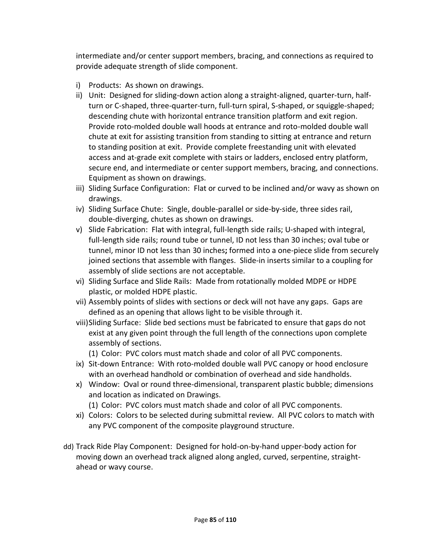intermediate and/or center support members, bracing, and connections as required to provide adequate strength of slide component.

- i) Products: As shown on drawings.
- ii) Unit: Designed for sliding-down action along a straight-aligned, quarter-turn, halfturn or C-shaped, three-quarter-turn, full-turn spiral, S-shaped, or squiggle-shaped; descending chute with horizontal entrance transition platform and exit region. Provide roto-molded double wall hoods at entrance and roto-molded double wall chute at exit for assisting transition from standing to sitting at entrance and return to standing position at exit. Provide complete freestanding unit with elevated access and at-grade exit complete with stairs or ladders, enclosed entry platform, secure end, and intermediate or center support members, bracing, and connections. Equipment as shown on drawings.
- iii) Sliding Surface Configuration: Flat or curved to be inclined and/or wavy as shown on drawings.
- iv) Sliding Surface Chute: Single, double-parallel or side-by-side, three sides rail, double-diverging, chutes as shown on drawings.
- v) Slide Fabrication: Flat with integral, full-length side rails; U-shaped with integral, full-length side rails; round tube or tunnel, ID not less than 30 inches; oval tube or tunnel, minor ID not less than 30 inches**;** formed into a one-piece slide from securely joined sections that assemble with flanges. Slide-in inserts similar to a coupling for assembly of slide sections are not acceptable.
- vi) Sliding Surface and Slide Rails: Made from rotationally molded MDPE or HDPE plastic, or molded HDPE plastic.
- vii) Assembly points of slides with sections or deck will not have any gaps. Gaps are defined as an opening that allows light to be visible through it.
- viii)Sliding Surface: Slide bed sections must be fabricated to ensure that gaps do not exist at any given point through the full length of the connections upon complete assembly of sections.

(1) Color: PVC colors must match shade and color of all PVC components.

- ix) Sit-down Entrance: With roto-molded double wall PVC canopy or hood enclosure with an overhead handhold or combination of overhead and side handholds.
- x) Window: Oval or round three-dimensional, transparent plastic bubble; dimensions and location as indicated on Drawings.

(1) Color: PVC colors must match shade and color of all PVC components.

- xi) Colors: Colors to be selected during submittal review. All PVC colors to match with any PVC component of the composite playground structure.
- dd) Track Ride Play Component: Designed for hold-on-by-hand upper-body action for moving down an overhead track aligned along angled, curved, serpentine, straightahead or wavy course.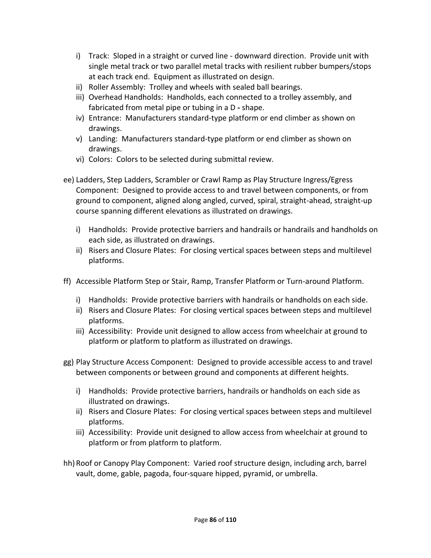- i) Track: Sloped in a straight or curved line downward direction. Provide unit with single metal track or two parallel metal tracks with resilient rubber bumpers/stops at each track end. Equipment as illustrated on design.
- ii) Roller Assembly: Trolley and wheels with sealed ball bearings.
- iii) Overhead Handholds: Handholds, each connected to a trolley assembly, and fabricated from metal pipe or tubing in a D **-** shape.
- iv) Entrance: Manufacturers standard-type platform or end climber as shown on drawings.
- v) Landing: Manufacturers standard-type platform or end climber as shown on drawings.
- vi) Colors: Colors to be selected during submittal review.
- ee) Ladders, Step Ladders, Scrambler or Crawl Ramp as Play Structure Ingress/Egress Component: Designed to provide access to and travel between components, or from ground to component, aligned along angled, curved, spiral, straight-ahead, straight-up course spanning different elevations as illustrated on drawings.
	- i) Handholds: Provide protective barriers and handrails or handrails and handholds on each side, as illustrated on drawings.
	- ii) Risers and Closure Plates: For closing vertical spaces between steps and multilevel platforms.
- ff) Accessible Platform Step or Stair, Ramp, Transfer Platform or Turn-around Platform.
	- i) Handholds: Provide protective barriers with handrails or handholds on each side.
	- ii) Risers and Closure Plates: For closing vertical spaces between steps and multilevel platforms.
	- iii) Accessibility: Provide unit designed to allow access from wheelchair at ground to platform or platform to platform as illustrated on drawings.
- gg) Play Structure Access Component: Designed to provide accessible access to and travel between components or between ground and components at different heights.
	- i) Handholds: Provide protective barriers, handrails or handholds on each side as illustrated on drawings.
	- ii) Risers and Closure Plates: For closing vertical spaces between steps and multilevel platforms.
	- iii) Accessibility: Provide unit designed to allow access from wheelchair at ground to platform or from platform to platform.
- hh) Roof or Canopy Play Component: Varied roof structure design, including arch, barrel vault, dome, gable, pagoda, four-square hipped, pyramid, or umbrella.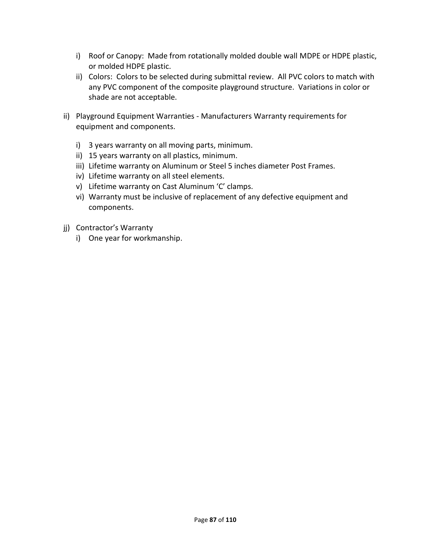- i) Roof or Canopy: Made from rotationally molded double wall MDPE or HDPE plastic, or molded HDPE plastic.
- ii) Colors: Colors to be selected during submittal review. All PVC colors to match with any PVC component of the composite playground structure. Variations in color or shade are not acceptable.
- ii) Playground Equipment Warranties Manufacturers Warranty requirements for equipment and components.
	- i) 3 years warranty on all moving parts, minimum.
	- ii) 15 years warranty on all plastics, minimum.
	- iii) Lifetime warranty on Aluminum or Steel 5 inches diameter Post Frames.
	- iv) Lifetime warranty on all steel elements.
	- v) Lifetime warranty on Cast Aluminum 'C' clamps.
	- vi) Warranty must be inclusive of replacement of any defective equipment and components.
- jj) Contractor's Warranty
	- i) One year for workmanship.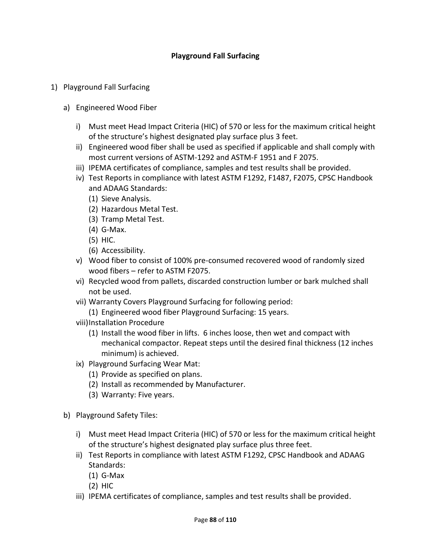# **Playground Fall Surfacing**

- 1) Playground Fall Surfacing
	- a) Engineered Wood Fiber
		- i) Must meet Head Impact Criteria (HIC) of 570 or less for the maximum critical height of the structure's highest designated play surface plus 3 feet.
		- ii) Engineered wood fiber shall be used as specified if applicable and shall comply with most current versions of ASTM-1292 and ASTM-F 1951 and F 2075.
		- iii) IPEMA certificates of compliance, samples and test results shall be provided.
		- iv) Test Reports in compliance with latest ASTM F1292, F1487, F2075, CPSC Handbook and ADAAG Standards:
			- (1) Sieve Analysis.
			- (2) Hazardous Metal Test.
			- (3) Tramp Metal Test.
			- (4) G-Max.
			- (5) HIC.
			- (6) Accessibility.
		- v) Wood fiber to consist of 100% pre-consumed recovered wood of randomly sized wood fibers – refer to ASTM F2075.
		- vi) Recycled wood from pallets, discarded construction lumber or bark mulched shall not be used.
		- vii) Warranty Covers Playground Surfacing for following period:
			- (1) Engineered wood fiber Playground Surfacing: 15 years.
		- viii)Installation Procedure
			- (1) Install the wood fiber in lifts. 6 inches loose, then wet and compact with mechanical compactor. Repeat steps until the desired final thickness (12 inches minimum) is achieved.
		- ix) Playground Surfacing Wear Mat:
			- (1) Provide as specified on plans.
			- (2) Install as recommended by Manufacturer.
			- (3) Warranty: Five years.
	- b) Playground Safety Tiles:
		- i) Must meet Head Impact Criteria (HIC) of 570 or less for the maximum critical height of the structure's highest designated play surface plus three feet.
		- ii) Test Reports in compliance with latest ASTM F1292, CPSC Handbook and ADAAG Standards:
			- (1) G-Max
			- (2) HIC
		- iii) IPEMA certificates of compliance, samples and test results shall be provided.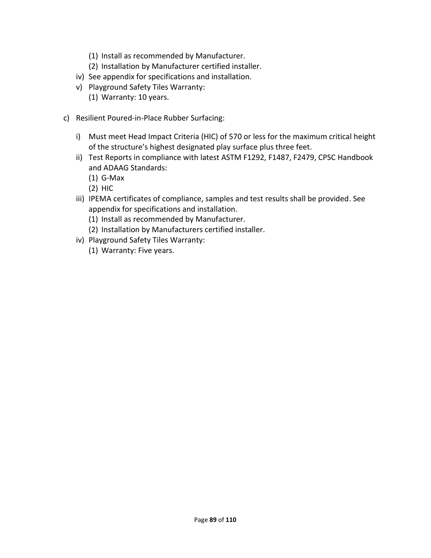- (1) Install as recommended by Manufacturer.
- (2) Installation by Manufacturer certified installer.
- iv) See appendix for specifications and installation.
- v) Playground Safety Tiles Warranty:
	- (1) Warranty: 10 years.
- c) Resilient Poured-in-Place Rubber Surfacing:
	- i) Must meet Head Impact Criteria (HIC) of 570 or less for the maximum critical height of the structure's highest designated play surface plus three feet.
	- ii) Test Reports in compliance with latest ASTM F1292, F1487, F2479, CPSC Handbook and ADAAG Standards:
		- (1) G-Max
		- (2) HIC
	- iii) IPEMA certificates of compliance, samples and test results shall be provided. See appendix for specifications and installation.
		- (1) Install as recommended by Manufacturer.
		- (2) Installation by Manufacturers certified installer.
	- iv) Playground Safety Tiles Warranty:
		- (1) Warranty: Five years.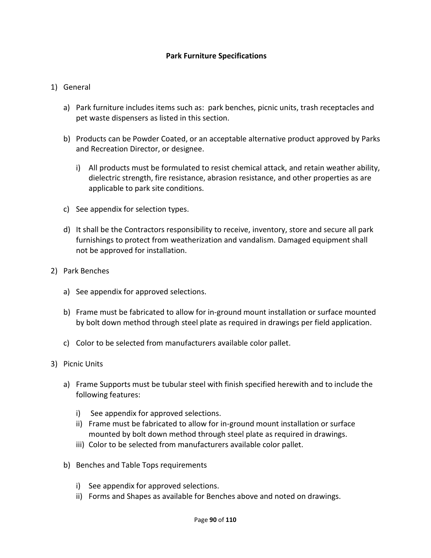#### **Park Furniture Specifications**

- a) Park furniture includes items such as: park benches, picnic units, trash receptacles and pet waste dispensers as listed in this section.
- b) Products can be Powder Coated, or an acceptable alternative product approved by Parks and Recreation Director, or designee.
	- i) All products must be formulated to resist chemical attack, and retain weather ability, dielectric strength, fire resistance, abrasion resistance, and other properties as are applicable to park site conditions.
- c) See appendix for selection types.
- d) It shall be the Contractors responsibility to receive, inventory, store and secure all park furnishings to protect from weatherization and vandalism. Damaged equipment shall not be approved for installation.
- 2) Park Benches
	- a) See appendix for approved selections.
	- b) Frame must be fabricated to allow for in-ground mount installation or surface mounted by bolt down method through steel plate as required in drawings per field application.
	- c) Color to be selected from manufacturers available color pallet.
- 3) Picnic Units
	- a) Frame Supports must be tubular steel with finish specified herewith and to include the following features:
		- i) See appendix for approved selections.
		- ii) Frame must be fabricated to allow for in-ground mount installation or surface mounted by bolt down method through steel plate as required in drawings.
		- iii) Color to be selected from manufacturers available color pallet.
	- b) Benches and Table Tops requirements
		- i) See appendix for approved selections.
		- ii) Forms and Shapes as available for Benches above and noted on drawings.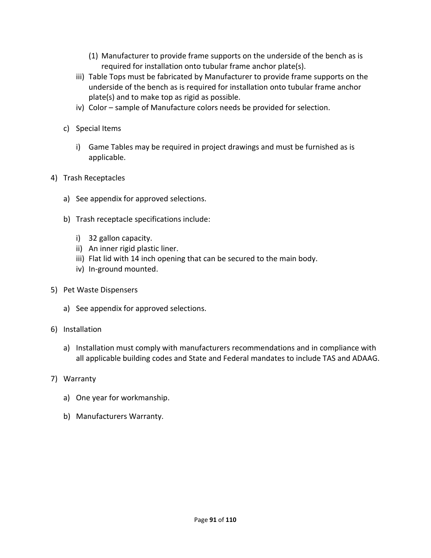- (1) Manufacturer to provide frame supports on the underside of the bench as is required for installation onto tubular frame anchor plate(s).
- iii) Table Tops must be fabricated by Manufacturer to provide frame supports on the underside of the bench as is required for installation onto tubular frame anchor plate(s) and to make top as rigid as possible.
- iv) Color sample of Manufacture colors needs be provided for selection.
- c) Special Items
	- i) Game Tables may be required in project drawings and must be furnished as is applicable.
- 4) Trash Receptacles
	- a) See appendix for approved selections.
	- b) Trash receptacle specifications include:
		- i) 32 gallon capacity.
		- ii) An inner rigid plastic liner.
		- iii) Flat lid with 14 inch opening that can be secured to the main body.
		- iv) In-ground mounted.
- 5) Pet Waste Dispensers
	- a) See appendix for approved selections.
- 6) Installation
	- a) Installation must comply with manufacturers recommendations and in compliance with all applicable building codes and State and Federal mandates to include TAS and ADAAG.
- 7) Warranty
	- a) One year for workmanship.
	- b) Manufacturers Warranty.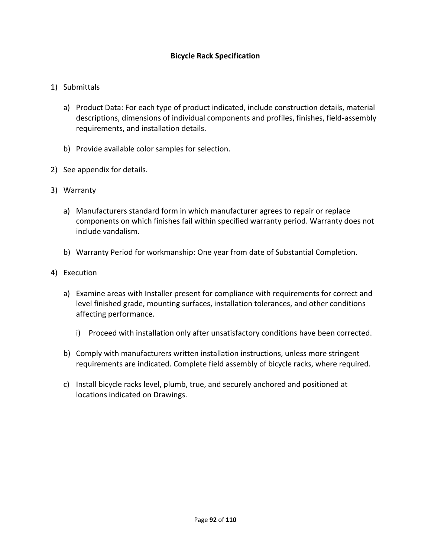## **Bicycle Rack Specification**

## 1) Submittals

- a) Product Data: For each type of product indicated, include construction details, material descriptions, dimensions of individual components and profiles, finishes, field-assembly requirements, and installation details.
- b) Provide available color samples for selection.
- 2) See appendix for details.
- 3) Warranty
	- a) Manufacturers standard form in which manufacturer agrees to repair or replace components on which finishes fail within specified warranty period. Warranty does not include vandalism.
	- b) Warranty Period for workmanship: One year from date of Substantial Completion.
- 4) Execution
	- a) Examine areas with Installer present for compliance with requirements for correct and level finished grade, mounting surfaces, installation tolerances, and other conditions affecting performance.
		- i) Proceed with installation only after unsatisfactory conditions have been corrected.
	- b) Comply with manufacturers written installation instructions, unless more stringent requirements are indicated. Complete field assembly of bicycle racks, where required.
	- c) Install bicycle racks level, plumb, true, and securely anchored and positioned at locations indicated on Drawings.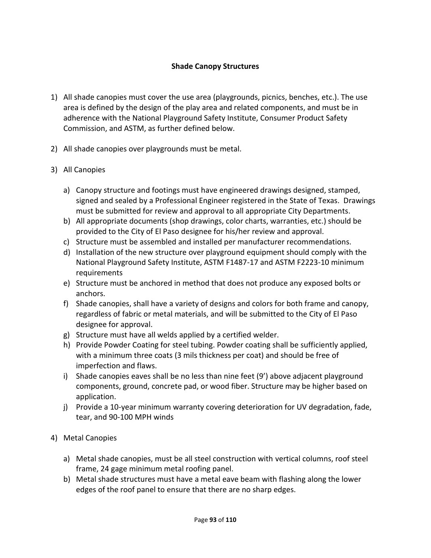## **Shade Canopy Structures**

- 1) All shade canopies must cover the use area (playgrounds, picnics, benches, etc.). The use area is defined by the design of the play area and related components, and must be in adherence with the National Playground Safety Institute, Consumer Product Safety Commission, and ASTM, as further defined below.
- 2) All shade canopies over playgrounds must be metal.
- 3) All Canopies
	- a) Canopy structure and footings must have engineered drawings designed, stamped, signed and sealed by a Professional Engineer registered in the State of Texas. Drawings must be submitted for review and approval to all appropriate City Departments.
	- b) All appropriate documents (shop drawings, color charts, warranties, etc.) should be provided to the City of El Paso designee for his/her review and approval.
	- c) Structure must be assembled and installed per manufacturer recommendations.
	- d) Installation of the new structure over playground equipment should comply with the National Playground Safety Institute, ASTM F1487-17 and ASTM F2223-10 minimum requirements
	- e) Structure must be anchored in method that does not produce any exposed bolts or anchors.
	- f) Shade canopies, shall have a variety of designs and colors for both frame and canopy, regardless of fabric or metal materials, and will be submitted to the City of El Paso designee for approval.
	- g) Structure must have all welds applied by a certified welder.
	- h) Provide Powder Coating for steel tubing. Powder coating shall be sufficiently applied, with a minimum three coats (3 mils thickness per coat) and should be free of imperfection and flaws.
	- i) Shade canopies eaves shall be no less than nine feet (9') above adjacent playground components, ground, concrete pad, or wood fiber. Structure may be higher based on application.
	- j) Provide a 10-year minimum warranty covering deterioration for UV degradation, fade, tear, and 90-100 MPH winds
- 4) Metal Canopies
	- a) Metal shade canopies, must be all steel construction with vertical columns, roof steel frame, 24 gage minimum metal roofing panel.
	- b) Metal shade structures must have a metal eave beam with flashing along the lower edges of the roof panel to ensure that there are no sharp edges.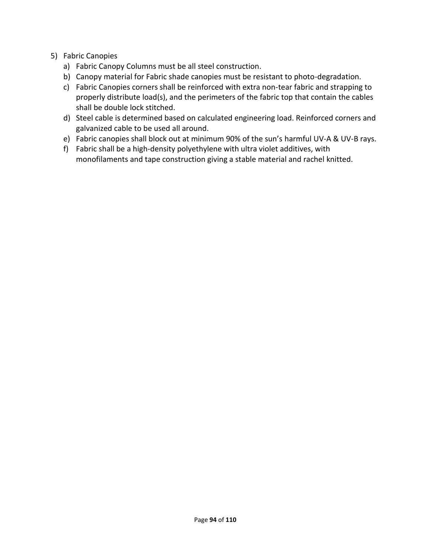# 5) Fabric Canopies

- a) Fabric Canopy Columns must be all steel construction.
- b) Canopy material for Fabric shade canopies must be resistant to photo-degradation.
- c) Fabric Canopies corners shall be reinforced with extra non-tear fabric and strapping to properly distribute load(s), and the perimeters of the fabric top that contain the cables shall be double lock stitched.
- d) Steel cable is determined based on calculated engineering load. Reinforced corners and galvanized cable to be used all around.
- e) Fabric canopies shall block out at minimum 90% of the sun's harmful UV-A & UV-B rays.
- f) Fabric shall be a high-density polyethylene with ultra violet additives, with monofilaments and tape construction giving a stable material and rachel knitted.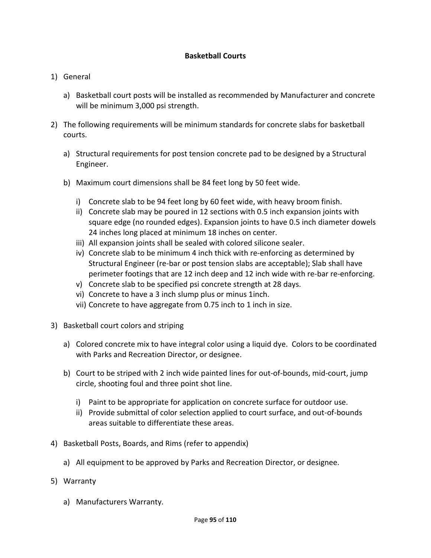## **Basketball Courts**

- a) Basketball court posts will be installed as recommended by Manufacturer and concrete will be minimum 3,000 psi strength.
- 2) The following requirements will be minimum standards for concrete slabs for basketball courts.
	- a) Structural requirements for post tension concrete pad to be designed by a Structural Engineer.
	- b) Maximum court dimensions shall be 84 feet long by 50 feet wide.
		- i) Concrete slab to be 94 feet long by 60 feet wide, with heavy broom finish.
		- ii) Concrete slab may be poured in 12 sections with 0.5 inch expansion joints with square edge (no rounded edges). Expansion joints to have 0.5 inch diameter dowels 24 inches long placed at minimum 18 inches on center.
		- iii) All expansion joints shall be sealed with colored silicone sealer.
		- iv) Concrete slab to be minimum 4 inch thick with re-enforcing as determined by Structural Engineer (re-bar or post tension slabs are acceptable); Slab shall have perimeter footings that are 12 inch deep and 12 inch wide with re-bar re-enforcing.
		- v) Concrete slab to be specified psi concrete strength at 28 days.
		- vi) Concrete to have a 3 inch slump plus or minus 1inch.
		- vii) Concrete to have aggregate from 0.75 inch to 1 inch in size.
- 3) Basketball court colors and striping
	- a) Colored concrete mix to have integral color using a liquid dye. Colors to be coordinated with Parks and Recreation Director, or designee.
	- b) Court to be striped with 2 inch wide painted lines for out-of-bounds, mid-court, jump circle, shooting foul and three point shot line.
		- i) Paint to be appropriate for application on concrete surface for outdoor use.
		- ii) Provide submittal of color selection applied to court surface, and out-of-bounds areas suitable to differentiate these areas.
- 4) Basketball Posts, Boards, and Rims (refer to appendix)
	- a) All equipment to be approved by Parks and Recreation Director, or designee.
- 5) Warranty
	- a) Manufacturers Warranty.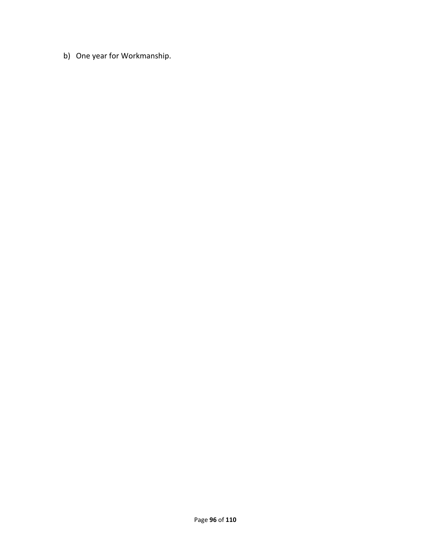b) One year for Workmanship.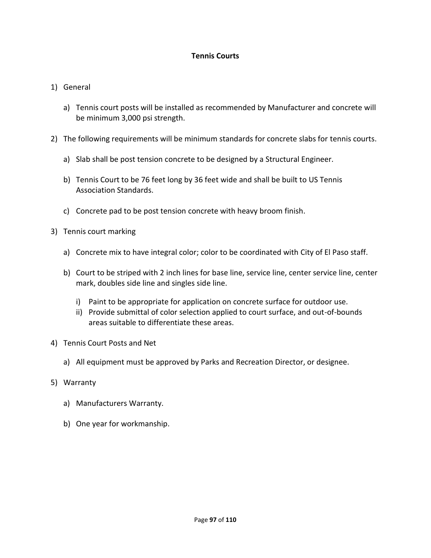## **Tennis Courts**

- a) Tennis court posts will be installed as recommended by Manufacturer and concrete will be minimum 3,000 psi strength.
- 2) The following requirements will be minimum standards for concrete slabs for tennis courts.
	- a) Slab shall be post tension concrete to be designed by a Structural Engineer.
	- b) Tennis Court to be 76 feet long by 36 feet wide and shall be built to US Tennis Association Standards.
	- c) Concrete pad to be post tension concrete with heavy broom finish.
- 3) Tennis court marking
	- a) Concrete mix to have integral color; color to be coordinated with City of El Paso staff.
	- b) Court to be striped with 2 inch lines for base line, service line, center service line, center mark, doubles side line and singles side line.
		- i) Paint to be appropriate for application on concrete surface for outdoor use.
		- ii) Provide submittal of color selection applied to court surface, and out-of-bounds areas suitable to differentiate these areas.
- 4) Tennis Court Posts and Net
	- a) All equipment must be approved by Parks and Recreation Director, or designee.
- 5) Warranty
	- a) Manufacturers Warranty.
	- b) One year for workmanship.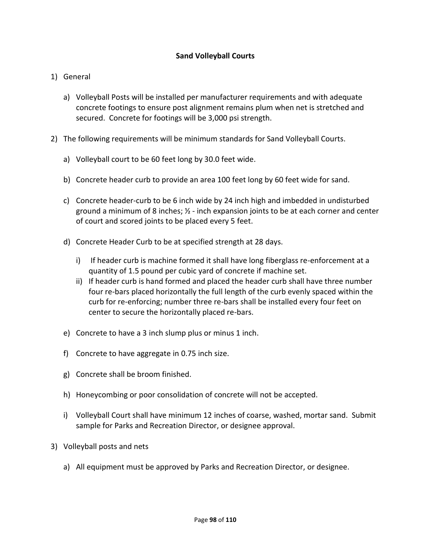## **Sand Volleyball Courts**

- a) Volleyball Posts will be installed per manufacturer requirements and with adequate concrete footings to ensure post alignment remains plum when net is stretched and secured. Concrete for footings will be 3,000 psi strength.
- 2) The following requirements will be minimum standards for Sand Volleyball Courts.
	- a) Volleyball court to be 60 feet long by 30.0 feet wide.
	- b) Concrete header curb to provide an area 100 feet long by 60 feet wide for sand.
	- c) Concrete header-curb to be 6 inch wide by 24 inch high and imbedded in undisturbed ground a minimum of 8 inches;  $\frac{1}{2}$  - inch expansion joints to be at each corner and center of court and scored joints to be placed every 5 feet.
	- d) Concrete Header Curb to be at specified strength at 28 days.
		- i) If header curb is machine formed it shall have long fiberglass re-enforcement at a quantity of 1.5 pound per cubic yard of concrete if machine set.
		- ii) If header curb is hand formed and placed the header curb shall have three number four re-bars placed horizontally the full length of the curb evenly spaced within the curb for re-enforcing; number three re-bars shall be installed every four feet on center to secure the horizontally placed re-bars.
	- e) Concrete to have a 3 inch slump plus or minus 1 inch.
	- f) Concrete to have aggregate in 0.75 inch size.
	- g) Concrete shall be broom finished.
	- h) Honeycombing or poor consolidation of concrete will not be accepted.
	- i) Volleyball Court shall have minimum 12 inches of coarse, washed, mortar sand. Submit sample for Parks and Recreation Director, or designee approval.
- 3) Volleyball posts and nets
	- a) All equipment must be approved by Parks and Recreation Director, or designee.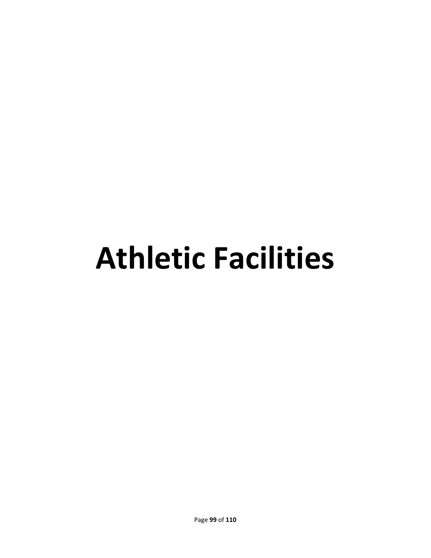# **Athletic Facilities**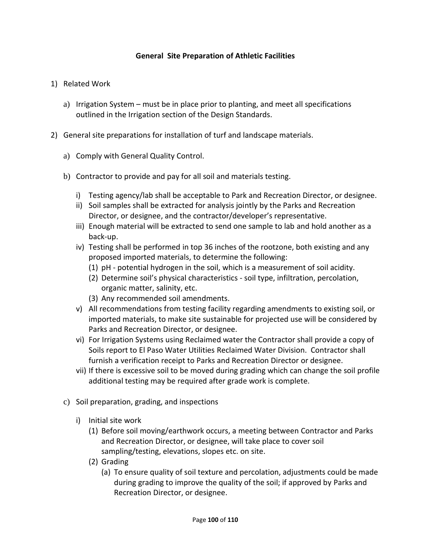## **General Site Preparation of Athletic Facilities**

# 1) Related Work

- a) Irrigation System must be in place prior to planting, and meet all specifications outlined in the Irrigation section of the Design Standards.
- 2) General site preparations for installation of turf and landscape materials.
	- a) Comply with General Quality Control.
	- b) Contractor to provide and pay for all soil and materials testing.
		- i) Testing agency/lab shall be acceptable to Park and Recreation Director, or designee.
		- ii) Soil samples shall be extracted for analysis jointly by the Parks and Recreation Director, or designee, and the contractor/developer's representative.
		- iii) Enough material will be extracted to send one sample to lab and hold another as a back-up.
		- iv) Testing shall be performed in top 36 inches of the rootzone, both existing and any proposed imported materials, to determine the following:
			- (1) pH potential hydrogen in the soil, which is a measurement of soil acidity.
			- (2) Determine soil's physical characteristics soil type, infiltration, percolation, organic matter, salinity, etc.
			- (3) Any recommended soil amendments.
		- v) All recommendations from testing facility regarding amendments to existing soil, or imported materials, to make site sustainable for projected use will be considered by Parks and Recreation Director, or designee.
		- vi) For Irrigation Systems using Reclaimed water the Contractor shall provide a copy of Soils report to El Paso Water Utilities Reclaimed Water Division. Contractor shall furnish a verification receipt to Parks and Recreation Director or designee.
		- vii) If there is excessive soil to be moved during grading which can change the soil profile additional testing may be required after grade work is complete.
	- c) Soil preparation, grading, and inspections
		- i) Initial site work
			- (1) Before soil moving/earthwork occurs, a meeting between Contractor and Parks and Recreation Director, or designee, will take place to cover soil sampling/testing, elevations, slopes etc. on site.
			- (2) Grading
				- (a) To ensure quality of soil texture and percolation, adjustments could be made during grading to improve the quality of the soil; if approved by Parks and Recreation Director, or designee.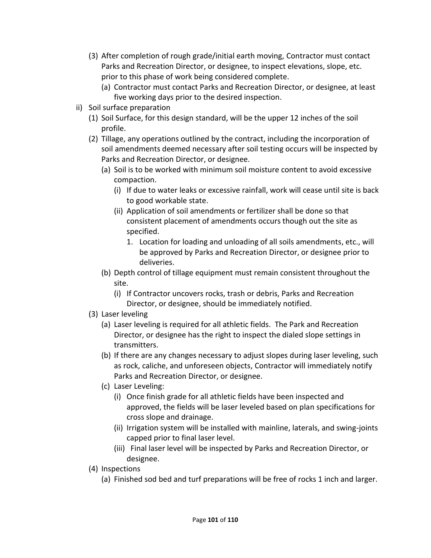- (3) After completion of rough grade/initial earth moving, Contractor must contact Parks and Recreation Director, or designee, to inspect elevations, slope, etc. prior to this phase of work being considered complete.
	- (a) Contractor must contact Parks and Recreation Director, or designee, at least five working days prior to the desired inspection.
- ii) Soil surface preparation
	- (1) Soil Surface, for this design standard, will be the upper 12 inches of the soil profile.
	- (2) Tillage, any operations outlined by the contract, including the incorporation of soil amendments deemed necessary after soil testing occurs will be inspected by Parks and Recreation Director, or designee.
		- (a) Soil is to be worked with minimum soil moisture content to avoid excessive compaction.
			- (i) If due to water leaks or excessive rainfall, work will cease until site is back to good workable state.
			- (ii) Application of soil amendments or fertilizer shall be done so that consistent placement of amendments occurs though out the site as specified.
				- 1. Location for loading and unloading of all soils amendments, etc., will be approved by Parks and Recreation Director, or designee prior to deliveries.
		- (b) Depth control of tillage equipment must remain consistent throughout the site.
			- (i) If Contractor uncovers rocks, trash or debris, Parks and Recreation Director, or designee, should be immediately notified.
	- (3) Laser leveling
		- (a) Laser leveling is required for all athletic fields. The Park and Recreation Director, or designee has the right to inspect the dialed slope settings in transmitters.
		- (b) If there are any changes necessary to adjust slopes during laser leveling, such as rock, caliche, and unforeseen objects, Contractor will immediately notify Parks and Recreation Director, or designee.
		- (c) Laser Leveling:
			- (i) Once finish grade for all athletic fields have been inspected and approved, the fields will be laser leveled based on plan specifications for cross slope and drainage.
			- (ii) Irrigation system will be installed with mainline, laterals, and swing-joints capped prior to final laser level.
			- (iii) Final laser level will be inspected by Parks and Recreation Director, or designee.
	- (4) Inspections
		- (a) Finished sod bed and turf preparations will be free of rocks 1 inch and larger.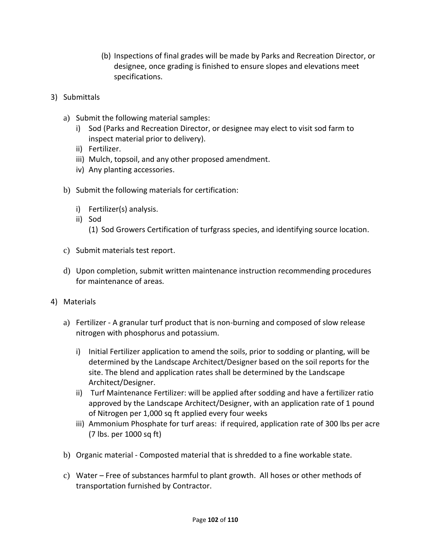- (b) Inspections of final grades will be made by Parks and Recreation Director, or designee, once grading is finished to ensure slopes and elevations meet specifications.
- 3) Submittals
	- a) Submit the following material samples:
		- i) Sod (Parks and Recreation Director, or designee may elect to visit sod farm to inspect material prior to delivery).
		- ii) Fertilizer.
		- iii) Mulch, topsoil, and any other proposed amendment.
		- iv) Any planting accessories.
	- b) Submit the following materials for certification:
		- i) Fertilizer(s) analysis.
		- ii) Sod
			- (1) Sod Growers Certification of turfgrass species, and identifying source location.
	- c) Submit materials test report.
	- d) Upon completion, submit written maintenance instruction recommending procedures for maintenance of areas.
- 4) Materials
	- a) Fertilizer A granular turf product that is non-burning and composed of slow release nitrogen with phosphorus and potassium.
		- i) Initial Fertilizer application to amend the soils, prior to sodding or planting, will be determined by the Landscape Architect/Designer based on the soil reports for the site. The blend and application rates shall be determined by the Landscape Architect/Designer.
		- ii) Turf Maintenance Fertilizer: will be applied after sodding and have a fertilizer ratio approved by the Landscape Architect/Designer, with an application rate of 1 pound of Nitrogen per 1,000 sq ft applied every four weeks
		- iii) Ammonium Phosphate for turf areas: if required, application rate of 300 lbs per acre (7 lbs. per 1000 sq ft)
	- b) Organic material Composted material that is shredded to a fine workable state.
	- c) Water Free of substances harmful to plant growth. All hoses or other methods of transportation furnished by Contractor.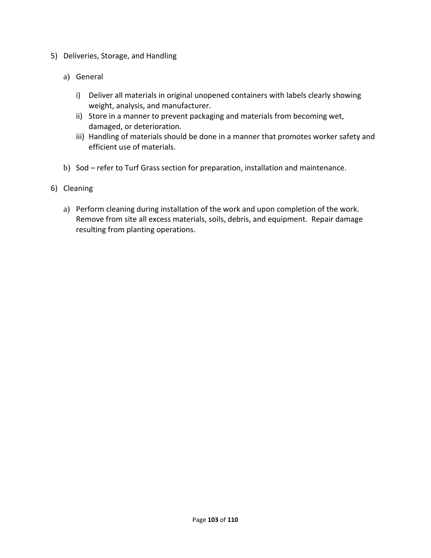- 5) Deliveries, Storage, and Handling
	- a) General
		- i) Deliver all materials in original unopened containers with labels clearly showing weight, analysis, and manufacturer.
		- ii) Store in a manner to prevent packaging and materials from becoming wet, damaged, or deterioration.
		- iii) Handling of materials should be done in a manner that promotes worker safety and efficient use of materials.
	- b) Sod refer to Turf Grass section for preparation, installation and maintenance.
- 6) Cleaning
	- a) Perform cleaning during installation of the work and upon completion of the work. Remove from site all excess materials, soils, debris, and equipment. Repair damage resulting from planting operations.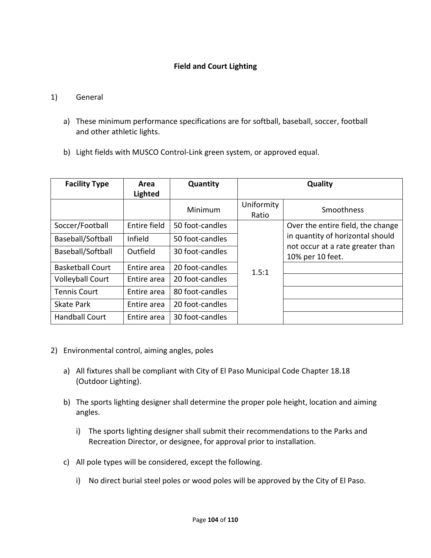## **Field and Court Lighting**

- a) These minimum performance specifications are for softball, baseball, soccer, football and other athletic lights.
- b) Light fields with MUSCO Control-Link green system, or approved equal.

| <b>Facility Type</b>    | Area<br>Lighted | Quantity        | Quality             |                                                                                                                               |
|-------------------------|-----------------|-----------------|---------------------|-------------------------------------------------------------------------------------------------------------------------------|
|                         |                 | Minimum         | Uniformity<br>Ratio | Smoothness                                                                                                                    |
| Soccer/Football         | Entire field    | 50 foot-candles | 1.5:1               | Over the entire field, the change<br>in quantity of horizontal should<br>not occur at a rate greater than<br>10% per 10 feet. |
| Baseball/Softball       | Infield         | 50 foot-candles |                     |                                                                                                                               |
| Baseball/Softball       | Outfield        | 30 foot-candles |                     |                                                                                                                               |
| <b>Basketball Court</b> | Entire area     | 20 foot-candles |                     |                                                                                                                               |
| <b>Volleyball Court</b> | Entire area     | 20 foot-candles |                     |                                                                                                                               |
| <b>Tennis Court</b>     | Entire area     | 80 foot-candles |                     |                                                                                                                               |
| <b>Skate Park</b>       | Entire area     | 20 foot-candles |                     |                                                                                                                               |
| <b>Handball Court</b>   | Entire area     | 30 foot-candles |                     |                                                                                                                               |

- 2) Environmental control, aiming angles, poles
	- a) All fixtures shall be compliant with City of El Paso Municipal Code Chapter 18.18 (Outdoor Lighting).
	- b) The sports lighting designer shall determine the proper pole height, location and aiming angles.
		- i) The sports lighting designer shall submit their recommendations to the Parks and Recreation Director, or designee, for approval prior to installation.
	- c) All pole types will be considered, except the following.
		- i) No direct burial steel poles or wood poles will be approved by the City of El Paso.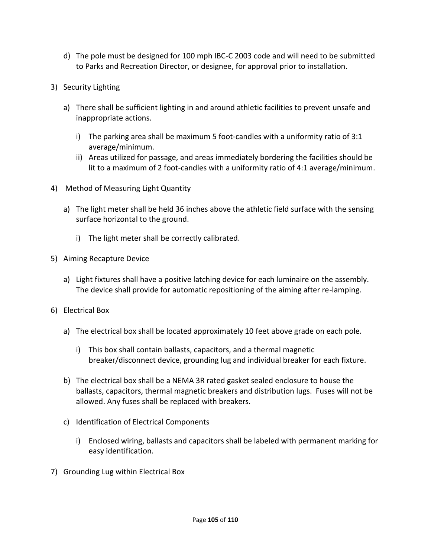- d) The pole must be designed for 100 mph IBC-C 2003 code and will need to be submitted to Parks and Recreation Director, or designee, for approval prior to installation.
- 3) Security Lighting
	- a) There shall be sufficient lighting in and around athletic facilities to prevent unsafe and inappropriate actions.
		- i) The parking area shall be maximum 5 foot-candles with a uniformity ratio of 3:1 average/minimum.
		- ii) Areas utilized for passage, and areas immediately bordering the facilities should be lit to a maximum of 2 foot-candles with a uniformity ratio of 4:1 average/minimum.
- 4) Method of Measuring Light Quantity
	- a) The light meter shall be held 36 inches above the athletic field surface with the sensing surface horizontal to the ground.
		- i) The light meter shall be correctly calibrated.
- 5) Aiming Recapture Device
	- a) Light fixtures shall have a positive latching device for each luminaire on the assembly. The device shall provide for automatic repositioning of the aiming after re-lamping.
- 6) Electrical Box
	- a) The electrical box shall be located approximately 10 feet above grade on each pole.
		- i) This box shall contain ballasts, capacitors, and a thermal magnetic breaker/disconnect device, grounding lug and individual breaker for each fixture.
	- b) The electrical box shall be a NEMA 3R rated gasket sealed enclosure to house the ballasts, capacitors, thermal magnetic breakers and distribution lugs. Fuses will not be allowed. Any fuses shall be replaced with breakers.
	- c) Identification of Electrical Components
		- i) Enclosed wiring, ballasts and capacitors shall be labeled with permanent marking for easy identification.
- 7) Grounding Lug within Electrical Box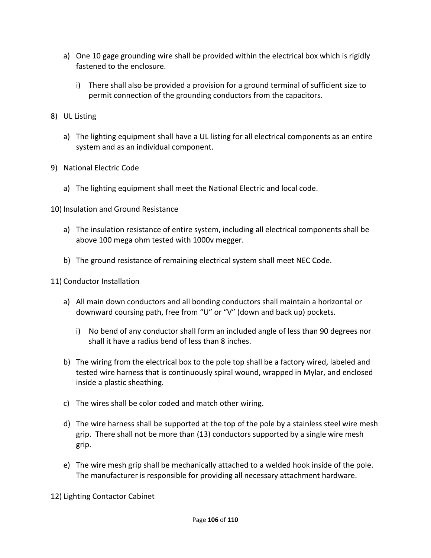- a) One 10 gage grounding wire shall be provided within the electrical box which is rigidly fastened to the enclosure.
	- i) There shall also be provided a provision for a ground terminal of sufficient size to permit connection of the grounding conductors from the capacitors.
- 8) UL Listing
	- a) The lighting equipment shall have a UL listing for all electrical components as an entire system and as an individual component.
- 9) National Electric Code
	- a) The lighting equipment shall meet the National Electric and local code.
- 10) Insulation and Ground Resistance
	- a) The insulation resistance of entire system, including all electrical components shall be above 100 mega ohm tested with 1000v megger.
	- b) The ground resistance of remaining electrical system shall meet NEC Code.
- 11) Conductor Installation
	- a) All main down conductors and all bonding conductors shall maintain a horizontal or downward coursing path, free from "U" or "V" (down and back up) pockets.
		- i) No bend of any conductor shall form an included angle of less than 90 degrees nor shall it have a radius bend of less than 8 inches.
	- b) The wiring from the electrical box to the pole top shall be a factory wired, labeled and tested wire harness that is continuously spiral wound, wrapped in Mylar, and enclosed inside a plastic sheathing.
	- c) The wires shall be color coded and match other wiring.
	- d) The wire harness shall be supported at the top of the pole by a stainless steel wire mesh grip. There shall not be more than (13) conductors supported by a single wire mesh grip.
	- e) The wire mesh grip shall be mechanically attached to a welded hook inside of the pole. The manufacturer is responsible for providing all necessary attachment hardware.

12) Lighting Contactor Cabinet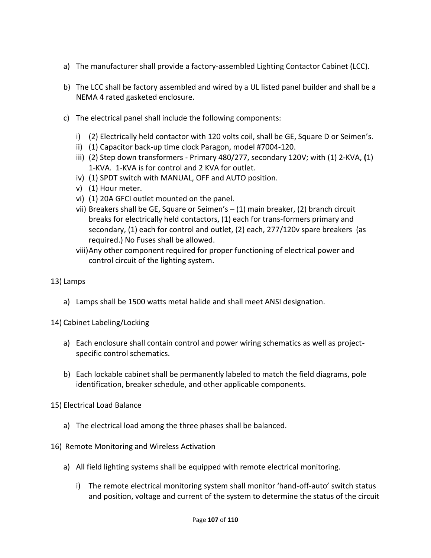- a) The manufacturer shall provide a factory-assembled Lighting Contactor Cabinet (LCC).
- b) The LCC shall be factory assembled and wired by a UL listed panel builder and shall be a NEMA 4 rated gasketed enclosure.
- c) The electrical panel shall include the following components:
	- i) (2) Electrically held contactor with 120 volts coil, shall be GE, Square D or Seimen's.
	- ii) (1) Capacitor back-up time clock Paragon, model #7004-120.
	- iii) (2) Step down transformers Primary 480/277, secondary 120V; with (1) 2-KVA, **(**1) 1-KVA. 1-KVA is for control and 2 KVA for outlet.
	- iv) (1) SPDT switch with MANUAL, OFF and AUTO position.
	- v) (1) Hour meter.
	- vi) (1) 20A GFCI outlet mounted on the panel.
	- vii) Breakers shall be GE, Square or Seimen's (1) main breaker, (2) branch circuit breaks for electrically held contactors, (1) each for trans-formers primary and secondary, (1) each for control and outlet, (2) each, 277/120v spare breakers (as required.) No Fuses shall be allowed.
	- viii)Any other component required for proper functioning of electrical power and control circuit of the lighting system.

#### 13) Lamps

a) Lamps shall be 1500 watts metal halide and shall meet ANSI designation.

14) Cabinet Labeling/Locking

- a) Each enclosure shall contain control and power wiring schematics as well as projectspecific control schematics.
- b) Each lockable cabinet shall be permanently labeled to match the field diagrams, pole identification, breaker schedule, and other applicable components.

#### 15) Electrical Load Balance

a) The electrical load among the three phases shall be balanced.

#### 16) Remote Monitoring and Wireless Activation

- a) All field lighting systems shall be equipped with remote electrical monitoring.
	- i) The remote electrical monitoring system shall monitor 'hand-off-auto' switch status and position, voltage and current of the system to determine the status of the circuit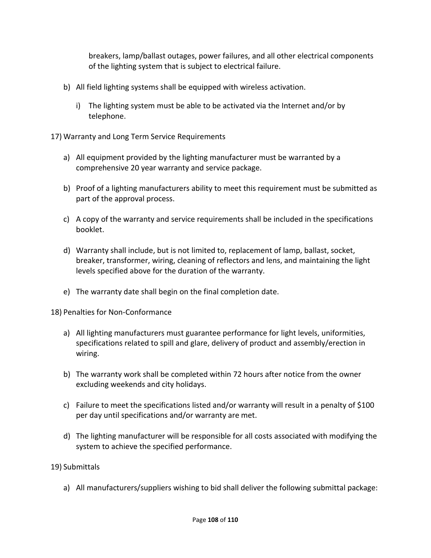breakers, lamp/ballast outages, power failures, and all other electrical components of the lighting system that is subject to electrical failure.

- b) All field lighting systems shall be equipped with wireless activation.
	- i) The lighting system must be able to be activated via the Internet and/or by telephone.

17) Warranty and Long Term Service Requirements

- a) All equipment provided by the lighting manufacturer must be warranted by a comprehensive 20 year warranty and service package.
- b) Proof of a lighting manufacturers ability to meet this requirement must be submitted as part of the approval process.
- c) A copy of the warranty and service requirements shall be included in the specifications booklet.
- d) Warranty shall include, but is not limited to, replacement of lamp, ballast, socket, breaker, transformer, wiring, cleaning of reflectors and lens, and maintaining the light levels specified above for the duration of the warranty.
- e) The warranty date shall begin on the final completion date.

18) Penalties for Non-Conformance

- a) All lighting manufacturers must guarantee performance for light levels, uniformities, specifications related to spill and glare, delivery of product and assembly/erection in wiring.
- b) The warranty work shall be completed within 72 hours after notice from the owner excluding weekends and city holidays.
- c) Failure to meet the specifications listed and/or warranty will result in a penalty of \$100 per day until specifications and/or warranty are met.
- d) The lighting manufacturer will be responsible for all costs associated with modifying the system to achieve the specified performance.

# 19) Submittals

a) All manufacturers/suppliers wishing to bid shall deliver the following submittal package: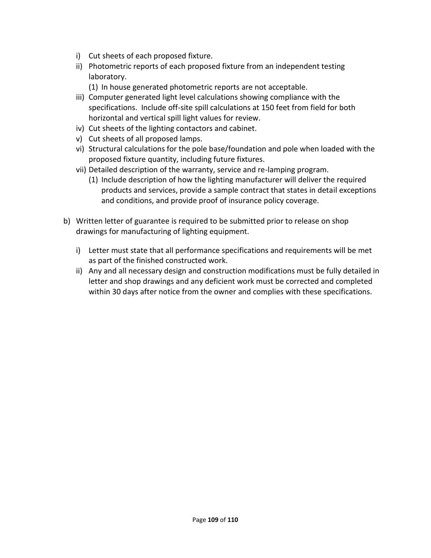- i) Cut sheets of each proposed fixture.
- ii) Photometric reports of each proposed fixture from an independent testing laboratory.
	- (1) In house generated photometric reports are not acceptable.
- iii) Computer generated light level calculations showing compliance with the specifications. Include off-site spill calculations at 150 feet from field for both horizontal and vertical spill light values for review.
- iv) Cut sheets of the lighting contactors and cabinet.
- v) Cut sheets of all proposed lamps.
- vi) Structural calculations for the pole base/foundation and pole when loaded with the proposed fixture quantity, including future fixtures.
- vii) Detailed description of the warranty, service and re-lamping program.
	- (1) Include description of how the lighting manufacturer will deliver the required products and services, provide a sample contract that states in detail exceptions and conditions, and provide proof of insurance policy coverage.
- b) Written letter of guarantee is required to be submitted prior to release on shop drawings for manufacturing of lighting equipment.
	- i) Letter must state that all performance specifications and requirements will be met as part of the finished constructed work.
	- ii) Any and all necessary design and construction modifications must be fully detailed in letter and shop drawings and any deficient work must be corrected and completed within 30 days after notice from the owner and complies with these specifications.